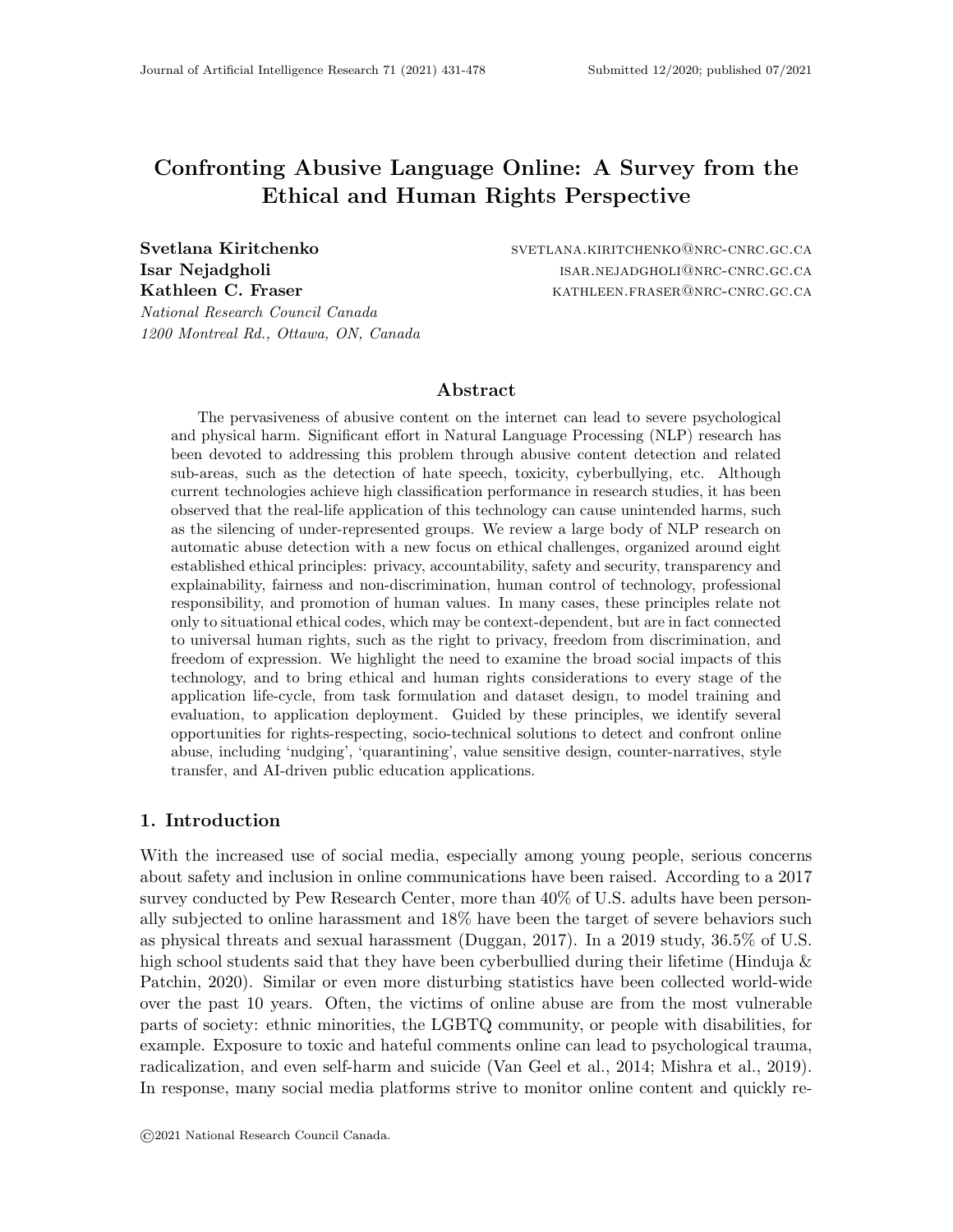# Confronting Abusive Language Online: A Survey from the Ethical and Human Rights Perspective

National Research Council Canada 1200 Montreal Rd., Ottawa, ON, Canada

Svetlana Kiritchenko svetlana.kiritchenko svetlana.kiritchenko@nrc-cnrc.gc.ca **Isar Nejadgholi** isar.nejadgholi@nrc-cnrc.gc.ca Kathleen C. Fraser Kathleen.FRASER@NRC-CNRC.GC.CA

## Abstract

The pervasiveness of abusive content on the internet can lead to severe psychological and physical harm. Significant effort in Natural Language Processing (NLP) research has been devoted to addressing this problem through abusive content detection and related sub-areas, such as the detection of hate speech, toxicity, cyberbullying, etc. Although current technologies achieve high classification performance in research studies, it has been observed that the real-life application of this technology can cause unintended harms, such as the silencing of under-represented groups. We review a large body of NLP research on automatic abuse detection with a new focus on ethical challenges, organized around eight established ethical principles: privacy, accountability, safety and security, transparency and explainability, fairness and non-discrimination, human control of technology, professional responsibility, and promotion of human values. In many cases, these principles relate not only to situational ethical codes, which may be context-dependent, but are in fact connected to universal human rights, such as the right to privacy, freedom from discrimination, and freedom of expression. We highlight the need to examine the broad social impacts of this technology, and to bring ethical and human rights considerations to every stage of the application life-cycle, from task formulation and dataset design, to model training and evaluation, to application deployment. Guided by these principles, we identify several opportunities for rights-respecting, socio-technical solutions to detect and confront online abuse, including 'nudging', 'quarantining', value sensitive design, counter-narratives, style transfer, and AI-driven public education applications.

## 1. Introduction

With the increased use of social media, especially among young people, serious concerns about safety and inclusion in online communications have been raised. According to a 2017 survey conducted by Pew Research Center, more than 40% of U.S. adults have been personally subjected to online harassment and 18% have been the target of severe behaviors such as physical threats and sexual harassment (Duggan, 2017). In a 2019 study, 36.5% of U.S. high school students said that they have been cyberbullied during their lifetime (Hinduja  $\&$ Patchin, 2020). Similar or even more disturbing statistics have been collected world-wide over the past 10 years. Often, the victims of online abuse are from the most vulnerable parts of society: ethnic minorities, the LGBTQ community, or people with disabilities, for example. Exposure to toxic and hateful comments online can lead to psychological trauma, radicalization, and even self-harm and suicide (Van Geel et al., 2014; Mishra et al., 2019). In response, many social media platforms strive to monitor online content and quickly re-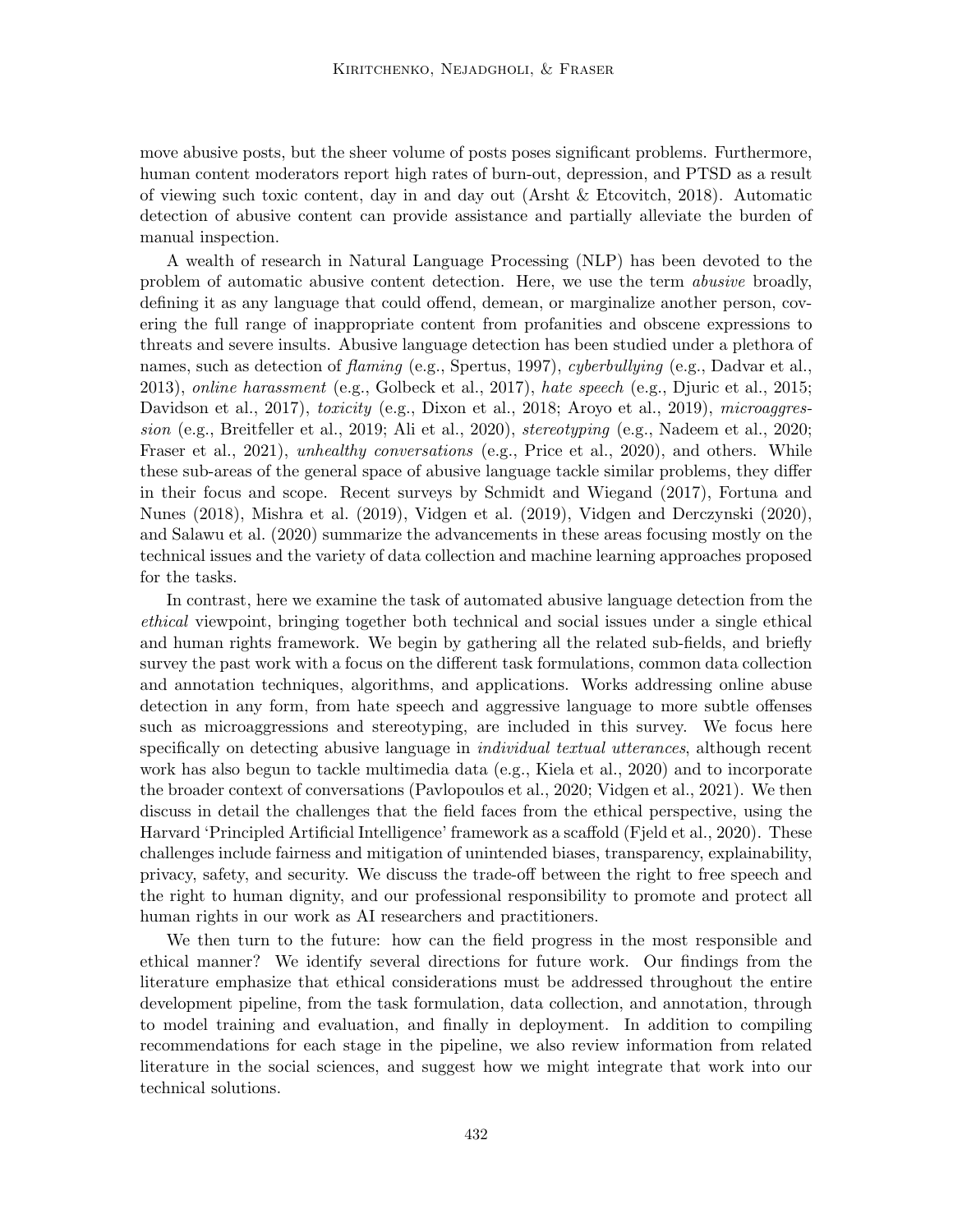move abusive posts, but the sheer volume of posts poses significant problems. Furthermore, human content moderators report high rates of burn-out, depression, and PTSD as a result of viewing such toxic content, day in and day out (Arsht & Etcovitch, 2018). Automatic detection of abusive content can provide assistance and partially alleviate the burden of manual inspection.

A wealth of research in Natural Language Processing (NLP) has been devoted to the problem of automatic abusive content detection. Here, we use the term abusive broadly, defining it as any language that could offend, demean, or marginalize another person, covering the full range of inappropriate content from profanities and obscene expressions to threats and severe insults. Abusive language detection has been studied under a plethora of names, such as detection of *flaming* (e.g., Spertus, 1997), *cyberbullying* (e.g., Dadvar et al., 2013), online harassment (e.g., Golbeck et al., 2017), hate speech (e.g., Djuric et al., 2015; Davidson et al., 2017), toxicity (e.g., Dixon et al., 2018; Aroyo et al., 2019), microaggression (e.g., Breitfeller et al., 2019; Ali et al., 2020), stereotyping (e.g., Nadeem et al., 2020; Fraser et al., 2021), unhealthy conversations (e.g., Price et al., 2020), and others. While these sub-areas of the general space of abusive language tackle similar problems, they differ in their focus and scope. Recent surveys by Schmidt and Wiegand (2017), Fortuna and Nunes (2018), Mishra et al. (2019), Vidgen et al. (2019), Vidgen and Derczynski (2020), and Salawu et al. (2020) summarize the advancements in these areas focusing mostly on the technical issues and the variety of data collection and machine learning approaches proposed for the tasks.

In contrast, here we examine the task of automated abusive language detection from the ethical viewpoint, bringing together both technical and social issues under a single ethical and human rights framework. We begin by gathering all the related sub-fields, and briefly survey the past work with a focus on the different task formulations, common data collection and annotation techniques, algorithms, and applications. Works addressing online abuse detection in any form, from hate speech and aggressive language to more subtle offenses such as microaggressions and stereotyping, are included in this survey. We focus here specifically on detecting abusive language in *individual textual utterances*, although recent work has also begun to tackle multimedia data (e.g., Kiela et al., 2020) and to incorporate the broader context of conversations (Pavlopoulos et al., 2020; Vidgen et al., 2021). We then discuss in detail the challenges that the field faces from the ethical perspective, using the Harvard 'Principled Artificial Intelligence' framework as a scaffold (Fjeld et al., 2020). These challenges include fairness and mitigation of unintended biases, transparency, explainability, privacy, safety, and security. We discuss the trade-off between the right to free speech and the right to human dignity, and our professional responsibility to promote and protect all human rights in our work as AI researchers and practitioners.

We then turn to the future: how can the field progress in the most responsible and ethical manner? We identify several directions for future work. Our findings from the literature emphasize that ethical considerations must be addressed throughout the entire development pipeline, from the task formulation, data collection, and annotation, through to model training and evaluation, and finally in deployment. In addition to compiling recommendations for each stage in the pipeline, we also review information from related literature in the social sciences, and suggest how we might integrate that work into our technical solutions.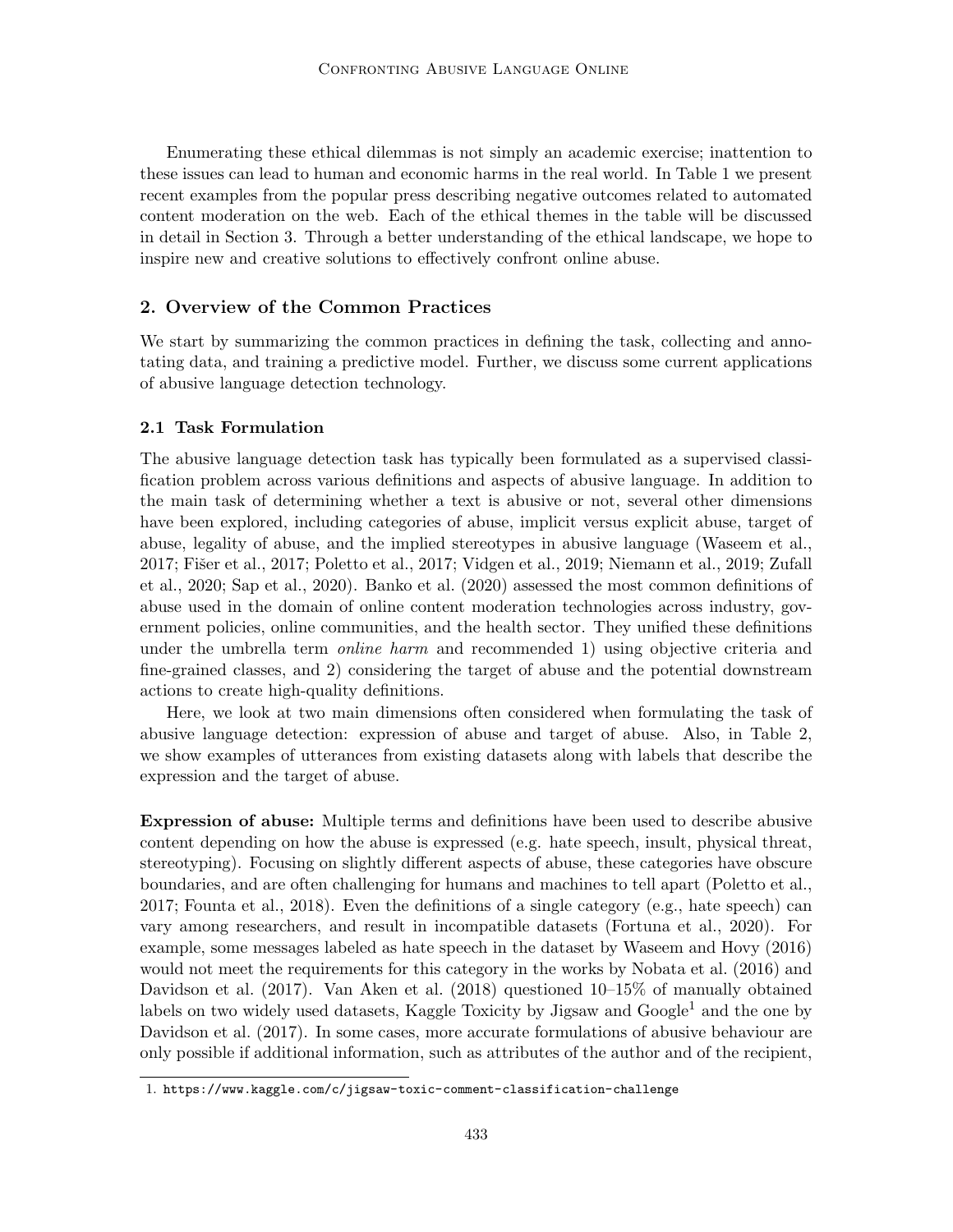Enumerating these ethical dilemmas is not simply an academic exercise; inattention to these issues can lead to human and economic harms in the real world. In Table 1 we present recent examples from the popular press describing negative outcomes related to automated content moderation on the web. Each of the ethical themes in the table will be discussed in detail in Section 3. Through a better understanding of the ethical landscape, we hope to inspire new and creative solutions to effectively confront online abuse.

## 2. Overview of the Common Practices

We start by summarizing the common practices in defining the task, collecting and annotating data, and training a predictive model. Further, we discuss some current applications of abusive language detection technology.

# 2.1 Task Formulation

The abusive language detection task has typically been formulated as a supervised classification problem across various definitions and aspects of abusive language. In addition to the main task of determining whether a text is abusive or not, several other dimensions have been explored, including categories of abuse, implicit versus explicit abuse, target of abuse, legality of abuse, and the implied stereotypes in abusive language (Waseem et al., 2017; Fišer et al., 2017; Poletto et al., 2017; Vidgen et al., 2019; Niemann et al., 2019; Zufall et al., 2020; Sap et al., 2020). Banko et al. (2020) assessed the most common definitions of abuse used in the domain of online content moderation technologies across industry, government policies, online communities, and the health sector. They unified these definitions under the umbrella term *online harm* and recommended 1) using objective criteria and fine-grained classes, and 2) considering the target of abuse and the potential downstream actions to create high-quality definitions.

Here, we look at two main dimensions often considered when formulating the task of abusive language detection: expression of abuse and target of abuse. Also, in Table 2, we show examples of utterances from existing datasets along with labels that describe the expression and the target of abuse.

Expression of abuse: Multiple terms and definitions have been used to describe abusive content depending on how the abuse is expressed (e.g. hate speech, insult, physical threat, stereotyping). Focusing on slightly different aspects of abuse, these categories have obscure boundaries, and are often challenging for humans and machines to tell apart (Poletto et al., 2017; Founta et al., 2018). Even the definitions of a single category (e.g., hate speech) can vary among researchers, and result in incompatible datasets (Fortuna et al., 2020). For example, some messages labeled as hate speech in the dataset by Waseem and Hovy (2016) would not meet the requirements for this category in the works by Nobata et al. (2016) and Davidson et al. (2017). Van Aken et al. (2018) questioned 10–15% of manually obtained labels on two widely used datasets, Kaggle Toxicity by Jigsaw and  $Google<sup>1</sup>$  and the one by Davidson et al. (2017). In some cases, more accurate formulations of abusive behaviour are only possible if additional information, such as attributes of the author and of the recipient,

<sup>1.</sup> https://www.kaggle.com/c/jigsaw-toxic-comment-classification-challenge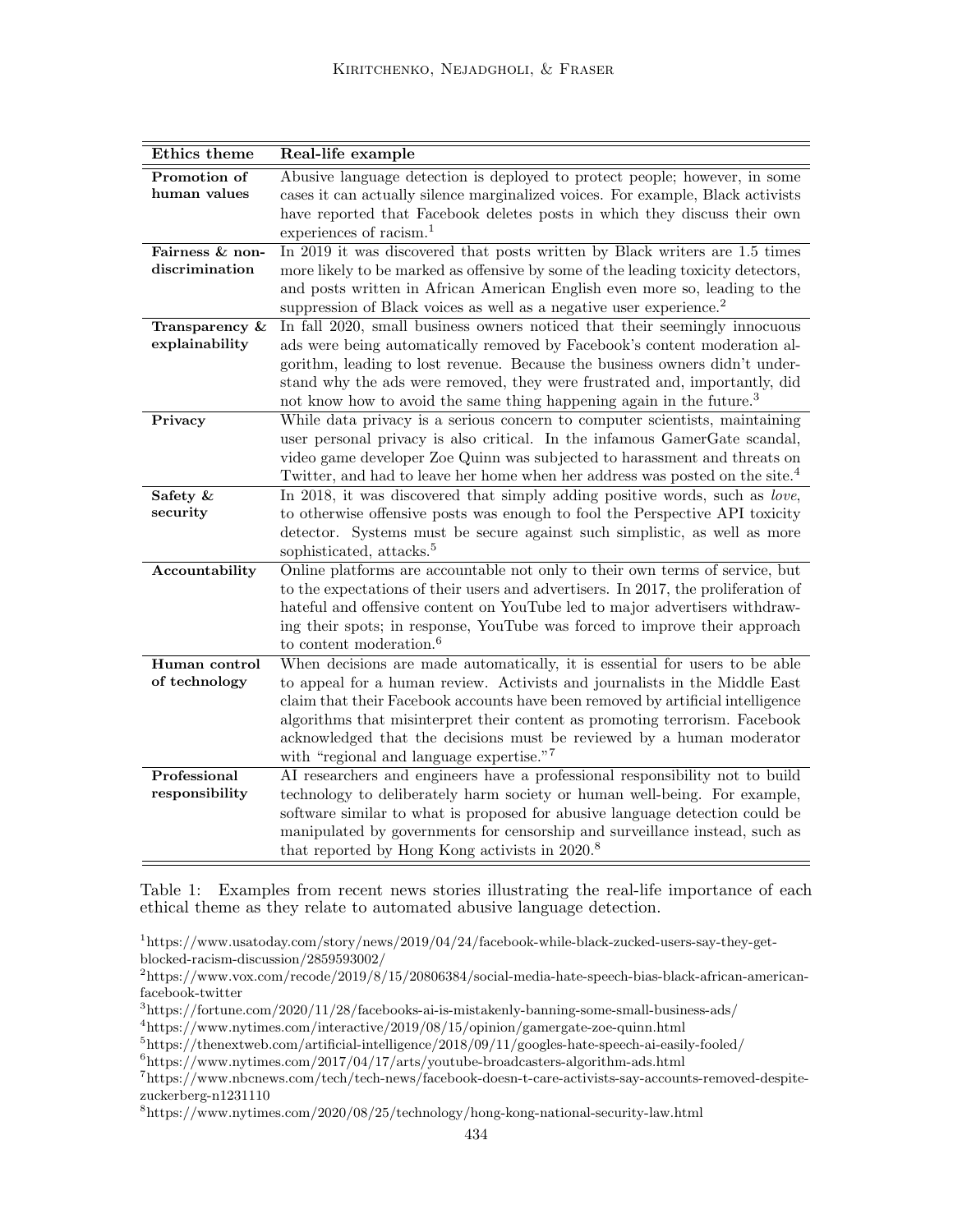| Ethics theme                     | Real-life example                                                                                                                                             |
|----------------------------------|---------------------------------------------------------------------------------------------------------------------------------------------------------------|
| Promotion of                     | Abusive language detection is deployed to protect people; however, in some                                                                                    |
| human values                     | cases it can actually silence marginalized voices. For example, Black activists                                                                               |
|                                  | have reported that Facebook deletes posts in which they discuss their own                                                                                     |
|                                  | experiences of racism. <sup>1</sup>                                                                                                                           |
| Fairness & non-                  | In 2019 it was discovered that posts written by Black writers are 1.5 times                                                                                   |
| discrimination                   | more likely to be marked as offensive by some of the leading toxicity detectors,                                                                              |
|                                  | and posts written in African American English even more so, leading to the                                                                                    |
|                                  | suppression of Black voices as well as a negative user experience. <sup>2</sup><br>In fall 2020, small business owners noticed that their seemingly innocuous |
| Transparency &<br>explainability | ads were being automatically removed by Facebook's content moderation al-                                                                                     |
|                                  | gorithm, leading to lost revenue. Because the business owners didn't under-                                                                                   |
|                                  | stand why the ads were removed, they were frustrated and, importantly, did                                                                                    |
|                                  | not know how to avoid the same thing happening again in the future. <sup>3</sup>                                                                              |
| Privacy                          | While data privacy is a serious concern to computer scientists, maintaining                                                                                   |
|                                  | user personal privacy is also critical. In the infamous GamerGate scandal,                                                                                    |
|                                  | video game developer Zoe Quinn was subjected to harassment and threats on                                                                                     |
|                                  | Twitter, and had to leave her home when her address was posted on the site. <sup>4</sup>                                                                      |
| Safety &                         | In 2018, it was discovered that simply adding positive words, such as love,                                                                                   |
| security                         | to otherwise offensive posts was enough to fool the Perspective API toxicity                                                                                  |
|                                  | detector. Systems must be secure against such simplistic, as well as more                                                                                     |
|                                  | sophisticated, attacks. <sup>5</sup>                                                                                                                          |
| Accountability                   | Online platforms are accountable not only to their own terms of service, but                                                                                  |
|                                  | to the expectations of their users and advertisers. In 2017, the proliferation of                                                                             |
|                                  | hateful and offensive content on YouTube led to major advertisers withdraw-                                                                                   |
|                                  | ing their spots; in response, YouTube was forced to improve their approach<br>to content moderation. <sup>6</sup>                                             |
| Human control                    | When decisions are made automatically, it is essential for users to be able                                                                                   |
| of technology                    | to appeal for a human review. Activists and journalists in the Middle East                                                                                    |
|                                  | claim that their Facebook accounts have been removed by artificial intelligence                                                                               |
|                                  | algorithms that misinterpret their content as promoting terrorism. Facebook                                                                                   |
|                                  | acknowledged that the decisions must be reviewed by a human moderator                                                                                         |
|                                  | with "regional and language expertise." <sup>7</sup>                                                                                                          |
| Professional                     | AI researchers and engineers have a professional responsibility not to build                                                                                  |
| responsibility                   | technology to deliberately harm society or human well-being. For example,                                                                                     |
|                                  | software similar to what is proposed for abusive language detection could be                                                                                  |
|                                  | manipulated by governments for censorship and surveillance instead, such as                                                                                   |
|                                  | that reported by Hong Kong activists in 2020. <sup>8</sup>                                                                                                    |

Table 1: Examples from recent news stories illustrating the real-life importance of each ethical theme as they relate to automated abusive language detection.

<sup>1</sup>https://www.usatoday.com/story/news/2019/04/24/facebook-while-black-zucked-users-say-they-getblocked-racism-discussion/2859593002/

<sup>2</sup>https://www.vox.com/recode/2019/8/15/20806384/social-media-hate-speech-bias-black-african-americanfacebook-twitter

<sup>3</sup>https://fortune.com/2020/11/28/facebooks-ai-is-mistakenly-banning-some-small-business-ads/

<sup>4</sup>https://www.nytimes.com/interactive/2019/08/15/opinion/gamergate-zoe-quinn.html

<sup>5</sup>https://thenextweb.com/artificial-intelligence/2018/09/11/googles-hate-speech-ai-easily-fooled/

 $6$ https://www.nytimes.com/2017/04/17/arts/youtube-broadcasters-algorithm-ads.html

<sup>7</sup>https://www.nbcnews.com/tech/tech-news/facebook-doesn-t-care-activists-say-accounts-removed-despitezuckerberg-n1231110

<sup>8</sup>https://www.nytimes.com/2020/08/25/technology/hong-kong-national-security-law.html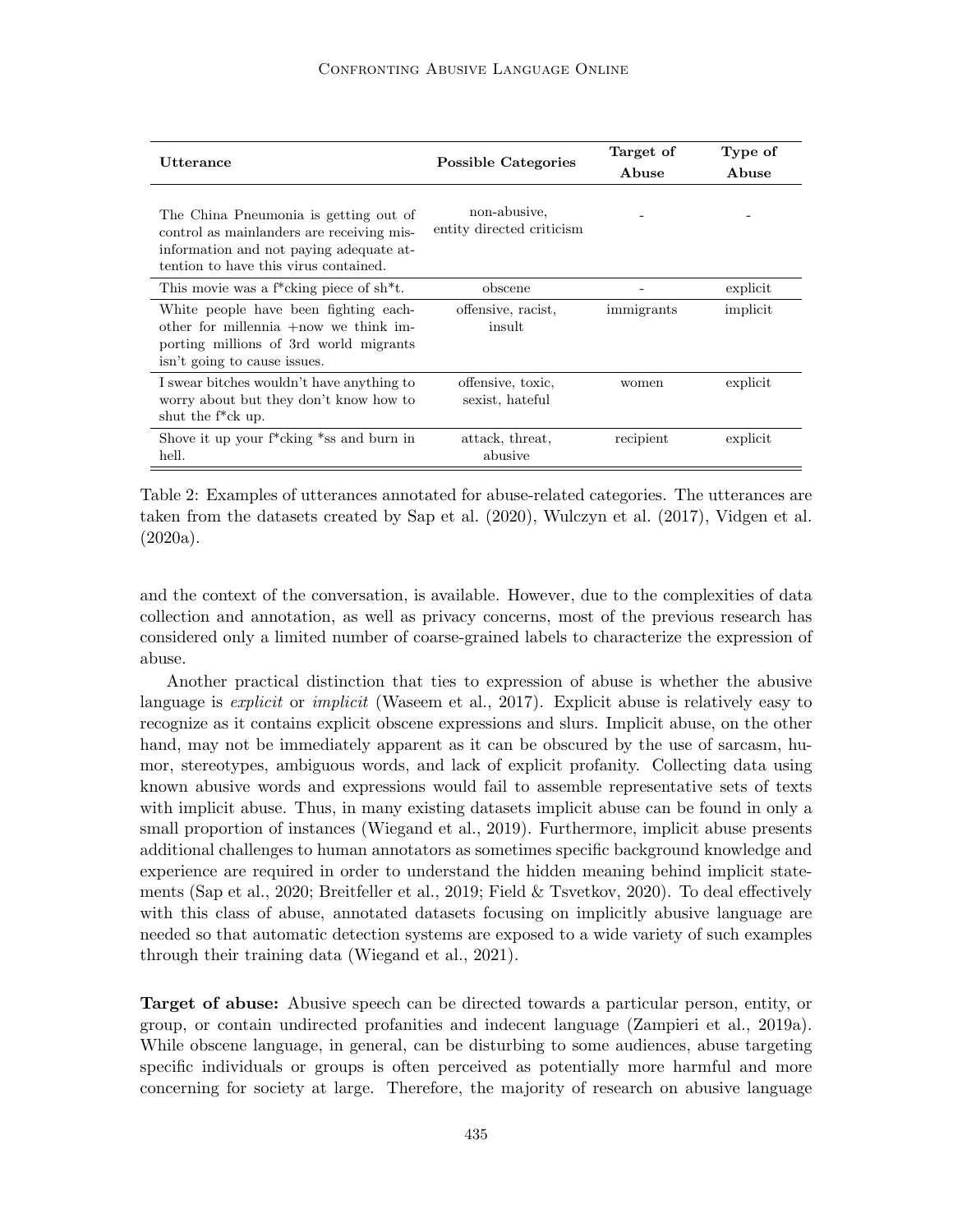| Utterance                                                                                                                                                              | <b>Possible Categories</b>                | Target of<br>Abuse | Type of<br>Abuse |
|------------------------------------------------------------------------------------------------------------------------------------------------------------------------|-------------------------------------------|--------------------|------------------|
| The China Pneumonia is getting out of<br>control as mainlanders are receiving mis-<br>information and not paying adequate at-<br>tention to have this virus contained. | non-abusive.<br>entity directed criticism |                    |                  |
| This movie was a f <sup>*</sup> cking piece of sh <sup>*</sup> t.                                                                                                      | obscene                                   |                    | explicit         |
| White people have been fighting each-<br>other for millennia $+\text{now}$ we think im-<br>porting millions of 3rd world migrants<br>isn't going to cause issues.      | offensive, racist,<br>insult              | immigrants         | implicit         |
| I swear bitches wouldn't have anything to<br>worry about but they don't know how to<br>shut the $f^*$ ck up.                                                           | offensive, toxic,<br>sexist, hateful      | women              | explicit         |
| Shove it up your $f^*$ cking $*$ ss and burn in<br>hell.                                                                                                               | attack, threat,<br>abusive                | recipient          | explicit         |

Table 2: Examples of utterances annotated for abuse-related categories. The utterances are taken from the datasets created by Sap et al. (2020), Wulczyn et al. (2017), Vidgen et al. (2020a).

and the context of the conversation, is available. However, due to the complexities of data collection and annotation, as well as privacy concerns, most of the previous research has considered only a limited number of coarse-grained labels to characterize the expression of abuse.

Another practical distinction that ties to expression of abuse is whether the abusive language is *explicit* or *implicit* (Waseem et al., 2017). Explicit abuse is relatively easy to recognize as it contains explicit obscene expressions and slurs. Implicit abuse, on the other hand, may not be immediately apparent as it can be obscured by the use of sarcasm, humor, stereotypes, ambiguous words, and lack of explicit profanity. Collecting data using known abusive words and expressions would fail to assemble representative sets of texts with implicit abuse. Thus, in many existing datasets implicit abuse can be found in only a small proportion of instances (Wiegand et al., 2019). Furthermore, implicit abuse presents additional challenges to human annotators as sometimes specific background knowledge and experience are required in order to understand the hidden meaning behind implicit statements (Sap et al., 2020; Breitfeller et al., 2019; Field & Tsvetkov, 2020). To deal effectively with this class of abuse, annotated datasets focusing on implicitly abusive language are needed so that automatic detection systems are exposed to a wide variety of such examples through their training data (Wiegand et al., 2021).

Target of abuse: Abusive speech can be directed towards a particular person, entity, or group, or contain undirected profanities and indecent language (Zampieri et al., 2019a). While obscene language, in general, can be disturbing to some audiences, abuse targeting specific individuals or groups is often perceived as potentially more harmful and more concerning for society at large. Therefore, the majority of research on abusive language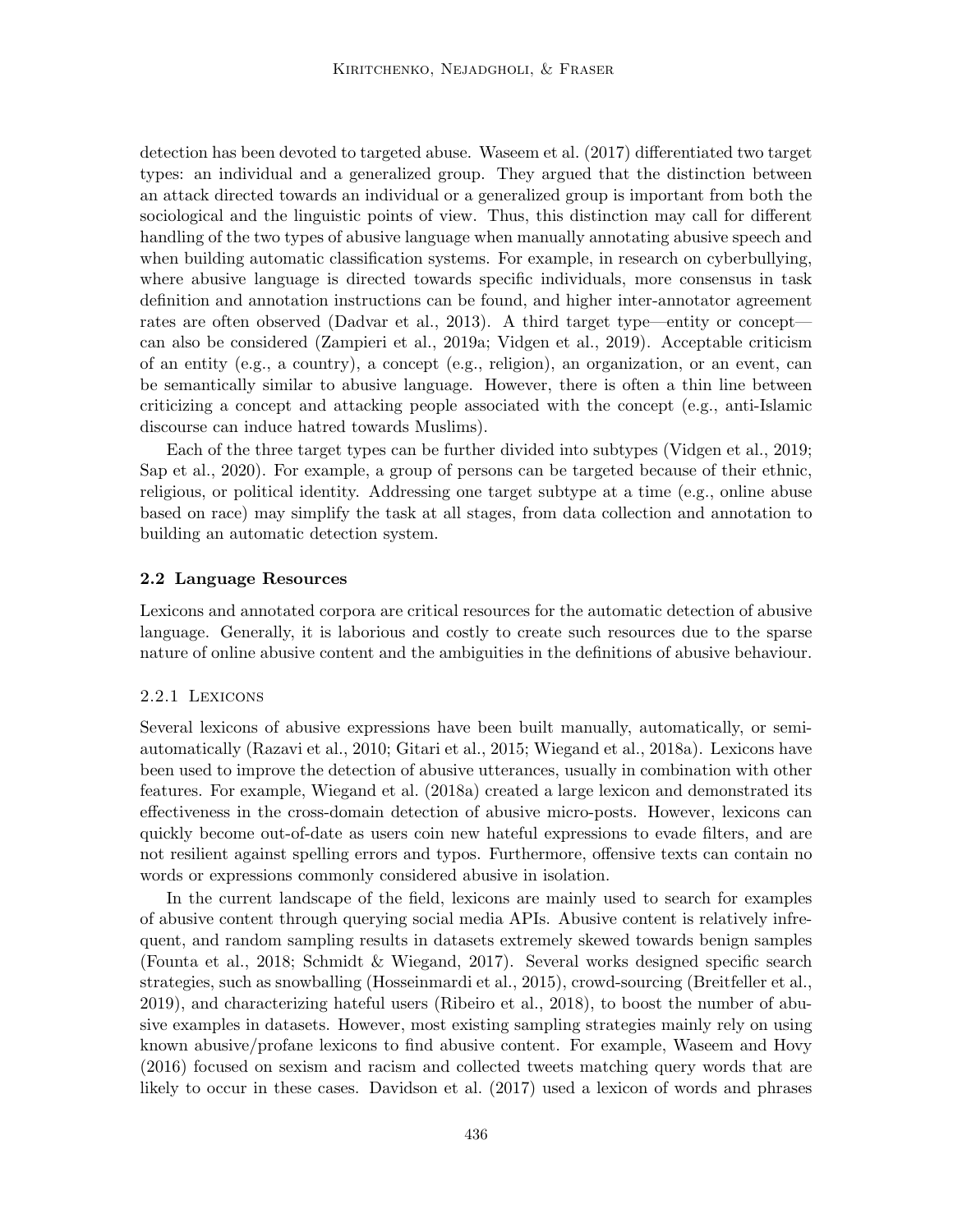detection has been devoted to targeted abuse. Waseem et al. (2017) differentiated two target types: an individual and a generalized group. They argued that the distinction between an attack directed towards an individual or a generalized group is important from both the sociological and the linguistic points of view. Thus, this distinction may call for different handling of the two types of abusive language when manually annotating abusive speech and when building automatic classification systems. For example, in research on cyberbullying, where abusive language is directed towards specific individuals, more consensus in task definition and annotation instructions can be found, and higher inter-annotator agreement rates are often observed (Dadvar et al., 2013). A third target type—entity or concept can also be considered (Zampieri et al., 2019a; Vidgen et al., 2019). Acceptable criticism of an entity (e.g., a country), a concept (e.g., religion), an organization, or an event, can be semantically similar to abusive language. However, there is often a thin line between criticizing a concept and attacking people associated with the concept (e.g., anti-Islamic discourse can induce hatred towards Muslims).

Each of the three target types can be further divided into subtypes (Vidgen et al., 2019; Sap et al., 2020). For example, a group of persons can be targeted because of their ethnic, religious, or political identity. Addressing one target subtype at a time (e.g., online abuse based on race) may simplify the task at all stages, from data collection and annotation to building an automatic detection system.

## 2.2 Language Resources

Lexicons and annotated corpora are critical resources for the automatic detection of abusive language. Generally, it is laborious and costly to create such resources due to the sparse nature of online abusive content and the ambiguities in the definitions of abusive behaviour.

### 2.2.1 Lexicons

Several lexicons of abusive expressions have been built manually, automatically, or semiautomatically (Razavi et al., 2010; Gitari et al., 2015; Wiegand et al., 2018a). Lexicons have been used to improve the detection of abusive utterances, usually in combination with other features. For example, Wiegand et al. (2018a) created a large lexicon and demonstrated its effectiveness in the cross-domain detection of abusive micro-posts. However, lexicons can quickly become out-of-date as users coin new hateful expressions to evade filters, and are not resilient against spelling errors and typos. Furthermore, offensive texts can contain no words or expressions commonly considered abusive in isolation.

In the current landscape of the field, lexicons are mainly used to search for examples of abusive content through querying social media APIs. Abusive content is relatively infrequent, and random sampling results in datasets extremely skewed towards benign samples (Founta et al., 2018; Schmidt & Wiegand, 2017). Several works designed specific search strategies, such as snowballing (Hosseinmardi et al., 2015), crowd-sourcing (Breitfeller et al., 2019), and characterizing hateful users (Ribeiro et al., 2018), to boost the number of abusive examples in datasets. However, most existing sampling strategies mainly rely on using known abusive/profane lexicons to find abusive content. For example, Waseem and Hovy (2016) focused on sexism and racism and collected tweets matching query words that are likely to occur in these cases. Davidson et al. (2017) used a lexicon of words and phrases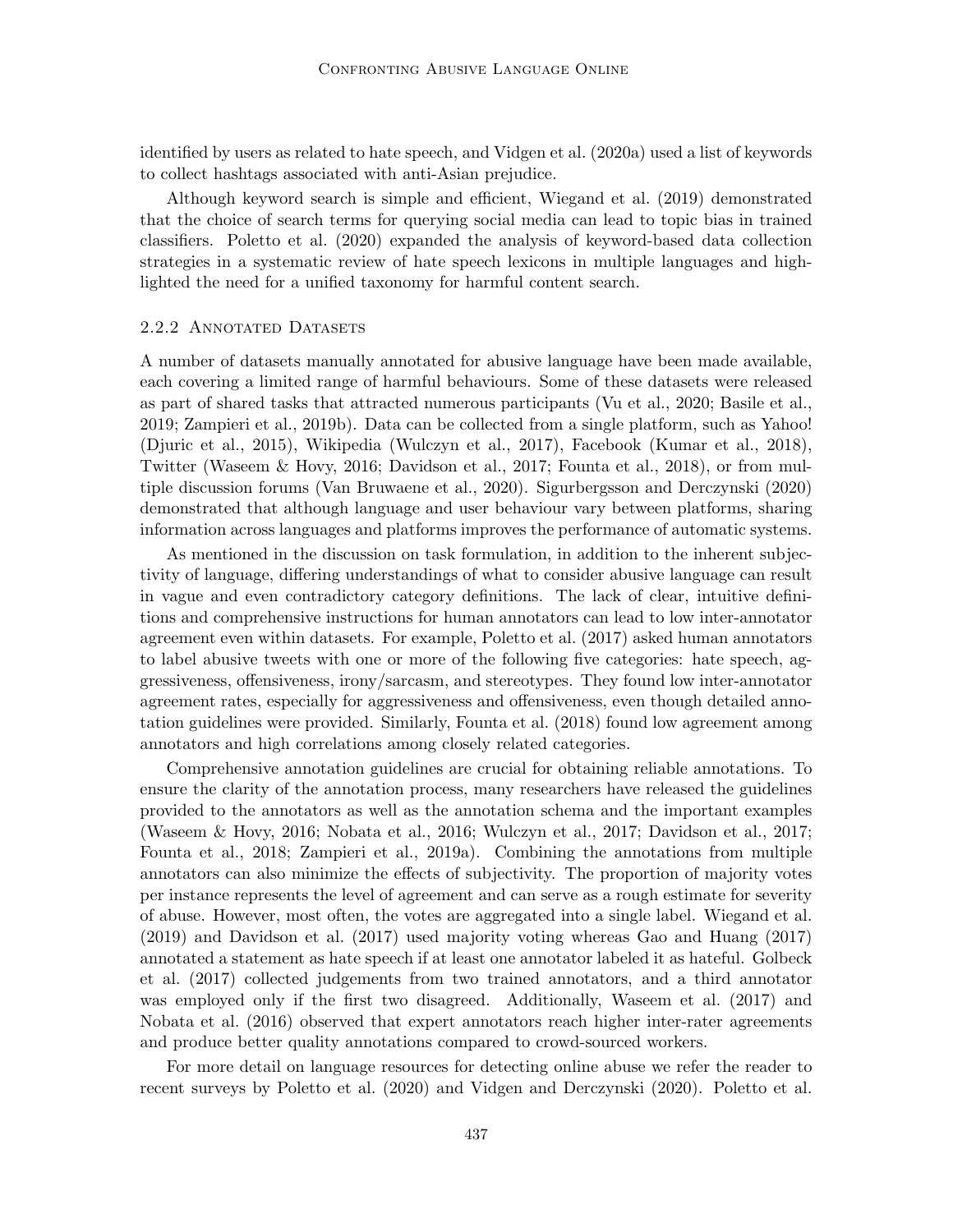identified by users as related to hate speech, and Vidgen et al. (2020a) used a list of keywords to collect hashtags associated with anti-Asian prejudice.

Although keyword search is simple and efficient, Wiegand et al. (2019) demonstrated that the choice of search terms for querying social media can lead to topic bias in trained classifiers. Poletto et al. (2020) expanded the analysis of keyword-based data collection strategies in a systematic review of hate speech lexicons in multiple languages and highlighted the need for a unified taxonomy for harmful content search.

#### 2.2.2 Annotated Datasets

A number of datasets manually annotated for abusive language have been made available, each covering a limited range of harmful behaviours. Some of these datasets were released as part of shared tasks that attracted numerous participants (Vu et al., 2020; Basile et al., 2019; Zampieri et al., 2019b). Data can be collected from a single platform, such as Yahoo! (Djuric et al., 2015), Wikipedia (Wulczyn et al., 2017), Facebook (Kumar et al., 2018), Twitter (Waseem & Hovy, 2016; Davidson et al., 2017; Founta et al., 2018), or from multiple discussion forums (Van Bruwaene et al., 2020). Sigurbergsson and Derczynski (2020) demonstrated that although language and user behaviour vary between platforms, sharing information across languages and platforms improves the performance of automatic systems.

As mentioned in the discussion on task formulation, in addition to the inherent subjectivity of language, differing understandings of what to consider abusive language can result in vague and even contradictory category definitions. The lack of clear, intuitive definitions and comprehensive instructions for human annotators can lead to low inter-annotator agreement even within datasets. For example, Poletto et al. (2017) asked human annotators to label abusive tweets with one or more of the following five categories: hate speech, aggressiveness, offensiveness, irony/sarcasm, and stereotypes. They found low inter-annotator agreement rates, especially for aggressiveness and offensiveness, even though detailed annotation guidelines were provided. Similarly, Founta et al. (2018) found low agreement among annotators and high correlations among closely related categories.

Comprehensive annotation guidelines are crucial for obtaining reliable annotations. To ensure the clarity of the annotation process, many researchers have released the guidelines provided to the annotators as well as the annotation schema and the important examples (Waseem & Hovy, 2016; Nobata et al., 2016; Wulczyn et al., 2017; Davidson et al., 2017; Founta et al., 2018; Zampieri et al., 2019a). Combining the annotations from multiple annotators can also minimize the effects of subjectivity. The proportion of majority votes per instance represents the level of agreement and can serve as a rough estimate for severity of abuse. However, most often, the votes are aggregated into a single label. Wiegand et al. (2019) and Davidson et al. (2017) used majority voting whereas Gao and Huang (2017) annotated a statement as hate speech if at least one annotator labeled it as hateful. Golbeck et al. (2017) collected judgements from two trained annotators, and a third annotator was employed only if the first two disagreed. Additionally, Waseem et al. (2017) and Nobata et al. (2016) observed that expert annotators reach higher inter-rater agreements and produce better quality annotations compared to crowd-sourced workers.

For more detail on language resources for detecting online abuse we refer the reader to recent surveys by Poletto et al. (2020) and Vidgen and Derczynski (2020). Poletto et al.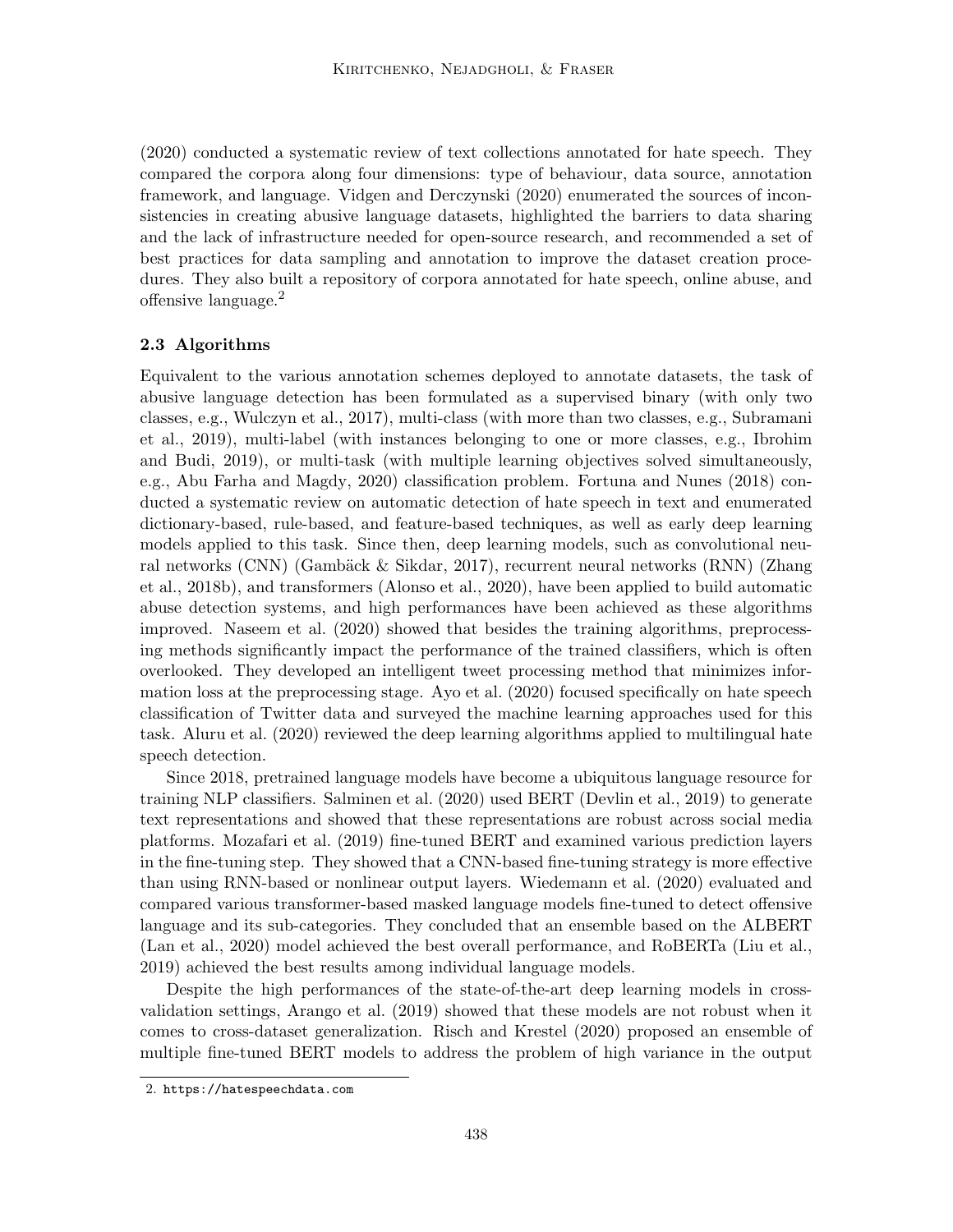(2020) conducted a systematic review of text collections annotated for hate speech. They compared the corpora along four dimensions: type of behaviour, data source, annotation framework, and language. Vidgen and Derczynski (2020) enumerated the sources of inconsistencies in creating abusive language datasets, highlighted the barriers to data sharing and the lack of infrastructure needed for open-source research, and recommended a set of best practices for data sampling and annotation to improve the dataset creation procedures. They also built a repository of corpora annotated for hate speech, online abuse, and offensive language.<sup>2</sup>

## 2.3 Algorithms

Equivalent to the various annotation schemes deployed to annotate datasets, the task of abusive language detection has been formulated as a supervised binary (with only two classes, e.g., Wulczyn et al., 2017), multi-class (with more than two classes, e.g., Subramani et al., 2019), multi-label (with instances belonging to one or more classes, e.g., Ibrohim and Budi, 2019), or multi-task (with multiple learning objectives solved simultaneously, e.g., Abu Farha and Magdy, 2020) classification problem. Fortuna and Nunes (2018) conducted a systematic review on automatic detection of hate speech in text and enumerated dictionary-based, rule-based, and feature-based techniques, as well as early deep learning models applied to this task. Since then, deep learning models, such as convolutional neural networks (CNN) (Gambäck & Sikdar, 2017), recurrent neural networks (RNN) (Zhang et al., 2018b), and transformers (Alonso et al., 2020), have been applied to build automatic abuse detection systems, and high performances have been achieved as these algorithms improved. Naseem et al. (2020) showed that besides the training algorithms, preprocessing methods significantly impact the performance of the trained classifiers, which is often overlooked. They developed an intelligent tweet processing method that minimizes information loss at the preprocessing stage. Ayo et al. (2020) focused specifically on hate speech classification of Twitter data and surveyed the machine learning approaches used for this task. Aluru et al. (2020) reviewed the deep learning algorithms applied to multilingual hate speech detection.

Since 2018, pretrained language models have become a ubiquitous language resource for training NLP classifiers. Salminen et al. (2020) used BERT (Devlin et al., 2019) to generate text representations and showed that these representations are robust across social media platforms. Mozafari et al. (2019) fine-tuned BERT and examined various prediction layers in the fine-tuning step. They showed that a CNN-based fine-tuning strategy is more effective than using RNN-based or nonlinear output layers. Wiedemann et al. (2020) evaluated and compared various transformer-based masked language models fine-tuned to detect offensive language and its sub-categories. They concluded that an ensemble based on the ALBERT (Lan et al., 2020) model achieved the best overall performance, and RoBERTa (Liu et al., 2019) achieved the best results among individual language models.

Despite the high performances of the state-of-the-art deep learning models in crossvalidation settings, Arango et al. (2019) showed that these models are not robust when it comes to cross-dataset generalization. Risch and Krestel (2020) proposed an ensemble of multiple fine-tuned BERT models to address the problem of high variance in the output

<sup>2.</sup> https://hatespeechdata.com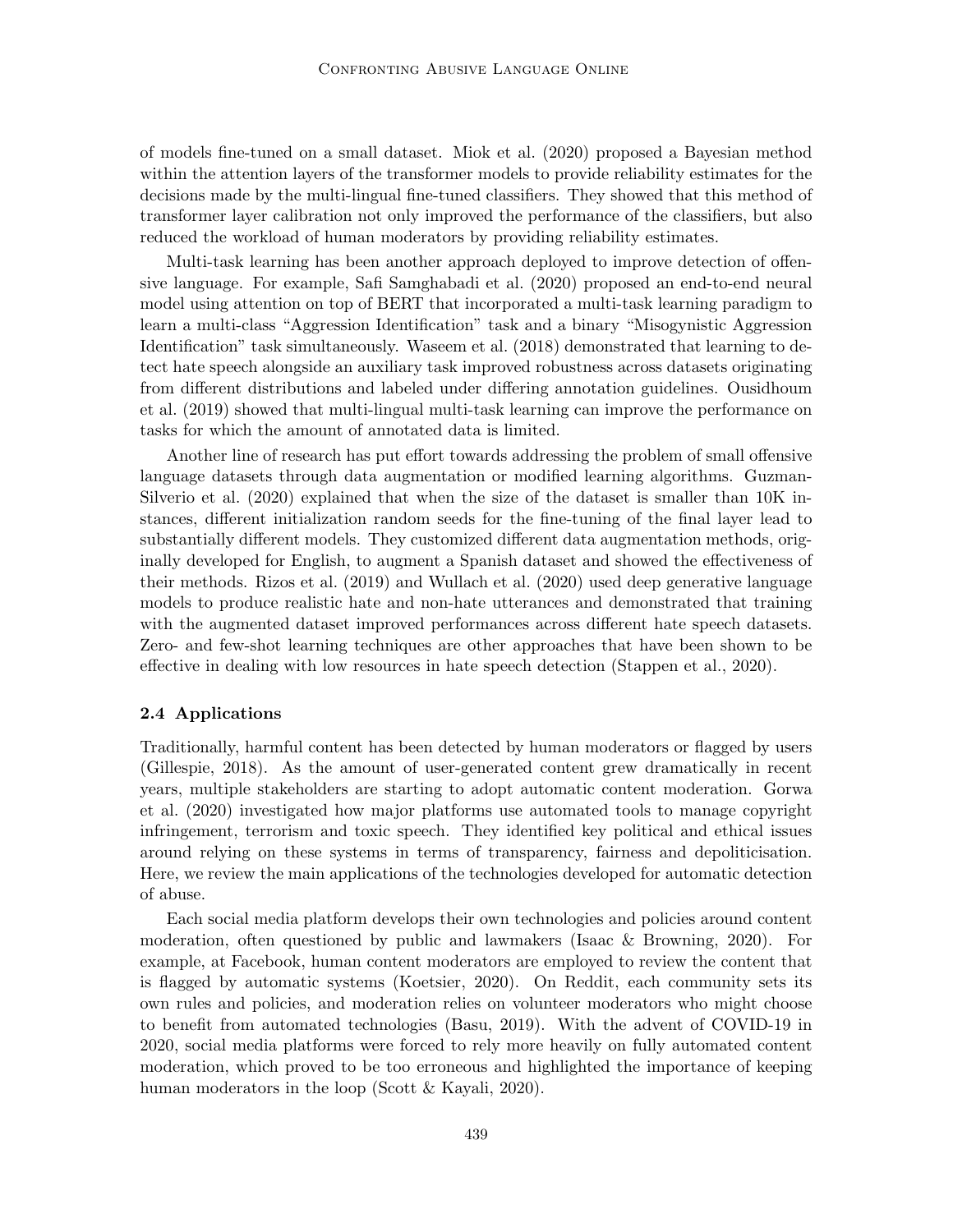of models fine-tuned on a small dataset. Miok et al. (2020) proposed a Bayesian method within the attention layers of the transformer models to provide reliability estimates for the decisions made by the multi-lingual fine-tuned classifiers. They showed that this method of transformer layer calibration not only improved the performance of the classifiers, but also reduced the workload of human moderators by providing reliability estimates.

Multi-task learning has been another approach deployed to improve detection of offensive language. For example, Safi Samghabadi et al. (2020) proposed an end-to-end neural model using attention on top of BERT that incorporated a multi-task learning paradigm to learn a multi-class "Aggression Identification" task and a binary "Misogynistic Aggression Identification" task simultaneously. Waseem et al. (2018) demonstrated that learning to detect hate speech alongside an auxiliary task improved robustness across datasets originating from different distributions and labeled under differing annotation guidelines. Ousidhoum et al. (2019) showed that multi-lingual multi-task learning can improve the performance on tasks for which the amount of annotated data is limited.

Another line of research has put effort towards addressing the problem of small offensive language datasets through data augmentation or modified learning algorithms. Guzman-Silverio et al. (2020) explained that when the size of the dataset is smaller than 10K instances, different initialization random seeds for the fine-tuning of the final layer lead to substantially different models. They customized different data augmentation methods, originally developed for English, to augment a Spanish dataset and showed the effectiveness of their methods. Rizos et al. (2019) and Wullach et al. (2020) used deep generative language models to produce realistic hate and non-hate utterances and demonstrated that training with the augmented dataset improved performances across different hate speech datasets. Zero- and few-shot learning techniques are other approaches that have been shown to be effective in dealing with low resources in hate speech detection (Stappen et al., 2020).

#### 2.4 Applications

Traditionally, harmful content has been detected by human moderators or flagged by users (Gillespie, 2018). As the amount of user-generated content grew dramatically in recent years, multiple stakeholders are starting to adopt automatic content moderation. Gorwa et al. (2020) investigated how major platforms use automated tools to manage copyright infringement, terrorism and toxic speech. They identified key political and ethical issues around relying on these systems in terms of transparency, fairness and depoliticisation. Here, we review the main applications of the technologies developed for automatic detection of abuse.

Each social media platform develops their own technologies and policies around content moderation, often questioned by public and lawmakers (Isaac & Browning, 2020). For example, at Facebook, human content moderators are employed to review the content that is flagged by automatic systems (Koetsier, 2020). On Reddit, each community sets its own rules and policies, and moderation relies on volunteer moderators who might choose to benefit from automated technologies (Basu, 2019). With the advent of COVID-19 in 2020, social media platforms were forced to rely more heavily on fully automated content moderation, which proved to be too erroneous and highlighted the importance of keeping human moderators in the loop (Scott & Kayali, 2020).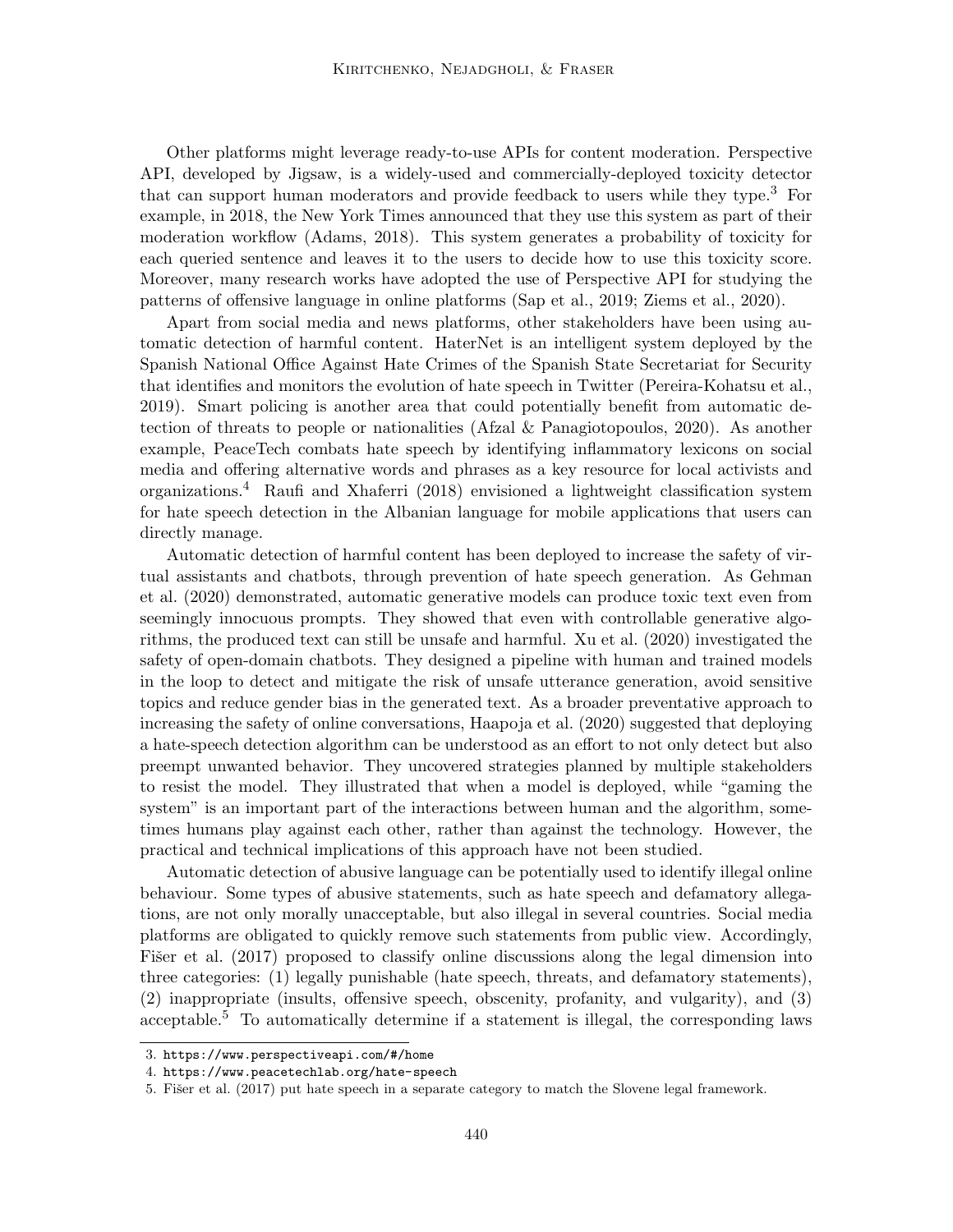Other platforms might leverage ready-to-use APIs for content moderation. Perspective API, developed by Jigsaw, is a widely-used and commercially-deployed toxicity detector that can support human moderators and provide feedback to users while they type.<sup>3</sup> For example, in 2018, the New York Times announced that they use this system as part of their moderation workflow (Adams, 2018). This system generates a probability of toxicity for each queried sentence and leaves it to the users to decide how to use this toxicity score. Moreover, many research works have adopted the use of Perspective API for studying the patterns of offensive language in online platforms (Sap et al., 2019; Ziems et al., 2020).

Apart from social media and news platforms, other stakeholders have been using automatic detection of harmful content. HaterNet is an intelligent system deployed by the Spanish National Office Against Hate Crimes of the Spanish State Secretariat for Security that identifies and monitors the evolution of hate speech in Twitter (Pereira-Kohatsu et al., 2019). Smart policing is another area that could potentially benefit from automatic detection of threats to people or nationalities (Afzal & Panagiotopoulos, 2020). As another example, PeaceTech combats hate speech by identifying inflammatory lexicons on social media and offering alternative words and phrases as a key resource for local activists and organizations.<sup>4</sup> Raufi and Xhaferri (2018) envisioned a lightweight classification system for hate speech detection in the Albanian language for mobile applications that users can directly manage.

Automatic detection of harmful content has been deployed to increase the safety of virtual assistants and chatbots, through prevention of hate speech generation. As Gehman et al. (2020) demonstrated, automatic generative models can produce toxic text even from seemingly innocuous prompts. They showed that even with controllable generative algorithms, the produced text can still be unsafe and harmful. Xu et al. (2020) investigated the safety of open-domain chatbots. They designed a pipeline with human and trained models in the loop to detect and mitigate the risk of unsafe utterance generation, avoid sensitive topics and reduce gender bias in the generated text. As a broader preventative approach to increasing the safety of online conversations, Haapoja et al. (2020) suggested that deploying a hate-speech detection algorithm can be understood as an effort to not only detect but also preempt unwanted behavior. They uncovered strategies planned by multiple stakeholders to resist the model. They illustrated that when a model is deployed, while "gaming the system" is an important part of the interactions between human and the algorithm, sometimes humans play against each other, rather than against the technology. However, the practical and technical implications of this approach have not been studied.

Automatic detection of abusive language can be potentially used to identify illegal online behaviour. Some types of abusive statements, such as hate speech and defamatory allegations, are not only morally unacceptable, but also illegal in several countries. Social media platforms are obligated to quickly remove such statements from public view. Accordingly, Fišer et al. (2017) proposed to classify online discussions along the legal dimension into three categories: (1) legally punishable (hate speech, threats, and defamatory statements), (2) inappropriate (insults, offensive speech, obscenity, profanity, and vulgarity), and (3) acceptable.<sup>5</sup> To automatically determine if a statement is illegal, the corresponding laws

<sup>3.</sup> https://www.perspectiveapi.com/#/home

<sup>4.</sup> https://www.peacetechlab.org/hate-speech

<sup>5.</sup> Fišer et al. (2017) put hate speech in a separate category to match the Slovene legal framework.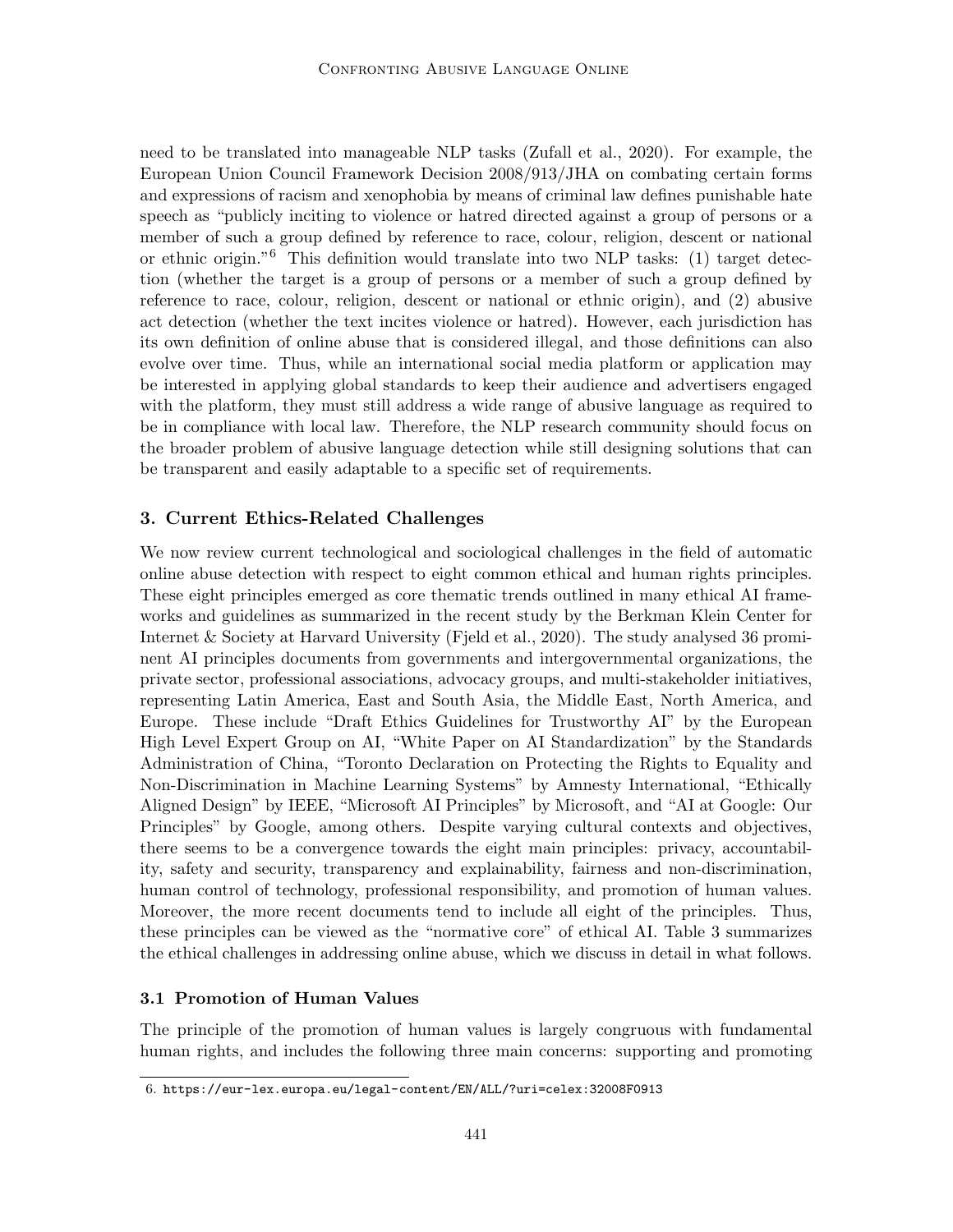need to be translated into manageable NLP tasks (Zufall et al., 2020). For example, the European Union Council Framework Decision 2008/913/JHA on combating certain forms and expressions of racism and xenophobia by means of criminal law defines punishable hate speech as "publicly inciting to violence or hatred directed against a group of persons or a member of such a group defined by reference to race, colour, religion, descent or national or ethnic origin."<sup>6</sup> This definition would translate into two NLP tasks: (1) target detection (whether the target is a group of persons or a member of such a group defined by reference to race, colour, religion, descent or national or ethnic origin), and (2) abusive act detection (whether the text incites violence or hatred). However, each jurisdiction has its own definition of online abuse that is considered illegal, and those definitions can also evolve over time. Thus, while an international social media platform or application may be interested in applying global standards to keep their audience and advertisers engaged with the platform, they must still address a wide range of abusive language as required to be in compliance with local law. Therefore, the NLP research community should focus on the broader problem of abusive language detection while still designing solutions that can be transparent and easily adaptable to a specific set of requirements.

# 3. Current Ethics-Related Challenges

We now review current technological and sociological challenges in the field of automatic online abuse detection with respect to eight common ethical and human rights principles. These eight principles emerged as core thematic trends outlined in many ethical AI frameworks and guidelines as summarized in the recent study by the Berkman Klein Center for Internet & Society at Harvard University (Fjeld et al., 2020). The study analysed 36 prominent AI principles documents from governments and intergovernmental organizations, the private sector, professional associations, advocacy groups, and multi-stakeholder initiatives, representing Latin America, East and South Asia, the Middle East, North America, and Europe. These include "Draft Ethics Guidelines for Trustworthy AI" by the European High Level Expert Group on AI, "White Paper on AI Standardization" by the Standards Administration of China, "Toronto Declaration on Protecting the Rights to Equality and Non-Discrimination in Machine Learning Systems" by Amnesty International, "Ethically Aligned Design" by IEEE, "Microsoft AI Principles" by Microsoft, and "AI at Google: Our Principles" by Google, among others. Despite varying cultural contexts and objectives, there seems to be a convergence towards the eight main principles: privacy, accountability, safety and security, transparency and explainability, fairness and non-discrimination, human control of technology, professional responsibility, and promotion of human values. Moreover, the more recent documents tend to include all eight of the principles. Thus, these principles can be viewed as the "normative core" of ethical AI. Table 3 summarizes the ethical challenges in addressing online abuse, which we discuss in detail in what follows.

# 3.1 Promotion of Human Values

The principle of the promotion of human values is largely congruous with fundamental human rights, and includes the following three main concerns: supporting and promoting

<sup>6.</sup> https://eur-lex.europa.eu/legal-content/EN/ALL/?uri=celex:32008F0913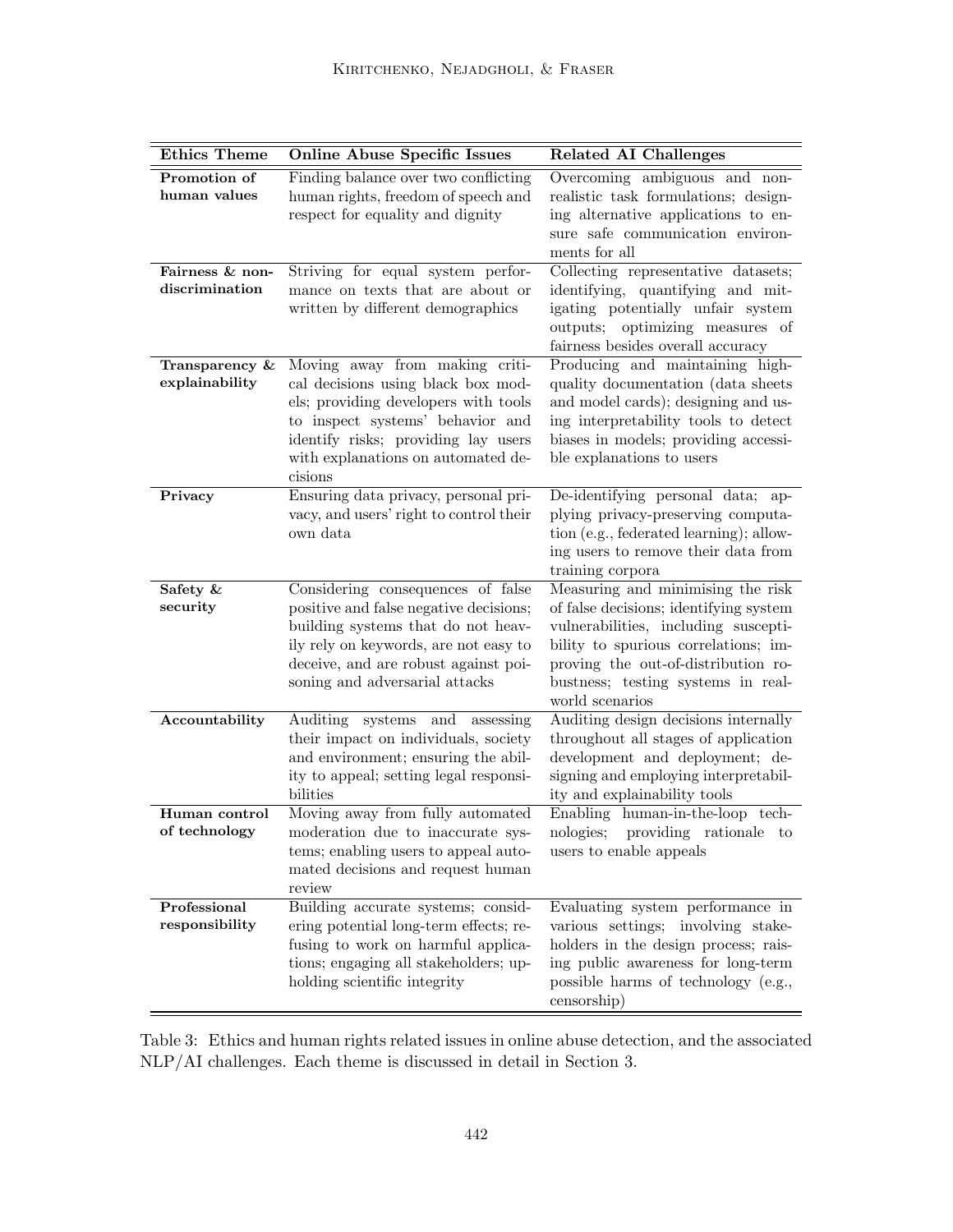| <b>Ethics Theme</b>               | <b>Online Abuse Specific Issues</b>                                                                                                                                                                                                      | <b>Related AI Challenges</b>                                                                                                                                                                                                                                |
|-----------------------------------|------------------------------------------------------------------------------------------------------------------------------------------------------------------------------------------------------------------------------------------|-------------------------------------------------------------------------------------------------------------------------------------------------------------------------------------------------------------------------------------------------------------|
| Promotion of<br>human values      | Finding balance over two conflicting<br>human rights, freedom of speech and<br>respect for equality and dignity                                                                                                                          | Overcoming ambiguous and non-<br>realistic task formulations; design-<br>ing alternative applications to en-<br>sure safe communication environ-<br>ments for all                                                                                           |
| Fairness & non-<br>discrimination | Striving for equal system perfor-<br>mance on texts that are about or<br>written by different demographics                                                                                                                               | Collecting representative datasets;<br>identifying, quantifying and mit-<br>igating potentially unfair system<br>outputs; optimizing measures of<br>fairness besides overall accuracy                                                                       |
| Transparency &<br>explainability  | Moving away from making criti-<br>cal decisions using black box mod-<br>els; providing developers with tools<br>to inspect systems' behavior and<br>identify risks; providing lay users<br>with explanations on automated de-<br>cisions | Producing and maintaining high-<br>quality documentation (data sheets<br>and model cards); designing and us-<br>ing interpretability tools to detect<br>biases in models; providing accessi-<br>ble explanations to users                                   |
| Privacy                           | Ensuring data privacy, personal pri-<br>vacy, and users' right to control their<br>own data                                                                                                                                              | De-identifying personal data; ap-<br>plying privacy-preserving computa-<br>tion (e.g., federated learning); allow-<br>ing users to remove their data from<br>training corpora                                                                               |
| Safety &<br>security              | Considering consequences of false<br>positive and false negative decisions;<br>building systems that do not heav-<br>ily rely on keywords, are not easy to<br>deceive, and are robust against poi-<br>soning and adversarial attacks     | Measuring and minimising the risk<br>of false decisions; identifying system<br>vulnerabilities, including suscepti-<br>bility to spurious correlations; im-<br>proving the out-of-distribution ro-<br>bustness; testing systems in real-<br>world scenarios |
| Accountability                    | Auditing systems<br>and<br>assessing<br>their impact on individuals, society<br>and environment; ensuring the abil-<br>ity to appeal; setting legal responsi-<br>bilities                                                                | Auditing design decisions internally<br>throughout all stages of application<br>development and deployment; de-<br>signing and employing interpretabil-<br>ity and explainability tools                                                                     |
| Human control<br>of technology    | Moving away from fully automated<br>moderation due to inaccurate sys-<br>tems; enabling users to appeal auto-<br>mated decisions and request human<br>review                                                                             | Enabling human-in-the-loop tech-<br>nologies;<br>providing rationale to<br>users to enable appeals                                                                                                                                                          |
| Professional<br>responsibility    | Building accurate systems; consid-<br>ering potential long-term effects; re-<br>fusing to work on harmful applica-<br>tions; engaging all stakeholders; up-<br>holding scientific integrity                                              | Evaluating system performance in<br>various settings; involving stake-<br>holders in the design process; rais-<br>ing public awareness for long-term<br>possible harms of technology (e.g.,<br>censorship)                                                  |

Table 3: Ethics and human rights related issues in online abuse detection, and the associated NLP/AI challenges. Each theme is discussed in detail in Section 3.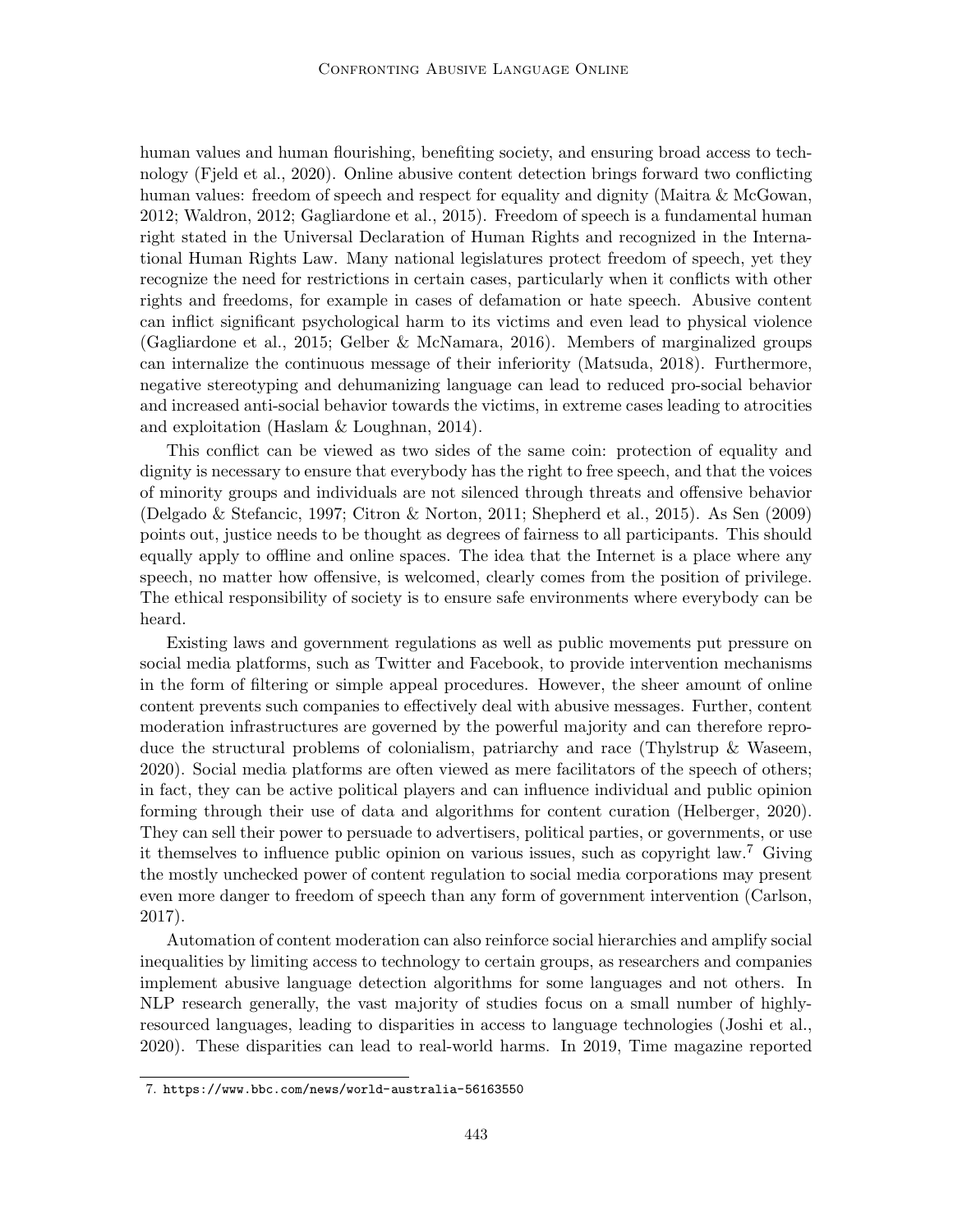human values and human flourishing, benefiting society, and ensuring broad access to technology (Fjeld et al., 2020). Online abusive content detection brings forward two conflicting human values: freedom of speech and respect for equality and dignity (Maitra & McGowan, 2012; Waldron, 2012; Gagliardone et al., 2015). Freedom of speech is a fundamental human right stated in the Universal Declaration of Human Rights and recognized in the International Human Rights Law. Many national legislatures protect freedom of speech, yet they recognize the need for restrictions in certain cases, particularly when it conflicts with other rights and freedoms, for example in cases of defamation or hate speech. Abusive content can inflict significant psychological harm to its victims and even lead to physical violence (Gagliardone et al., 2015; Gelber & McNamara, 2016). Members of marginalized groups can internalize the continuous message of their inferiority (Matsuda, 2018). Furthermore, negative stereotyping and dehumanizing language can lead to reduced pro-social behavior and increased anti-social behavior towards the victims, in extreme cases leading to atrocities and exploitation (Haslam & Loughnan, 2014).

This conflict can be viewed as two sides of the same coin: protection of equality and dignity is necessary to ensure that everybody has the right to free speech, and that the voices of minority groups and individuals are not silenced through threats and offensive behavior (Delgado & Stefancic, 1997; Citron & Norton, 2011; Shepherd et al., 2015). As Sen (2009) points out, justice needs to be thought as degrees of fairness to all participants. This should equally apply to offline and online spaces. The idea that the Internet is a place where any speech, no matter how offensive, is welcomed, clearly comes from the position of privilege. The ethical responsibility of society is to ensure safe environments where everybody can be heard.

Existing laws and government regulations as well as public movements put pressure on social media platforms, such as Twitter and Facebook, to provide intervention mechanisms in the form of filtering or simple appeal procedures. However, the sheer amount of online content prevents such companies to effectively deal with abusive messages. Further, content moderation infrastructures are governed by the powerful majority and can therefore reproduce the structural problems of colonialism, patriarchy and race (Thylstrup & Waseem, 2020). Social media platforms are often viewed as mere facilitators of the speech of others; in fact, they can be active political players and can influence individual and public opinion forming through their use of data and algorithms for content curation (Helberger, 2020). They can sell their power to persuade to advertisers, political parties, or governments, or use it themselves to influence public opinion on various issues, such as copyright law.<sup>7</sup> Giving the mostly unchecked power of content regulation to social media corporations may present even more danger to freedom of speech than any form of government intervention (Carlson, 2017).

Automation of content moderation can also reinforce social hierarchies and amplify social inequalities by limiting access to technology to certain groups, as researchers and companies implement abusive language detection algorithms for some languages and not others. In NLP research generally, the vast majority of studies focus on a small number of highlyresourced languages, leading to disparities in access to language technologies (Joshi et al., 2020). These disparities can lead to real-world harms. In 2019, Time magazine reported

<sup>7.</sup> https://www.bbc.com/news/world-australia-56163550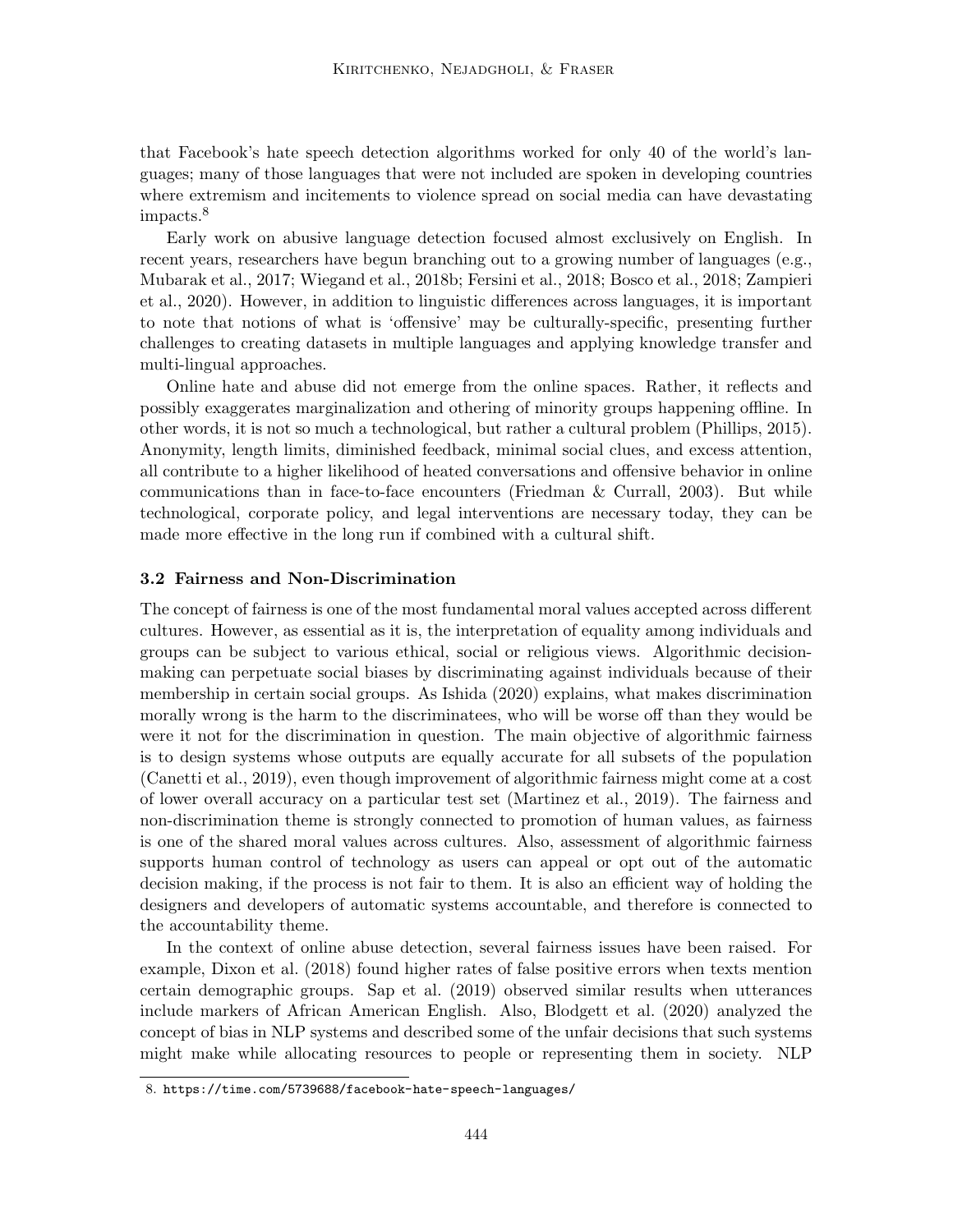that Facebook's hate speech detection algorithms worked for only 40 of the world's languages; many of those languages that were not included are spoken in developing countries where extremism and incitements to violence spread on social media can have devastating impacts.<sup>8</sup>

Early work on abusive language detection focused almost exclusively on English. In recent years, researchers have begun branching out to a growing number of languages (e.g., Mubarak et al., 2017; Wiegand et al., 2018b; Fersini et al., 2018; Bosco et al., 2018; Zampieri et al., 2020). However, in addition to linguistic differences across languages, it is important to note that notions of what is 'offensive' may be culturally-specific, presenting further challenges to creating datasets in multiple languages and applying knowledge transfer and multi-lingual approaches.

Online hate and abuse did not emerge from the online spaces. Rather, it reflects and possibly exaggerates marginalization and othering of minority groups happening offline. In other words, it is not so much a technological, but rather a cultural problem (Phillips, 2015). Anonymity, length limits, diminished feedback, minimal social clues, and excess attention, all contribute to a higher likelihood of heated conversations and offensive behavior in online communications than in face-to-face encounters (Friedman & Currall, 2003). But while technological, corporate policy, and legal interventions are necessary today, they can be made more effective in the long run if combined with a cultural shift.

## 3.2 Fairness and Non-Discrimination

The concept of fairness is one of the most fundamental moral values accepted across different cultures. However, as essential as it is, the interpretation of equality among individuals and groups can be subject to various ethical, social or religious views. Algorithmic decisionmaking can perpetuate social biases by discriminating against individuals because of their membership in certain social groups. As Ishida (2020) explains, what makes discrimination morally wrong is the harm to the discriminatees, who will be worse off than they would be were it not for the discrimination in question. The main objective of algorithmic fairness is to design systems whose outputs are equally accurate for all subsets of the population (Canetti et al., 2019), even though improvement of algorithmic fairness might come at a cost of lower overall accuracy on a particular test set (Martinez et al., 2019). The fairness and non-discrimination theme is strongly connected to promotion of human values, as fairness is one of the shared moral values across cultures. Also, assessment of algorithmic fairness supports human control of technology as users can appeal or opt out of the automatic decision making, if the process is not fair to them. It is also an efficient way of holding the designers and developers of automatic systems accountable, and therefore is connected to the accountability theme.

In the context of online abuse detection, several fairness issues have been raised. For example, Dixon et al. (2018) found higher rates of false positive errors when texts mention certain demographic groups. Sap et al. (2019) observed similar results when utterances include markers of African American English. Also, Blodgett et al. (2020) analyzed the concept of bias in NLP systems and described some of the unfair decisions that such systems might make while allocating resources to people or representing them in society. NLP

<sup>8.</sup> https://time.com/5739688/facebook-hate-speech-languages/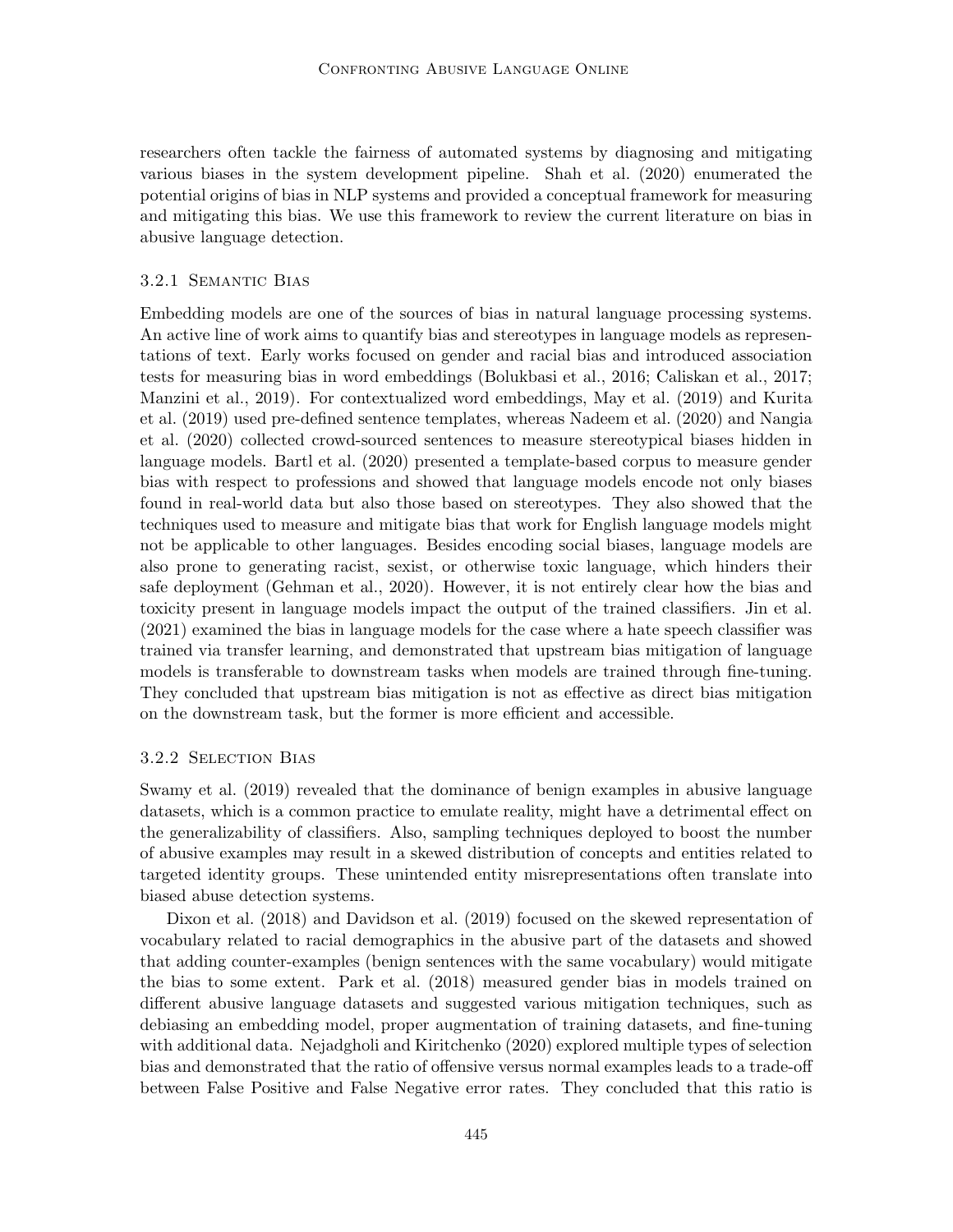researchers often tackle the fairness of automated systems by diagnosing and mitigating various biases in the system development pipeline. Shah et al. (2020) enumerated the potential origins of bias in NLP systems and provided a conceptual framework for measuring and mitigating this bias. We use this framework to review the current literature on bias in abusive language detection.

## 3.2.1 Semantic Bias

Embedding models are one of the sources of bias in natural language processing systems. An active line of work aims to quantify bias and stereotypes in language models as representations of text. Early works focused on gender and racial bias and introduced association tests for measuring bias in word embeddings (Bolukbasi et al., 2016; Caliskan et al., 2017; Manzini et al., 2019). For contextualized word embeddings, May et al. (2019) and Kurita et al. (2019) used pre-defined sentence templates, whereas Nadeem et al. (2020) and Nangia et al. (2020) collected crowd-sourced sentences to measure stereotypical biases hidden in language models. Bartl et al. (2020) presented a template-based corpus to measure gender bias with respect to professions and showed that language models encode not only biases found in real-world data but also those based on stereotypes. They also showed that the techniques used to measure and mitigate bias that work for English language models might not be applicable to other languages. Besides encoding social biases, language models are also prone to generating racist, sexist, or otherwise toxic language, which hinders their safe deployment (Gehman et al., 2020). However, it is not entirely clear how the bias and toxicity present in language models impact the output of the trained classifiers. Jin et al. (2021) examined the bias in language models for the case where a hate speech classifier was trained via transfer learning, and demonstrated that upstream bias mitigation of language models is transferable to downstream tasks when models are trained through fine-tuning. They concluded that upstream bias mitigation is not as effective as direct bias mitigation on the downstream task, but the former is more efficient and accessible.

#### 3.2.2 Selection Bias

Swamy et al. (2019) revealed that the dominance of benign examples in abusive language datasets, which is a common practice to emulate reality, might have a detrimental effect on the generalizability of classifiers. Also, sampling techniques deployed to boost the number of abusive examples may result in a skewed distribution of concepts and entities related to targeted identity groups. These unintended entity misrepresentations often translate into biased abuse detection systems.

Dixon et al. (2018) and Davidson et al. (2019) focused on the skewed representation of vocabulary related to racial demographics in the abusive part of the datasets and showed that adding counter-examples (benign sentences with the same vocabulary) would mitigate the bias to some extent. Park et al. (2018) measured gender bias in models trained on different abusive language datasets and suggested various mitigation techniques, such as debiasing an embedding model, proper augmentation of training datasets, and fine-tuning with additional data. Nejadgholi and Kiritchenko (2020) explored multiple types of selection bias and demonstrated that the ratio of offensive versus normal examples leads to a trade-off between False Positive and False Negative error rates. They concluded that this ratio is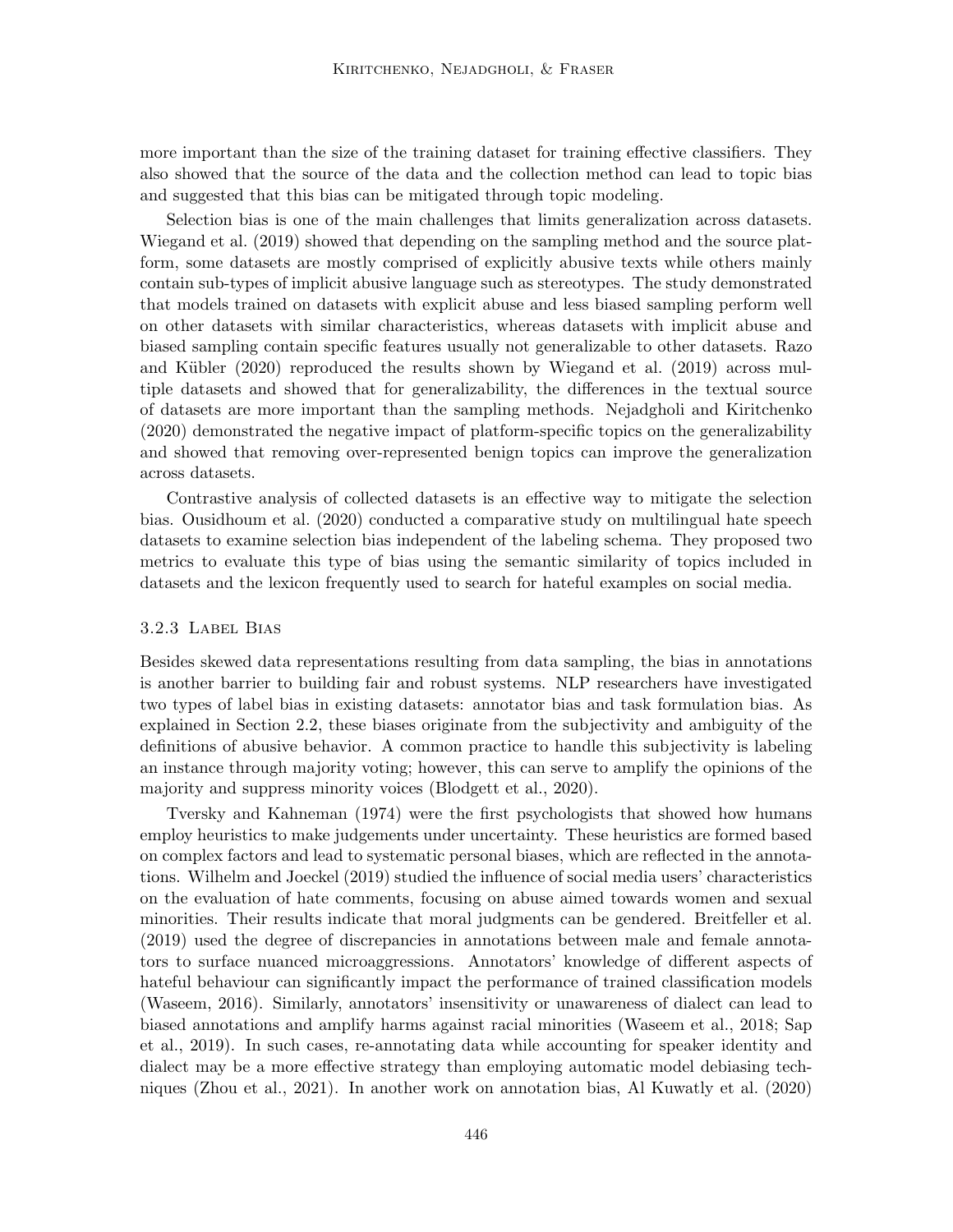more important than the size of the training dataset for training effective classifiers. They also showed that the source of the data and the collection method can lead to topic bias and suggested that this bias can be mitigated through topic modeling.

Selection bias is one of the main challenges that limits generalization across datasets. Wiegand et al. (2019) showed that depending on the sampling method and the source platform, some datasets are mostly comprised of explicitly abusive texts while others mainly contain sub-types of implicit abusive language such as stereotypes. The study demonstrated that models trained on datasets with explicit abuse and less biased sampling perform well on other datasets with similar characteristics, whereas datasets with implicit abuse and biased sampling contain specific features usually not generalizable to other datasets. Razo and Kübler  $(2020)$  reproduced the results shown by Wiegand et al.  $(2019)$  across multiple datasets and showed that for generalizability, the differences in the textual source of datasets are more important than the sampling methods. Nejadgholi and Kiritchenko (2020) demonstrated the negative impact of platform-specific topics on the generalizability and showed that removing over-represented benign topics can improve the generalization across datasets.

Contrastive analysis of collected datasets is an effective way to mitigate the selection bias. Ousidhoum et al. (2020) conducted a comparative study on multilingual hate speech datasets to examine selection bias independent of the labeling schema. They proposed two metrics to evaluate this type of bias using the semantic similarity of topics included in datasets and the lexicon frequently used to search for hateful examples on social media.

## 3.2.3 Label Bias

Besides skewed data representations resulting from data sampling, the bias in annotations is another barrier to building fair and robust systems. NLP researchers have investigated two types of label bias in existing datasets: annotator bias and task formulation bias. As explained in Section 2.2, these biases originate from the subjectivity and ambiguity of the definitions of abusive behavior. A common practice to handle this subjectivity is labeling an instance through majority voting; however, this can serve to amplify the opinions of the majority and suppress minority voices (Blodgett et al., 2020).

Tversky and Kahneman (1974) were the first psychologists that showed how humans employ heuristics to make judgements under uncertainty. These heuristics are formed based on complex factors and lead to systematic personal biases, which are reflected in the annotations. Wilhelm and Joeckel (2019) studied the influence of social media users' characteristics on the evaluation of hate comments, focusing on abuse aimed towards women and sexual minorities. Their results indicate that moral judgments can be gendered. Breitfeller et al. (2019) used the degree of discrepancies in annotations between male and female annotators to surface nuanced microaggressions. Annotators' knowledge of different aspects of hateful behaviour can significantly impact the performance of trained classification models (Waseem, 2016). Similarly, annotators' insensitivity or unawareness of dialect can lead to biased annotations and amplify harms against racial minorities (Waseem et al., 2018; Sap et al., 2019). In such cases, re-annotating data while accounting for speaker identity and dialect may be a more effective strategy than employing automatic model debiasing techniques (Zhou et al., 2021). In another work on annotation bias, Al Kuwatly et al. (2020)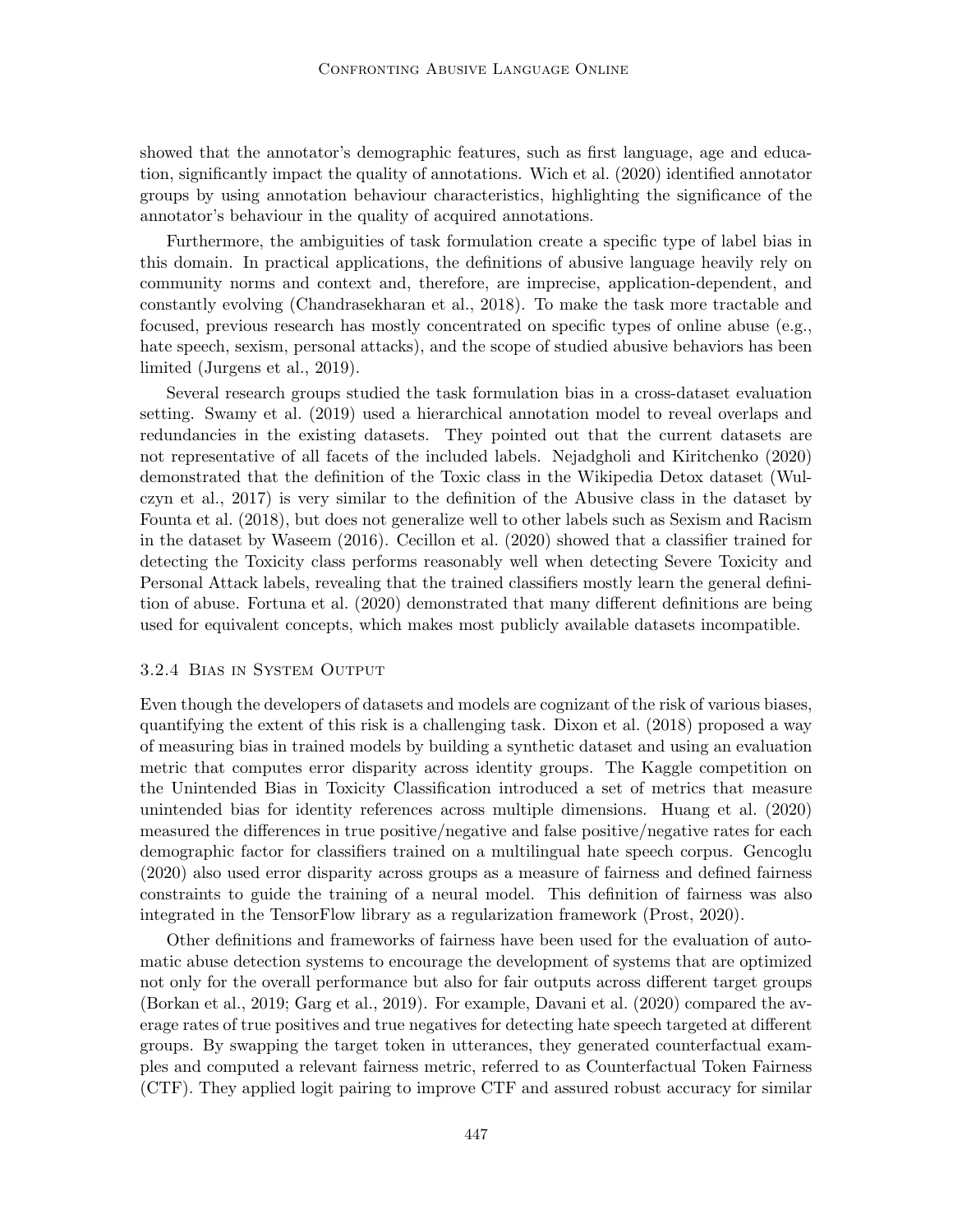showed that the annotator's demographic features, such as first language, age and education, significantly impact the quality of annotations. Wich et al. (2020) identified annotator groups by using annotation behaviour characteristics, highlighting the significance of the annotator's behaviour in the quality of acquired annotations.

Furthermore, the ambiguities of task formulation create a specific type of label bias in this domain. In practical applications, the definitions of abusive language heavily rely on community norms and context and, therefore, are imprecise, application-dependent, and constantly evolving (Chandrasekharan et al., 2018). To make the task more tractable and focused, previous research has mostly concentrated on specific types of online abuse (e.g., hate speech, sexism, personal attacks), and the scope of studied abusive behaviors has been limited (Jurgens et al., 2019).

Several research groups studied the task formulation bias in a cross-dataset evaluation setting. Swamy et al. (2019) used a hierarchical annotation model to reveal overlaps and redundancies in the existing datasets. They pointed out that the current datasets are not representative of all facets of the included labels. Nejadgholi and Kiritchenko (2020) demonstrated that the definition of the Toxic class in the Wikipedia Detox dataset (Wulczyn et al., 2017) is very similar to the definition of the Abusive class in the dataset by Founta et al. (2018), but does not generalize well to other labels such as Sexism and Racism in the dataset by Waseem (2016). Cecillon et al. (2020) showed that a classifier trained for detecting the Toxicity class performs reasonably well when detecting Severe Toxicity and Personal Attack labels, revealing that the trained classifiers mostly learn the general definition of abuse. Fortuna et al. (2020) demonstrated that many different definitions are being used for equivalent concepts, which makes most publicly available datasets incompatible.

## 3.2.4 Bias in System Output

Even though the developers of datasets and models are cognizant of the risk of various biases, quantifying the extent of this risk is a challenging task. Dixon et al. (2018) proposed a way of measuring bias in trained models by building a synthetic dataset and using an evaluation metric that computes error disparity across identity groups. The Kaggle competition on the Unintended Bias in Toxicity Classification introduced a set of metrics that measure unintended bias for identity references across multiple dimensions. Huang et al. (2020) measured the differences in true positive/negative and false positive/negative rates for each demographic factor for classifiers trained on a multilingual hate speech corpus. Gencoglu (2020) also used error disparity across groups as a measure of fairness and defined fairness constraints to guide the training of a neural model. This definition of fairness was also integrated in the TensorFlow library as a regularization framework (Prost, 2020).

Other definitions and frameworks of fairness have been used for the evaluation of automatic abuse detection systems to encourage the development of systems that are optimized not only for the overall performance but also for fair outputs across different target groups (Borkan et al., 2019; Garg et al., 2019). For example, Davani et al. (2020) compared the average rates of true positives and true negatives for detecting hate speech targeted at different groups. By swapping the target token in utterances, they generated counterfactual examples and computed a relevant fairness metric, referred to as Counterfactual Token Fairness (CTF). They applied logit pairing to improve CTF and assured robust accuracy for similar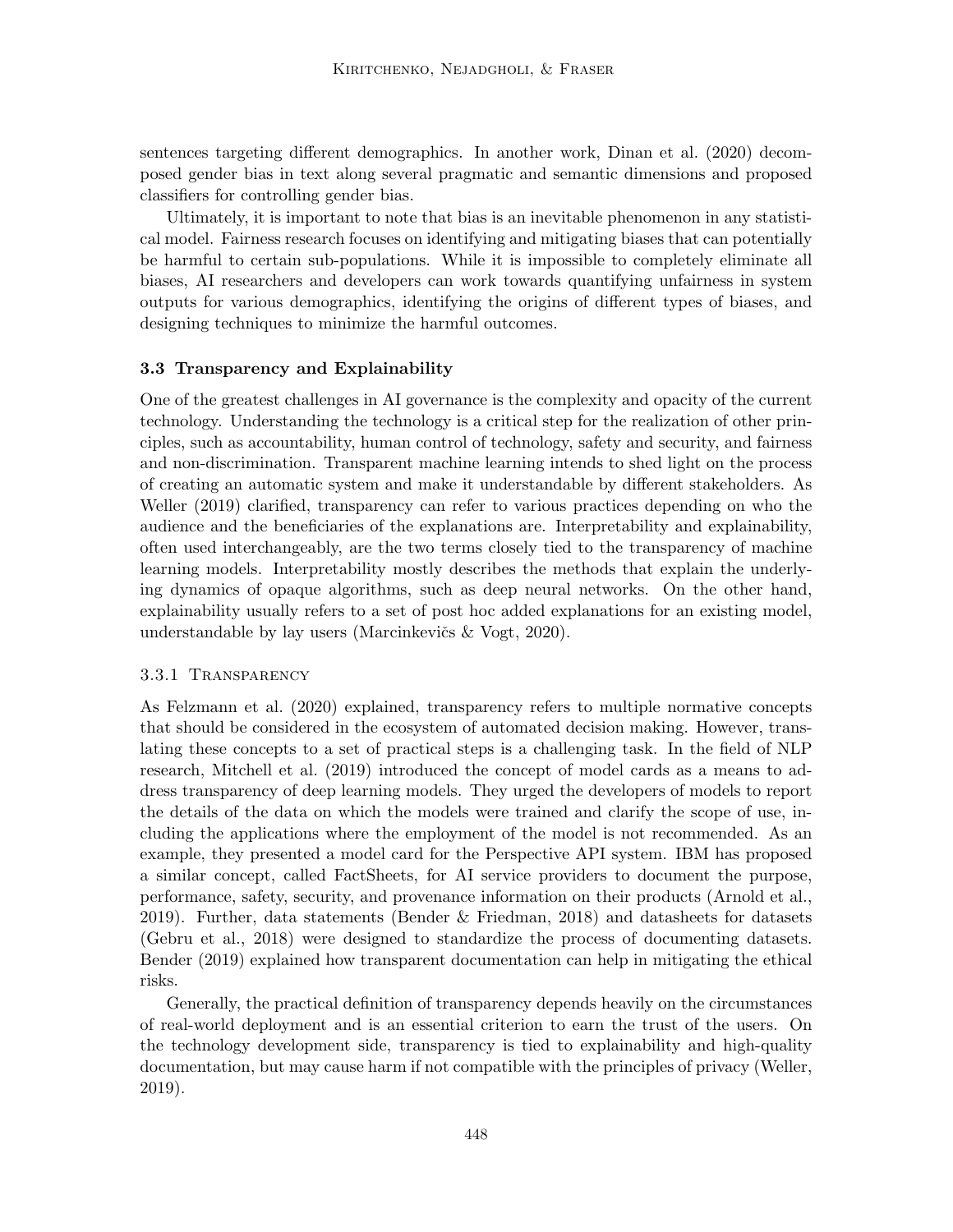sentences targeting different demographics. In another work, Dinan et al. (2020) decomposed gender bias in text along several pragmatic and semantic dimensions and proposed classifiers for controlling gender bias.

Ultimately, it is important to note that bias is an inevitable phenomenon in any statistical model. Fairness research focuses on identifying and mitigating biases that can potentially be harmful to certain sub-populations. While it is impossible to completely eliminate all biases, AI researchers and developers can work towards quantifying unfairness in system outputs for various demographics, identifying the origins of different types of biases, and designing techniques to minimize the harmful outcomes.

## 3.3 Transparency and Explainability

One of the greatest challenges in AI governance is the complexity and opacity of the current technology. Understanding the technology is a critical step for the realization of other principles, such as accountability, human control of technology, safety and security, and fairness and non-discrimination. Transparent machine learning intends to shed light on the process of creating an automatic system and make it understandable by different stakeholders. As Weller (2019) clarified, transparency can refer to various practices depending on who the audience and the beneficiaries of the explanations are. Interpretability and explainability, often used interchangeably, are the two terms closely tied to the transparency of machine learning models. Interpretability mostly describes the methods that explain the underlying dynamics of opaque algorithms, such as deep neural networks. On the other hand, explainability usually refers to a set of post hoc added explanations for an existing model, understandable by lay users (Marcinkevičs  $& V$ ogt, 2020).

## 3.3.1 Transparency

As Felzmann et al. (2020) explained, transparency refers to multiple normative concepts that should be considered in the ecosystem of automated decision making. However, translating these concepts to a set of practical steps is a challenging task. In the field of NLP research, Mitchell et al. (2019) introduced the concept of model cards as a means to address transparency of deep learning models. They urged the developers of models to report the details of the data on which the models were trained and clarify the scope of use, including the applications where the employment of the model is not recommended. As an example, they presented a model card for the Perspective API system. IBM has proposed a similar concept, called FactSheets, for AI service providers to document the purpose, performance, safety, security, and provenance information on their products (Arnold et al., 2019). Further, data statements (Bender & Friedman, 2018) and datasheets for datasets (Gebru et al., 2018) were designed to standardize the process of documenting datasets. Bender (2019) explained how transparent documentation can help in mitigating the ethical risks.

Generally, the practical definition of transparency depends heavily on the circumstances of real-world deployment and is an essential criterion to earn the trust of the users. On the technology development side, transparency is tied to explainability and high-quality documentation, but may cause harm if not compatible with the principles of privacy (Weller, 2019).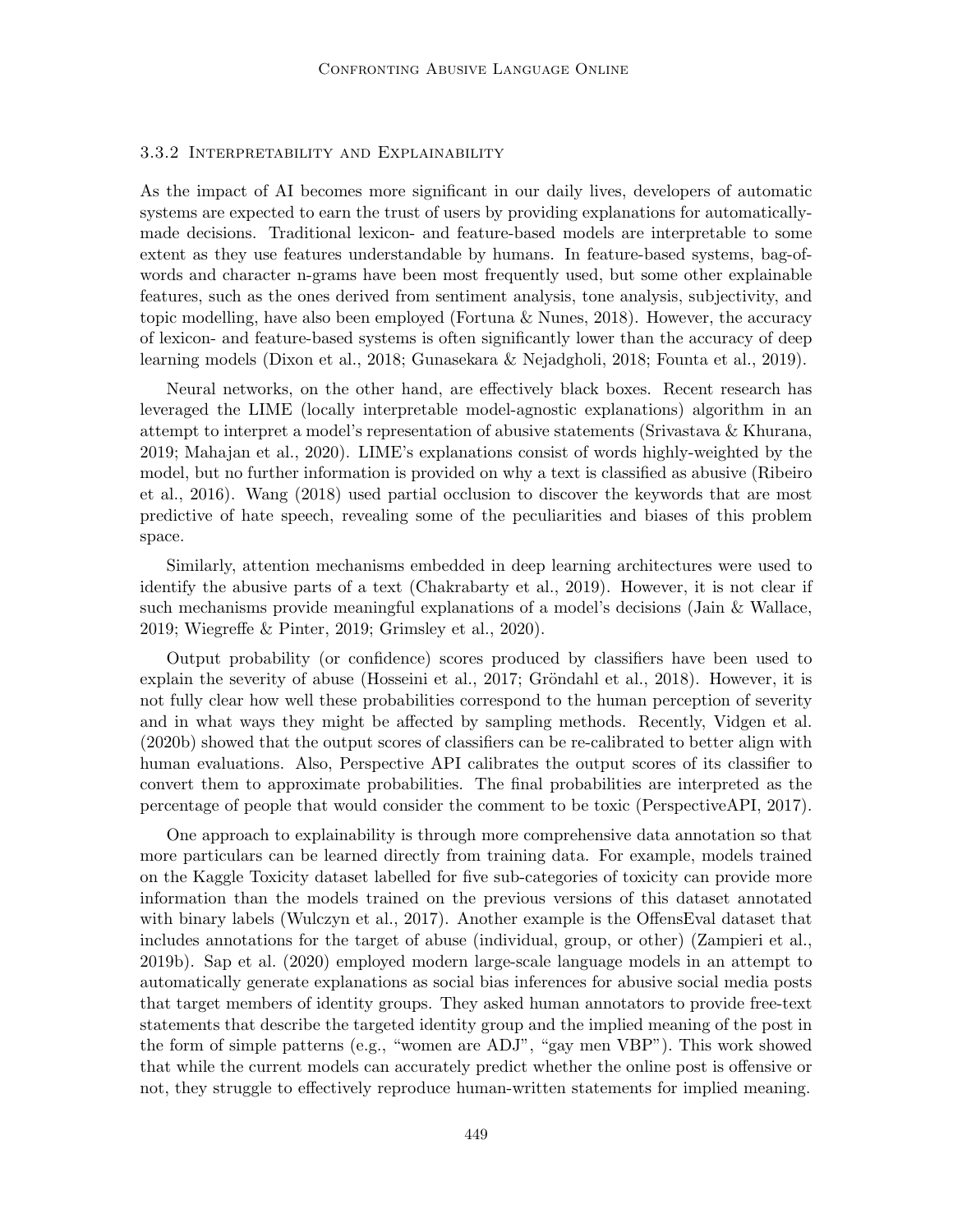## 3.3.2 Interpretability and Explainability

As the impact of AI becomes more significant in our daily lives, developers of automatic systems are expected to earn the trust of users by providing explanations for automaticallymade decisions. Traditional lexicon- and feature-based models are interpretable to some extent as they use features understandable by humans. In feature-based systems, bag-ofwords and character n-grams have been most frequently used, but some other explainable features, such as the ones derived from sentiment analysis, tone analysis, subjectivity, and topic modelling, have also been employed (Fortuna & Nunes, 2018). However, the accuracy of lexicon- and feature-based systems is often significantly lower than the accuracy of deep learning models (Dixon et al., 2018; Gunasekara & Nejadgholi, 2018; Founta et al., 2019).

Neural networks, on the other hand, are effectively black boxes. Recent research has leveraged the LIME (locally interpretable model-agnostic explanations) algorithm in an attempt to interpret a model's representation of abusive statements (Srivastava & Khurana, 2019; Mahajan et al., 2020). LIME's explanations consist of words highly-weighted by the model, but no further information is provided on why a text is classified as abusive (Ribeiro et al., 2016). Wang (2018) used partial occlusion to discover the keywords that are most predictive of hate speech, revealing some of the peculiarities and biases of this problem space.

Similarly, attention mechanisms embedded in deep learning architectures were used to identify the abusive parts of a text (Chakrabarty et al., 2019). However, it is not clear if such mechanisms provide meaningful explanations of a model's decisions (Jain & Wallace, 2019; Wiegreffe & Pinter, 2019; Grimsley et al., 2020).

Output probability (or confidence) scores produced by classifiers have been used to explain the severity of abuse (Hosseini et al.,  $2017$ ; Gröndahl et al.,  $2018$ ). However, it is not fully clear how well these probabilities correspond to the human perception of severity and in what ways they might be affected by sampling methods. Recently, Vidgen et al. (2020b) showed that the output scores of classifiers can be re-calibrated to better align with human evaluations. Also, Perspective API calibrates the output scores of its classifier to convert them to approximate probabilities. The final probabilities are interpreted as the percentage of people that would consider the comment to be toxic (PerspectiveAPI, 2017).

One approach to explainability is through more comprehensive data annotation so that more particulars can be learned directly from training data. For example, models trained on the Kaggle Toxicity dataset labelled for five sub-categories of toxicity can provide more information than the models trained on the previous versions of this dataset annotated with binary labels (Wulczyn et al., 2017). Another example is the OffensEval dataset that includes annotations for the target of abuse (individual, group, or other) (Zampieri et al., 2019b). Sap et al. (2020) employed modern large-scale language models in an attempt to automatically generate explanations as social bias inferences for abusive social media posts that target members of identity groups. They asked human annotators to provide free-text statements that describe the targeted identity group and the implied meaning of the post in the form of simple patterns (e.g., "women are ADJ", "gay men VBP"). This work showed that while the current models can accurately predict whether the online post is offensive or not, they struggle to effectively reproduce human-written statements for implied meaning.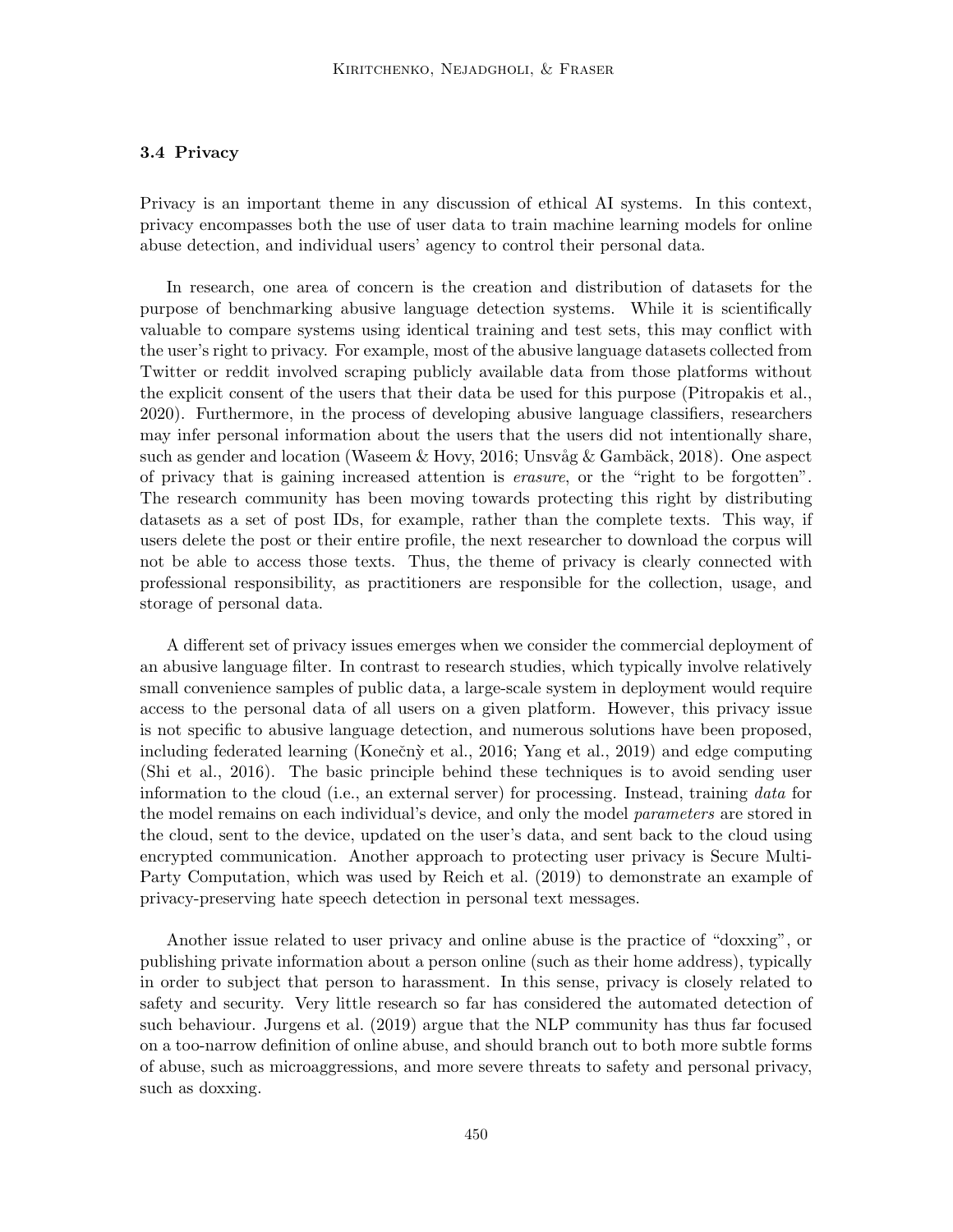# 3.4 Privacy

Privacy is an important theme in any discussion of ethical AI systems. In this context, privacy encompasses both the use of user data to train machine learning models for online abuse detection, and individual users' agency to control their personal data.

In research, one area of concern is the creation and distribution of datasets for the purpose of benchmarking abusive language detection systems. While it is scientifically valuable to compare systems using identical training and test sets, this may conflict with the user's right to privacy. For example, most of the abusive language datasets collected from Twitter or reddit involved scraping publicly available data from those platforms without the explicit consent of the users that their data be used for this purpose (Pitropakis et al., 2020). Furthermore, in the process of developing abusive language classifiers, researchers may infer personal information about the users that the users did not intentionally share, such as gender and location (Waseem & Hovy, 2016; Unsvåg & Gambäck, 2018). One aspect of privacy that is gaining increased attention is erasure, or the "right to be forgotten". The research community has been moving towards protecting this right by distributing datasets as a set of post IDs, for example, rather than the complete texts. This way, if users delete the post or their entire profile, the next researcher to download the corpus will not be able to access those texts. Thus, the theme of privacy is clearly connected with professional responsibility, as practitioners are responsible for the collection, usage, and storage of personal data.

A different set of privacy issues emerges when we consider the commercial deployment of an abusive language filter. In contrast to research studies, which typically involve relatively small convenience samples of public data, a large-scale system in deployment would require access to the personal data of all users on a given platform. However, this privacy issue is not specific to abusive language detection, and numerous solutions have been proposed, including federated learning (Konečnỳ et al., 2016; Yang et al., 2019) and edge computing (Shi et al., 2016). The basic principle behind these techniques is to avoid sending user information to the cloud (i.e., an external server) for processing. Instead, training data for the model remains on each individual's device, and only the model *parameters* are stored in the cloud, sent to the device, updated on the user's data, and sent back to the cloud using encrypted communication. Another approach to protecting user privacy is Secure Multi-Party Computation, which was used by Reich et al. (2019) to demonstrate an example of privacy-preserving hate speech detection in personal text messages.

Another issue related to user privacy and online abuse is the practice of "doxxing", or publishing private information about a person online (such as their home address), typically in order to subject that person to harassment. In this sense, privacy is closely related to safety and security. Very little research so far has considered the automated detection of such behaviour. Jurgens et al. (2019) argue that the NLP community has thus far focused on a too-narrow definition of online abuse, and should branch out to both more subtle forms of abuse, such as microaggressions, and more severe threats to safety and personal privacy, such as doxxing.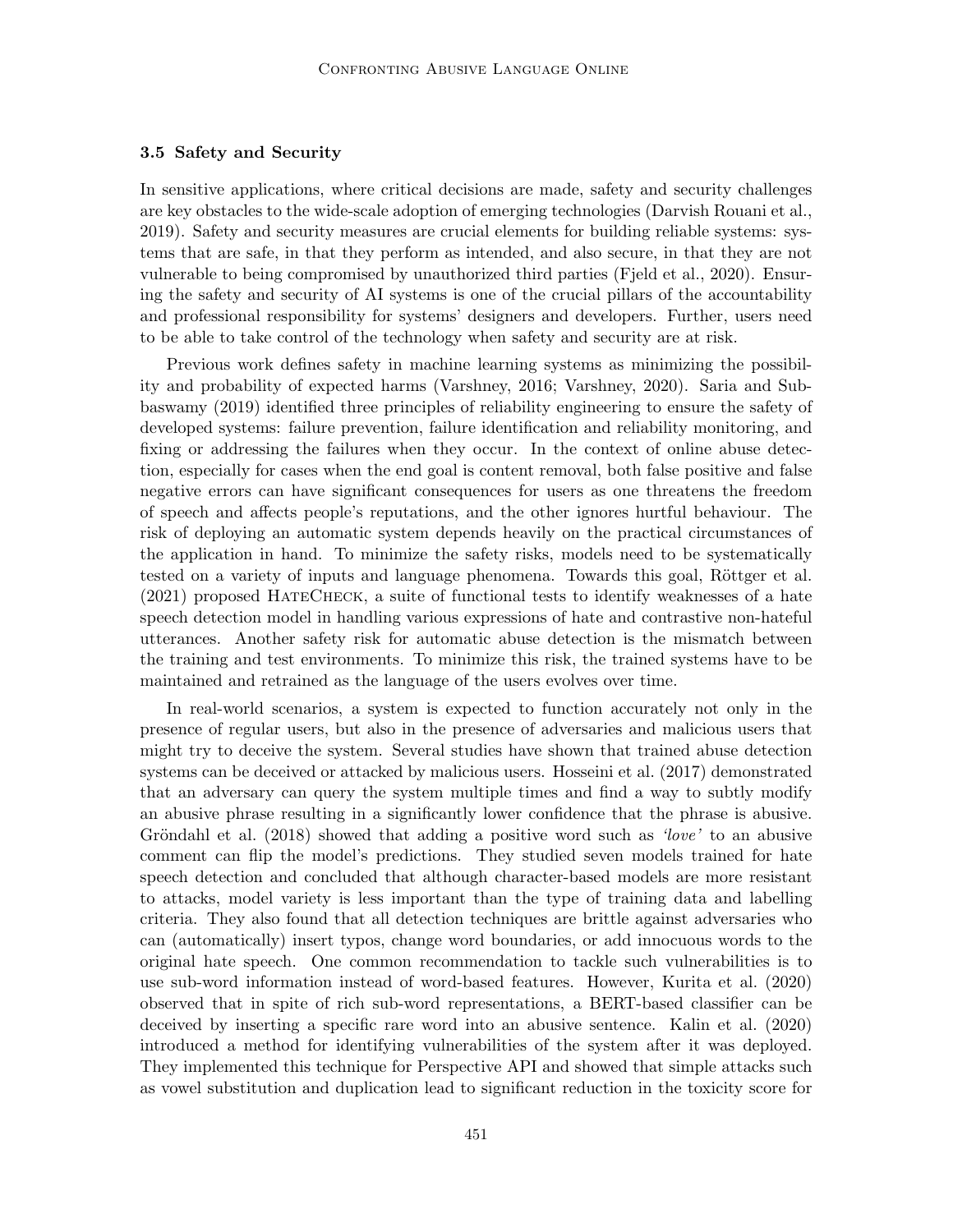#### 3.5 Safety and Security

In sensitive applications, where critical decisions are made, safety and security challenges are key obstacles to the wide-scale adoption of emerging technologies (Darvish Rouani et al., 2019). Safety and security measures are crucial elements for building reliable systems: systems that are safe, in that they perform as intended, and also secure, in that they are not vulnerable to being compromised by unauthorized third parties (Fjeld et al., 2020). Ensuring the safety and security of AI systems is one of the crucial pillars of the accountability and professional responsibility for systems' designers and developers. Further, users need to be able to take control of the technology when safety and security are at risk.

Previous work defines safety in machine learning systems as minimizing the possibility and probability of expected harms (Varshney, 2016; Varshney, 2020). Saria and Subbaswamy (2019) identified three principles of reliability engineering to ensure the safety of developed systems: failure prevention, failure identification and reliability monitoring, and fixing or addressing the failures when they occur. In the context of online abuse detection, especially for cases when the end goal is content removal, both false positive and false negative errors can have significant consequences for users as one threatens the freedom of speech and affects people's reputations, and the other ignores hurtful behaviour. The risk of deploying an automatic system depends heavily on the practical circumstances of the application in hand. To minimize the safety risks, models need to be systematically tested on a variety of inputs and language phenomena. Towards this goal, Röttger et al. (2021) proposed HateCheck, a suite of functional tests to identify weaknesses of a hate speech detection model in handling various expressions of hate and contrastive non-hateful utterances. Another safety risk for automatic abuse detection is the mismatch between the training and test environments. To minimize this risk, the trained systems have to be maintained and retrained as the language of the users evolves over time.

In real-world scenarios, a system is expected to function accurately not only in the presence of regular users, but also in the presence of adversaries and malicious users that might try to deceive the system. Several studies have shown that trained abuse detection systems can be deceived or attacked by malicious users. Hosseini et al. (2017) demonstrated that an adversary can query the system multiple times and find a way to subtly modify an abusive phrase resulting in a significantly lower confidence that the phrase is abusive. Gröndahl et al.  $(2018)$  showed that adding a positive word such as 'love' to an abusive comment can flip the model's predictions. They studied seven models trained for hate speech detection and concluded that although character-based models are more resistant to attacks, model variety is less important than the type of training data and labelling criteria. They also found that all detection techniques are brittle against adversaries who can (automatically) insert typos, change word boundaries, or add innocuous words to the original hate speech. One common recommendation to tackle such vulnerabilities is to use sub-word information instead of word-based features. However, Kurita et al. (2020) observed that in spite of rich sub-word representations, a BERT-based classifier can be deceived by inserting a specific rare word into an abusive sentence. Kalin et al. (2020) introduced a method for identifying vulnerabilities of the system after it was deployed. They implemented this technique for Perspective API and showed that simple attacks such as vowel substitution and duplication lead to significant reduction in the toxicity score for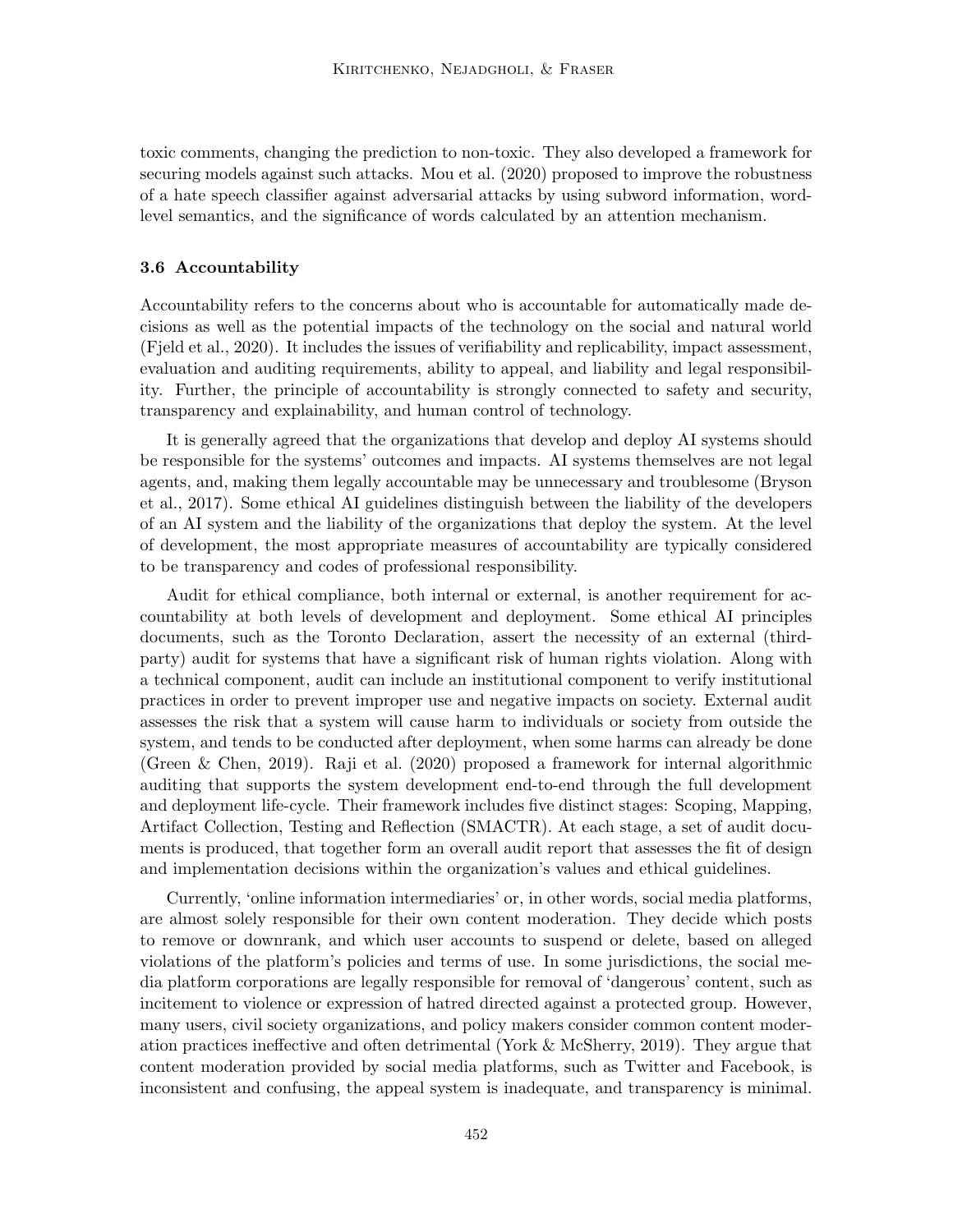toxic comments, changing the prediction to non-toxic. They also developed a framework for securing models against such attacks. Mou et al. (2020) proposed to improve the robustness of a hate speech classifier against adversarial attacks by using subword information, wordlevel semantics, and the significance of words calculated by an attention mechanism.

## 3.6 Accountability

Accountability refers to the concerns about who is accountable for automatically made decisions as well as the potential impacts of the technology on the social and natural world (Fjeld et al., 2020). It includes the issues of verifiability and replicability, impact assessment, evaluation and auditing requirements, ability to appeal, and liability and legal responsibility. Further, the principle of accountability is strongly connected to safety and security, transparency and explainability, and human control of technology.

It is generally agreed that the organizations that develop and deploy AI systems should be responsible for the systems' outcomes and impacts. AI systems themselves are not legal agents, and, making them legally accountable may be unnecessary and troublesome (Bryson et al., 2017). Some ethical AI guidelines distinguish between the liability of the developers of an AI system and the liability of the organizations that deploy the system. At the level of development, the most appropriate measures of accountability are typically considered to be transparency and codes of professional responsibility.

Audit for ethical compliance, both internal or external, is another requirement for accountability at both levels of development and deployment. Some ethical AI principles documents, such as the Toronto Declaration, assert the necessity of an external (thirdparty) audit for systems that have a significant risk of human rights violation. Along with a technical component, audit can include an institutional component to verify institutional practices in order to prevent improper use and negative impacts on society. External audit assesses the risk that a system will cause harm to individuals or society from outside the system, and tends to be conducted after deployment, when some harms can already be done (Green & Chen, 2019). Raji et al. (2020) proposed a framework for internal algorithmic auditing that supports the system development end-to-end through the full development and deployment life-cycle. Their framework includes five distinct stages: Scoping, Mapping, Artifact Collection, Testing and Reflection (SMACTR). At each stage, a set of audit documents is produced, that together form an overall audit report that assesses the fit of design and implementation decisions within the organization's values and ethical guidelines.

Currently, 'online information intermediaries' or, in other words, social media platforms, are almost solely responsible for their own content moderation. They decide which posts to remove or downrank, and which user accounts to suspend or delete, based on alleged violations of the platform's policies and terms of use. In some jurisdictions, the social media platform corporations are legally responsible for removal of 'dangerous' content, such as incitement to violence or expression of hatred directed against a protected group. However, many users, civil society organizations, and policy makers consider common content moderation practices ineffective and often detrimental (York & McSherry, 2019). They argue that content moderation provided by social media platforms, such as Twitter and Facebook, is inconsistent and confusing, the appeal system is inadequate, and transparency is minimal.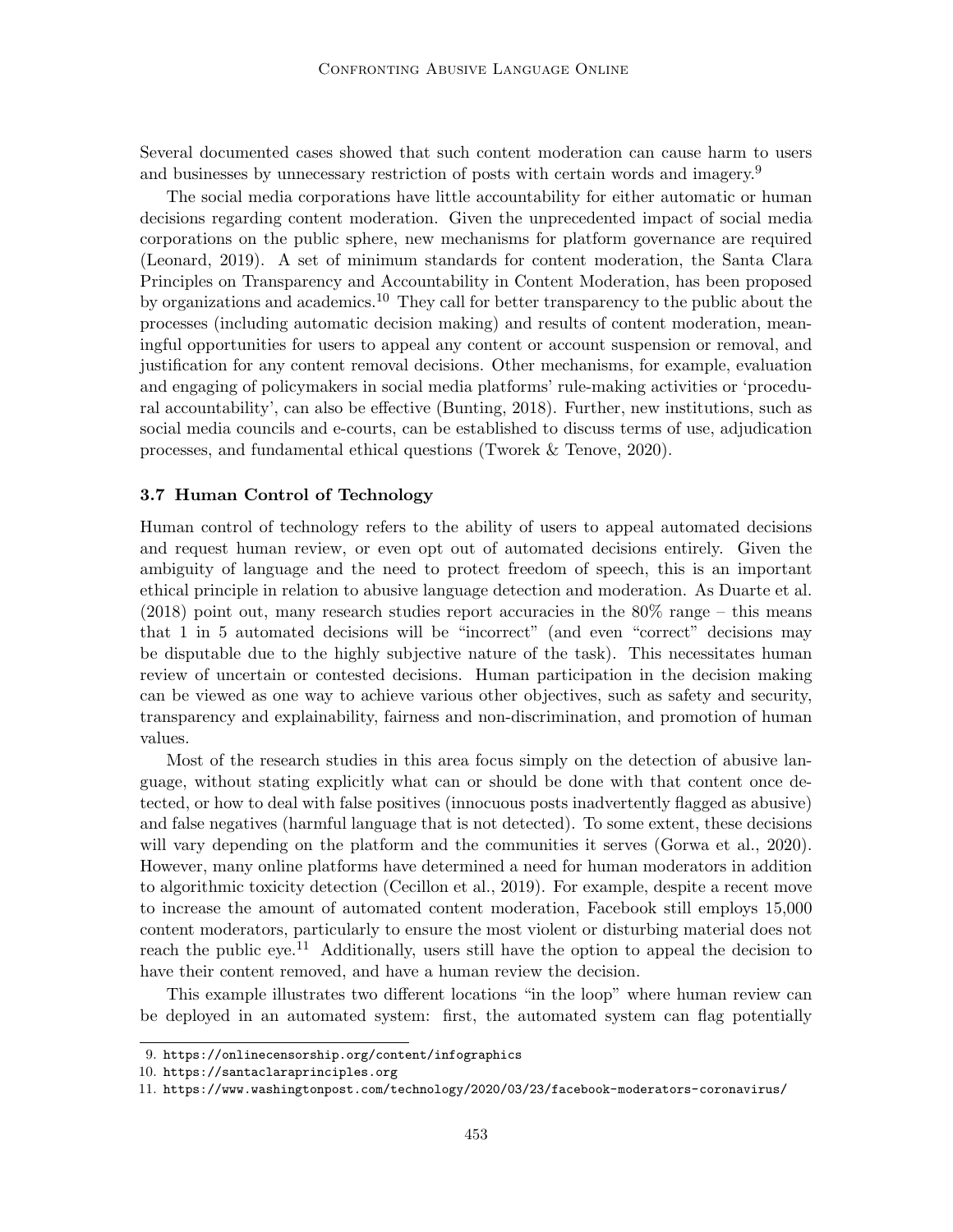Several documented cases showed that such content moderation can cause harm to users and businesses by unnecessary restriction of posts with certain words and imagery.<sup>9</sup>

The social media corporations have little accountability for either automatic or human decisions regarding content moderation. Given the unprecedented impact of social media corporations on the public sphere, new mechanisms for platform governance are required (Leonard, 2019). A set of minimum standards for content moderation, the Santa Clara Principles on Transparency and Accountability in Content Moderation, has been proposed by organizations and academics.<sup>10</sup> They call for better transparency to the public about the processes (including automatic decision making) and results of content moderation, meaningful opportunities for users to appeal any content or account suspension or removal, and justification for any content removal decisions. Other mechanisms, for example, evaluation and engaging of policymakers in social media platforms' rule-making activities or 'procedural accountability', can also be effective (Bunting, 2018). Further, new institutions, such as social media councils and e-courts, can be established to discuss terms of use, adjudication processes, and fundamental ethical questions (Tworek & Tenove, 2020).

### 3.7 Human Control of Technology

Human control of technology refers to the ability of users to appeal automated decisions and request human review, or even opt out of automated decisions entirely. Given the ambiguity of language and the need to protect freedom of speech, this is an important ethical principle in relation to abusive language detection and moderation. As Duarte et al.  $(2018)$  point out, many research studies report accuracies in the  $80\%$  range – this means that 1 in 5 automated decisions will be "incorrect" (and even "correct" decisions may be disputable due to the highly subjective nature of the task). This necessitates human review of uncertain or contested decisions. Human participation in the decision making can be viewed as one way to achieve various other objectives, such as safety and security, transparency and explainability, fairness and non-discrimination, and promotion of human values.

Most of the research studies in this area focus simply on the detection of abusive language, without stating explicitly what can or should be done with that content once detected, or how to deal with false positives (innocuous posts inadvertently flagged as abusive) and false negatives (harmful language that is not detected). To some extent, these decisions will vary depending on the platform and the communities it serves (Gorwa et al., 2020). However, many online platforms have determined a need for human moderators in addition to algorithmic toxicity detection (Cecillon et al., 2019). For example, despite a recent move to increase the amount of automated content moderation, Facebook still employs 15,000 content moderators, particularly to ensure the most violent or disturbing material does not reach the public eye.<sup>11</sup> Additionally, users still have the option to appeal the decision to have their content removed, and have a human review the decision.

This example illustrates two different locations "in the loop" where human review can be deployed in an automated system: first, the automated system can flag potentially

<sup>9.</sup> https://onlinecensorship.org/content/infographics

<sup>10.</sup> https://santaclaraprinciples.org

<sup>11.</sup> https://www.washingtonpost.com/technology/2020/03/23/facebook-moderators-coronavirus/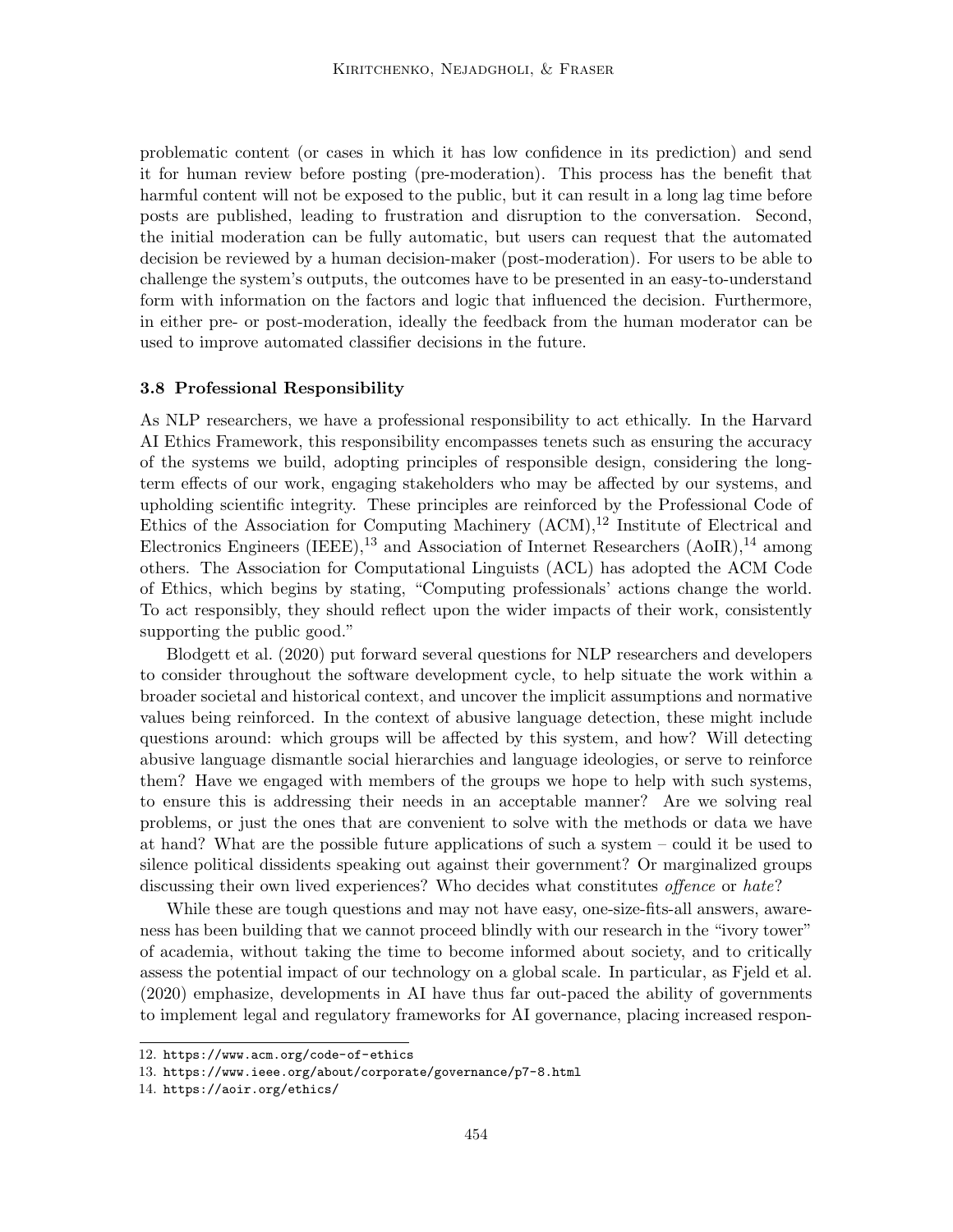problematic content (or cases in which it has low confidence in its prediction) and send it for human review before posting (pre-moderation). This process has the benefit that harmful content will not be exposed to the public, but it can result in a long lag time before posts are published, leading to frustration and disruption to the conversation. Second, the initial moderation can be fully automatic, but users can request that the automated decision be reviewed by a human decision-maker (post-moderation). For users to be able to challenge the system's outputs, the outcomes have to be presented in an easy-to-understand form with information on the factors and logic that influenced the decision. Furthermore, in either pre- or post-moderation, ideally the feedback from the human moderator can be used to improve automated classifier decisions in the future.

### 3.8 Professional Responsibility

As NLP researchers, we have a professional responsibility to act ethically. In the Harvard AI Ethics Framework, this responsibility encompasses tenets such as ensuring the accuracy of the systems we build, adopting principles of responsible design, considering the longterm effects of our work, engaging stakeholders who may be affected by our systems, and upholding scientific integrity. These principles are reinforced by the Professional Code of Ethics of the Association for Computing Machinery  $(ACM)$ ,<sup>12</sup> Institute of Electrical and Electronics Engineers (IEEE),<sup>13</sup> and Association of Internet Researchers  $(AoIR)$ ,<sup>14</sup> among others. The Association for Computational Linguists (ACL) has adopted the ACM Code of Ethics, which begins by stating, "Computing professionals' actions change the world. To act responsibly, they should reflect upon the wider impacts of their work, consistently supporting the public good."

Blodgett et al. (2020) put forward several questions for NLP researchers and developers to consider throughout the software development cycle, to help situate the work within a broader societal and historical context, and uncover the implicit assumptions and normative values being reinforced. In the context of abusive language detection, these might include questions around: which groups will be affected by this system, and how? Will detecting abusive language dismantle social hierarchies and language ideologies, or serve to reinforce them? Have we engaged with members of the groups we hope to help with such systems, to ensure this is addressing their needs in an acceptable manner? Are we solving real problems, or just the ones that are convenient to solve with the methods or data we have at hand? What are the possible future applications of such a system – could it be used to silence political dissidents speaking out against their government? Or marginalized groups discussing their own lived experiences? Who decides what constitutes *offence* or *hate*?

While these are tough questions and may not have easy, one-size-fits-all answers, awareness has been building that we cannot proceed blindly with our research in the "ivory tower" of academia, without taking the time to become informed about society, and to critically assess the potential impact of our technology on a global scale. In particular, as Fjeld et al. (2020) emphasize, developments in AI have thus far out-paced the ability of governments to implement legal and regulatory frameworks for AI governance, placing increased respon-

<sup>12.</sup> https://www.acm.org/code-of-ethics

<sup>13.</sup> https://www.ieee.org/about/corporate/governance/p7-8.html

<sup>14.</sup> https://aoir.org/ethics/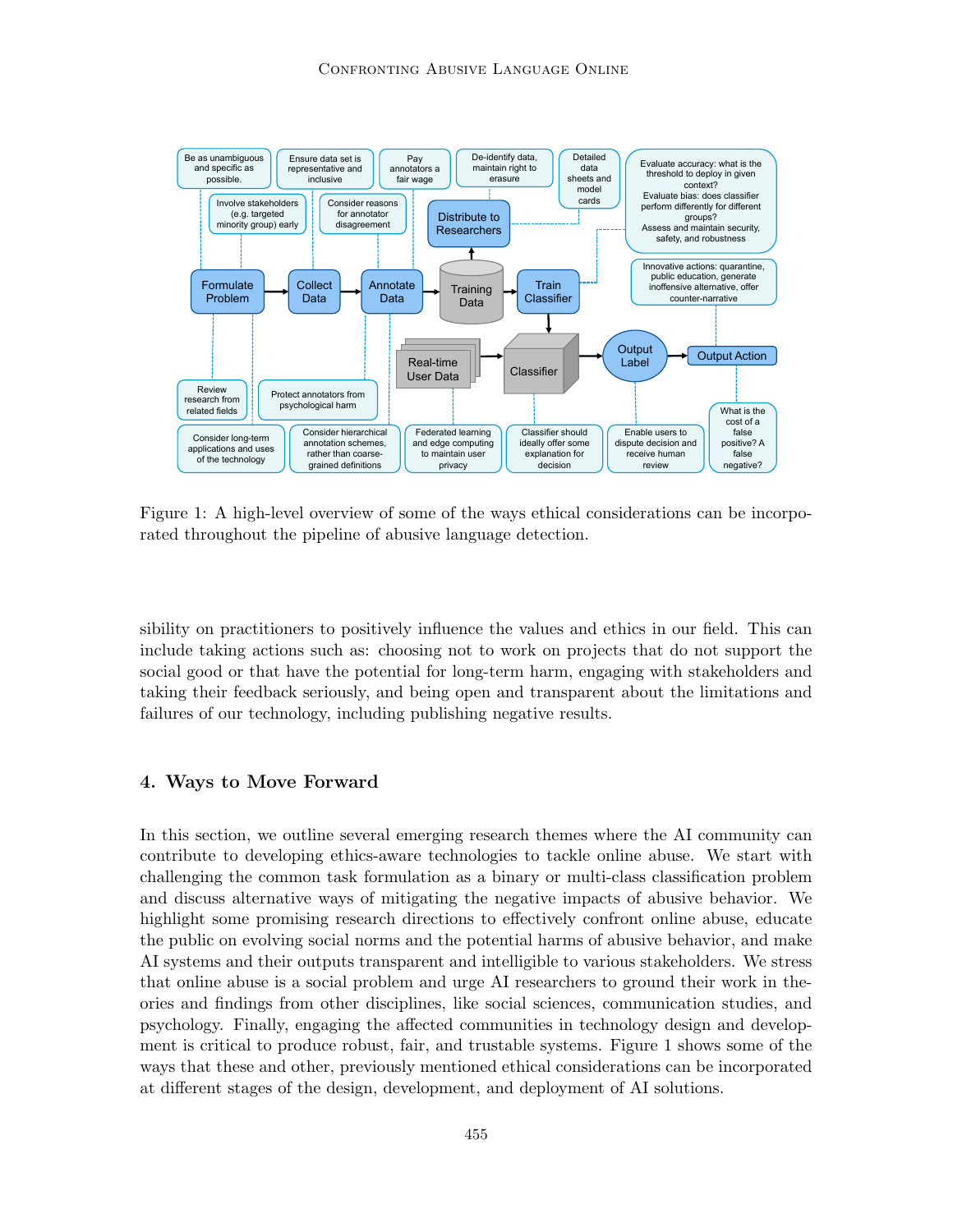

Figure 1: A high-level overview of some of the ways ethical considerations can be incorporated throughout the pipeline of abusive language detection.

sibility on practitioners to positively influence the values and ethics in our field. This can include taking actions such as: choosing not to work on projects that do not support the social good or that have the potential for long-term harm, engaging with stakeholders and taking their feedback seriously, and being open and transparent about the limitations and failures of our technology, including publishing negative results.

# 4. Ways to Move Forward

In this section, we outline several emerging research themes where the AI community can contribute to developing ethics-aware technologies to tackle online abuse. We start with challenging the common task formulation as a binary or multi-class classification problem and discuss alternative ways of mitigating the negative impacts of abusive behavior. We highlight some promising research directions to effectively confront online abuse, educate the public on evolving social norms and the potential harms of abusive behavior, and make AI systems and their outputs transparent and intelligible to various stakeholders. We stress that online abuse is a social problem and urge AI researchers to ground their work in theories and findings from other disciplines, like social sciences, communication studies, and psychology. Finally, engaging the affected communities in technology design and development is critical to produce robust, fair, and trustable systems. Figure 1 shows some of the ways that these and other, previously mentioned ethical considerations can be incorporated at different stages of the design, development, and deployment of AI solutions.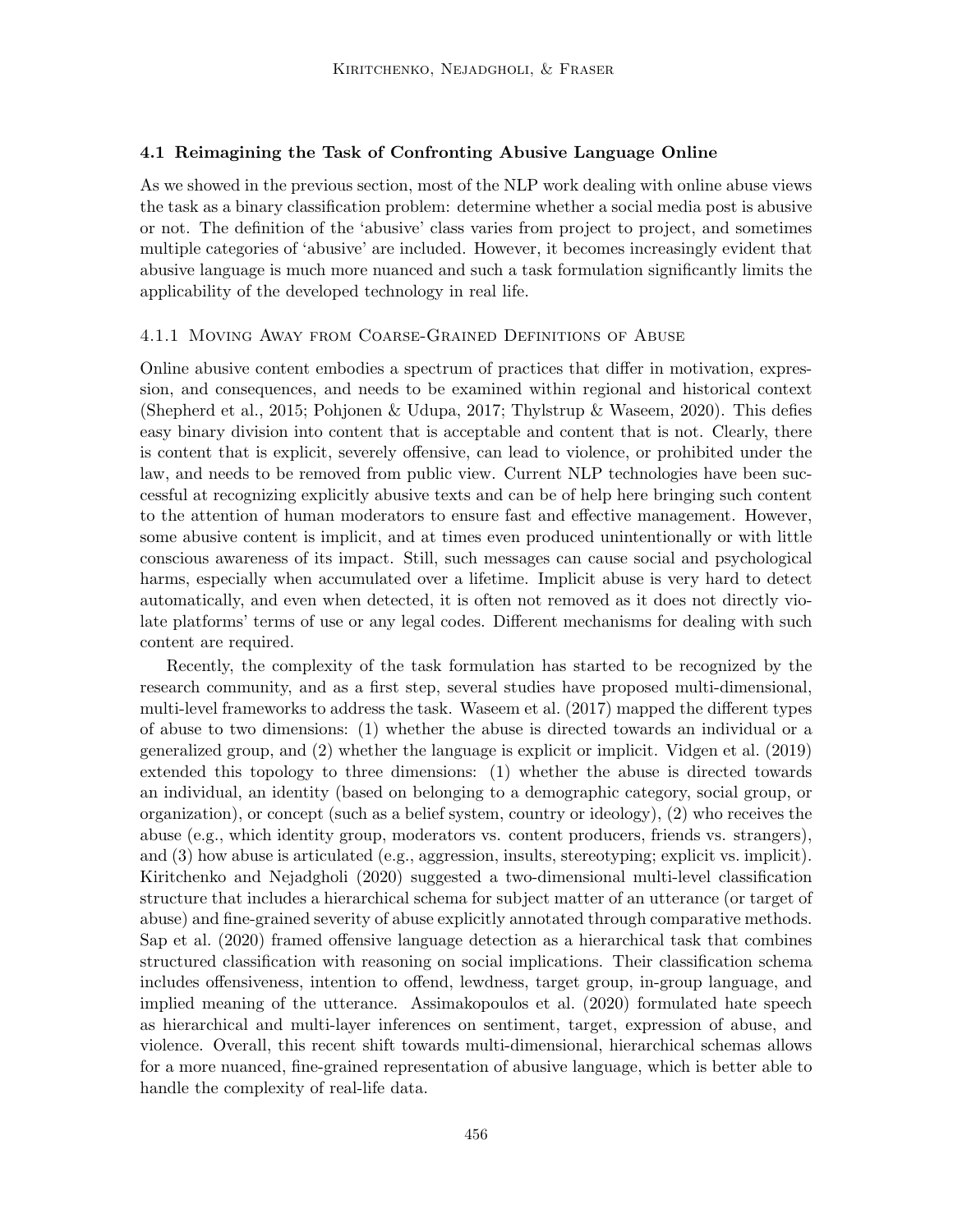## 4.1 Reimagining the Task of Confronting Abusive Language Online

As we showed in the previous section, most of the NLP work dealing with online abuse views the task as a binary classification problem: determine whether a social media post is abusive or not. The definition of the 'abusive' class varies from project to project, and sometimes multiple categories of 'abusive' are included. However, it becomes increasingly evident that abusive language is much more nuanced and such a task formulation significantly limits the applicability of the developed technology in real life.

#### 4.1.1 Moving Away from Coarse-Grained Definitions of Abuse

Online abusive content embodies a spectrum of practices that differ in motivation, expression, and consequences, and needs to be examined within regional and historical context (Shepherd et al., 2015; Pohjonen & Udupa, 2017; Thylstrup & Waseem, 2020). This defies easy binary division into content that is acceptable and content that is not. Clearly, there is content that is explicit, severely offensive, can lead to violence, or prohibited under the law, and needs to be removed from public view. Current NLP technologies have been successful at recognizing explicitly abusive texts and can be of help here bringing such content to the attention of human moderators to ensure fast and effective management. However, some abusive content is implicit, and at times even produced unintentionally or with little conscious awareness of its impact. Still, such messages can cause social and psychological harms, especially when accumulated over a lifetime. Implicit abuse is very hard to detect automatically, and even when detected, it is often not removed as it does not directly violate platforms' terms of use or any legal codes. Different mechanisms for dealing with such content are required.

Recently, the complexity of the task formulation has started to be recognized by the research community, and as a first step, several studies have proposed multi-dimensional, multi-level frameworks to address the task. Waseem et al. (2017) mapped the different types of abuse to two dimensions: (1) whether the abuse is directed towards an individual or a generalized group, and (2) whether the language is explicit or implicit. Vidgen et al. (2019) extended this topology to three dimensions: (1) whether the abuse is directed towards an individual, an identity (based on belonging to a demographic category, social group, or organization), or concept (such as a belief system, country or ideology), (2) who receives the abuse (e.g., which identity group, moderators vs. content producers, friends vs. strangers), and (3) how abuse is articulated (e.g., aggression, insults, stereotyping; explicit vs. implicit). Kiritchenko and Nejadgholi (2020) suggested a two-dimensional multi-level classification structure that includes a hierarchical schema for subject matter of an utterance (or target of abuse) and fine-grained severity of abuse explicitly annotated through comparative methods. Sap et al. (2020) framed offensive language detection as a hierarchical task that combines structured classification with reasoning on social implications. Their classification schema includes offensiveness, intention to offend, lewdness, target group, in-group language, and implied meaning of the utterance. Assimakopoulos et al. (2020) formulated hate speech as hierarchical and multi-layer inferences on sentiment, target, expression of abuse, and violence. Overall, this recent shift towards multi-dimensional, hierarchical schemas allows for a more nuanced, fine-grained representation of abusive language, which is better able to handle the complexity of real-life data.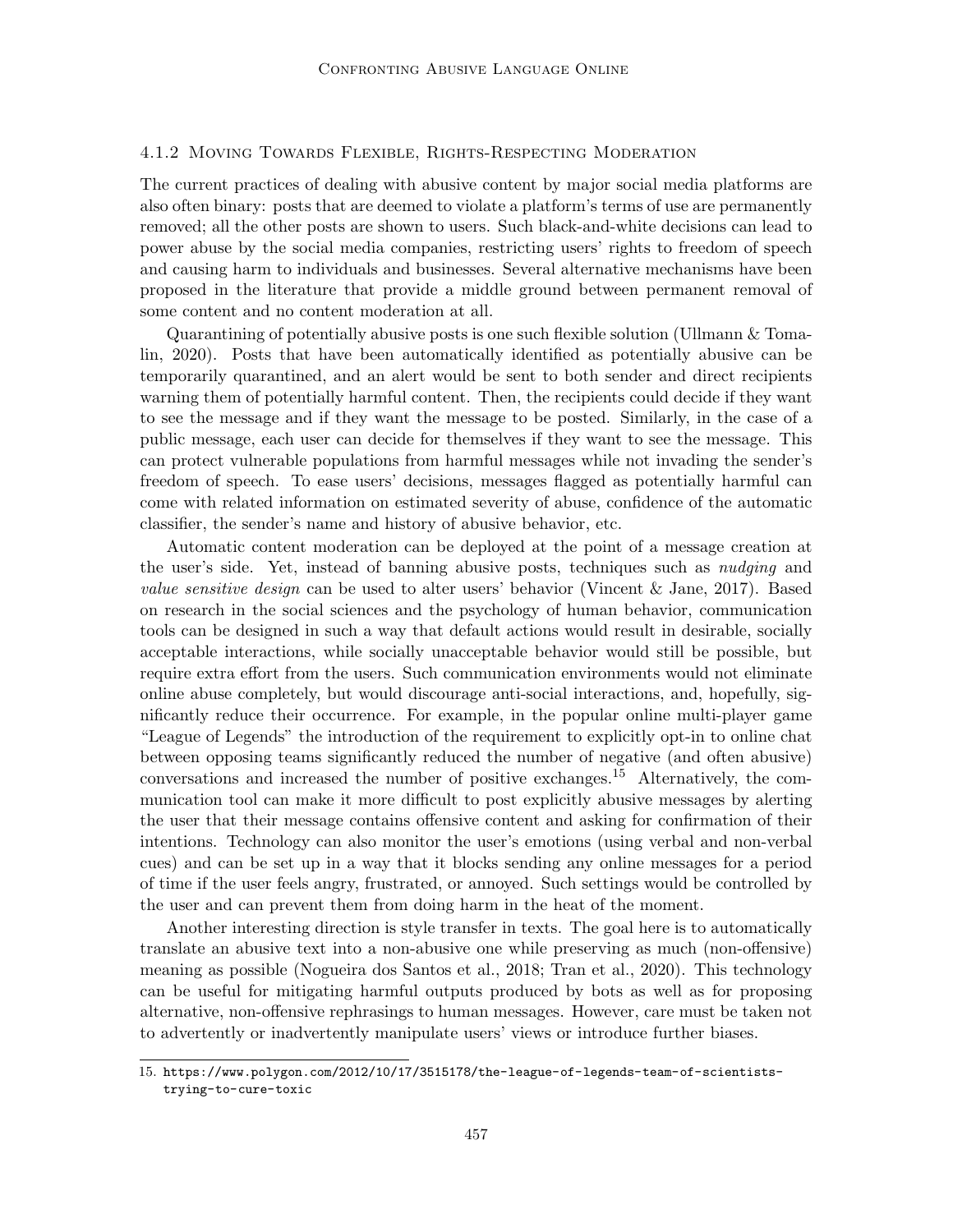## 4.1.2 Moving Towards Flexible, Rights-Respecting Moderation

The current practices of dealing with abusive content by major social media platforms are also often binary: posts that are deemed to violate a platform's terms of use are permanently removed; all the other posts are shown to users. Such black-and-white decisions can lead to power abuse by the social media companies, restricting users' rights to freedom of speech and causing harm to individuals and businesses. Several alternative mechanisms have been proposed in the literature that provide a middle ground between permanent removal of some content and no content moderation at all.

Quarantining of potentially abusive posts is one such flexible solution (Ullmann & Tomalin, 2020). Posts that have been automatically identified as potentially abusive can be temporarily quarantined, and an alert would be sent to both sender and direct recipients warning them of potentially harmful content. Then, the recipients could decide if they want to see the message and if they want the message to be posted. Similarly, in the case of a public message, each user can decide for themselves if they want to see the message. This can protect vulnerable populations from harmful messages while not invading the sender's freedom of speech. To ease users' decisions, messages flagged as potentially harmful can come with related information on estimated severity of abuse, confidence of the automatic classifier, the sender's name and history of abusive behavior, etc.

Automatic content moderation can be deployed at the point of a message creation at the user's side. Yet, instead of banning abusive posts, techniques such as *nudging* and value sensitive design can be used to alter users' behavior (Vincent & Jane, 2017). Based on research in the social sciences and the psychology of human behavior, communication tools can be designed in such a way that default actions would result in desirable, socially acceptable interactions, while socially unacceptable behavior would still be possible, but require extra effort from the users. Such communication environments would not eliminate online abuse completely, but would discourage anti-social interactions, and, hopefully, significantly reduce their occurrence. For example, in the popular online multi-player game "League of Legends" the introduction of the requirement to explicitly opt-in to online chat between opposing teams significantly reduced the number of negative (and often abusive) conversations and increased the number of positive exchanges.<sup>15</sup> Alternatively, the communication tool can make it more difficult to post explicitly abusive messages by alerting the user that their message contains offensive content and asking for confirmation of their intentions. Technology can also monitor the user's emotions (using verbal and non-verbal cues) and can be set up in a way that it blocks sending any online messages for a period of time if the user feels angry, frustrated, or annoyed. Such settings would be controlled by the user and can prevent them from doing harm in the heat of the moment.

Another interesting direction is style transfer in texts. The goal here is to automatically translate an abusive text into a non-abusive one while preserving as much (non-offensive) meaning as possible (Nogueira dos Santos et al., 2018; Tran et al., 2020). This technology can be useful for mitigating harmful outputs produced by bots as well as for proposing alternative, non-offensive rephrasings to human messages. However, care must be taken not to advertently or inadvertently manipulate users' views or introduce further biases.

<sup>15.</sup> https://www.polygon.com/2012/10/17/3515178/the-league-of-legends-team-of-scientiststrying-to-cure-toxic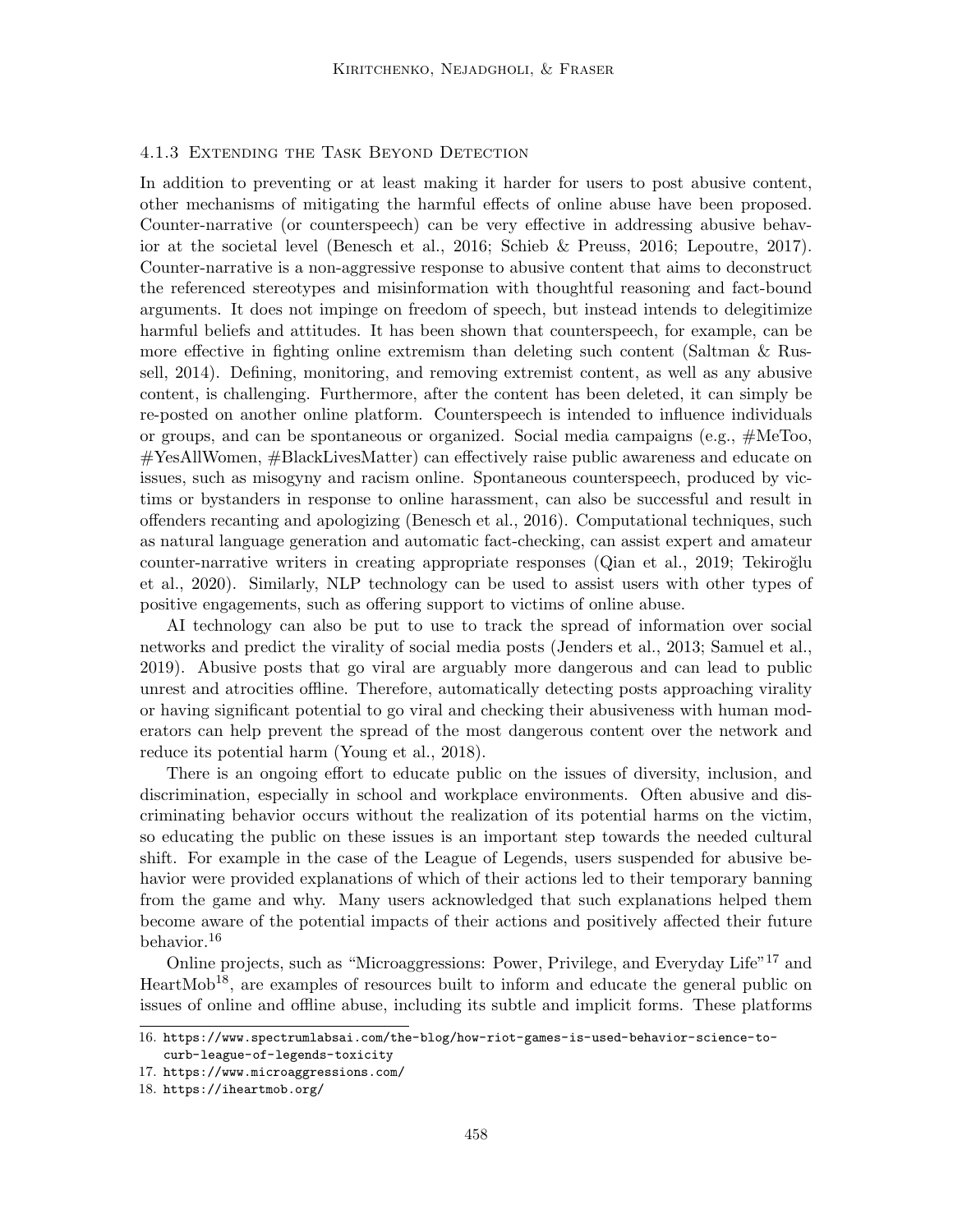## 4.1.3 Extending the Task Beyond Detection

In addition to preventing or at least making it harder for users to post abusive content, other mechanisms of mitigating the harmful effects of online abuse have been proposed. Counter-narrative (or counterspeech) can be very effective in addressing abusive behavior at the societal level (Benesch et al., 2016; Schieb & Preuss, 2016; Lepoutre, 2017). Counter-narrative is a non-aggressive response to abusive content that aims to deconstruct the referenced stereotypes and misinformation with thoughtful reasoning and fact-bound arguments. It does not impinge on freedom of speech, but instead intends to delegitimize harmful beliefs and attitudes. It has been shown that counterspeech, for example, can be more effective in fighting online extremism than deleting such content (Saltman & Russell, 2014). Defining, monitoring, and removing extremist content, as well as any abusive content, is challenging. Furthermore, after the content has been deleted, it can simply be re-posted on another online platform. Counterspeech is intended to influence individuals or groups, and can be spontaneous or organized. Social media campaigns (e.g., #MeToo, #YesAllWomen, #BlackLivesMatter) can effectively raise public awareness and educate on issues, such as misogyny and racism online. Spontaneous counterspeech, produced by victims or bystanders in response to online harassment, can also be successful and result in offenders recanting and apologizing (Benesch et al., 2016). Computational techniques, such as natural language generation and automatic fact-checking, can assist expert and amateur counter-narrative writers in creating appropriate responses (Qian et al., 2019; Tekiroğlu et al., 2020). Similarly, NLP technology can be used to assist users with other types of positive engagements, such as offering support to victims of online abuse.

AI technology can also be put to use to track the spread of information over social networks and predict the virality of social media posts (Jenders et al., 2013; Samuel et al., 2019). Abusive posts that go viral are arguably more dangerous and can lead to public unrest and atrocities offline. Therefore, automatically detecting posts approaching virality or having significant potential to go viral and checking their abusiveness with human moderators can help prevent the spread of the most dangerous content over the network and reduce its potential harm (Young et al., 2018).

There is an ongoing effort to educate public on the issues of diversity, inclusion, and discrimination, especially in school and workplace environments. Often abusive and discriminating behavior occurs without the realization of its potential harms on the victim, so educating the public on these issues is an important step towards the needed cultural shift. For example in the case of the League of Legends, users suspended for abusive behavior were provided explanations of which of their actions led to their temporary banning from the game and why. Many users acknowledged that such explanations helped them become aware of the potential impacts of their actions and positively affected their future behavior.<sup>16</sup>

Online projects, such as "Microaggressions: Power, Privilege, and Everyday Life"<sup>17</sup> and  $HeartMob<sup>18</sup>$ , are examples of resources built to inform and educate the general public on issues of online and offline abuse, including its subtle and implicit forms. These platforms

<sup>16.</sup> https://www.spectrumlabsai.com/the-blog/how-riot-games-is-used-behavior-science-tocurb-league-of-legends-toxicity

<sup>17.</sup> https://www.microaggressions.com/

<sup>18.</sup> https://iheartmob.org/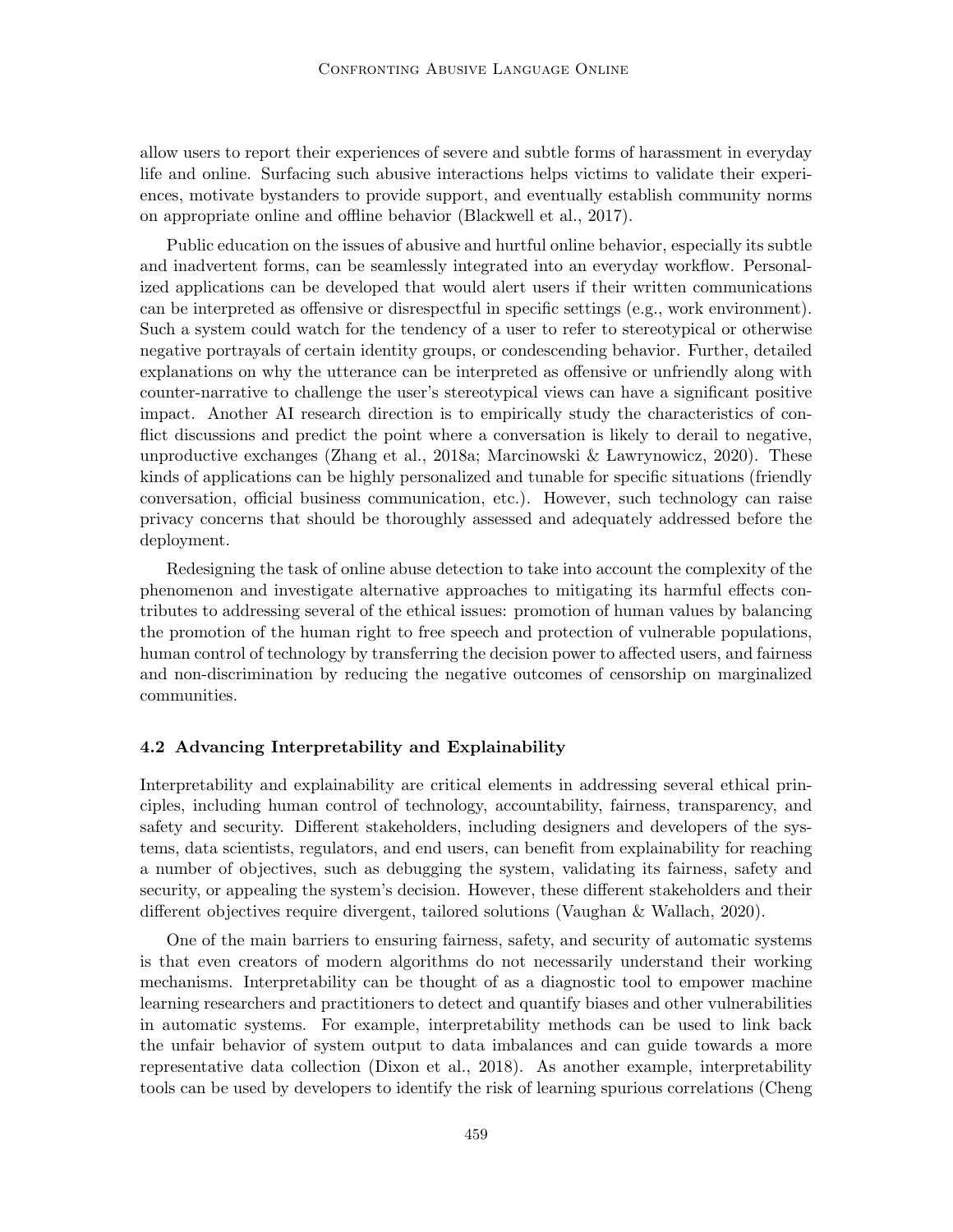allow users to report their experiences of severe and subtle forms of harassment in everyday life and online. Surfacing such abusive interactions helps victims to validate their experiences, motivate bystanders to provide support, and eventually establish community norms on appropriate online and offline behavior (Blackwell et al., 2017).

Public education on the issues of abusive and hurtful online behavior, especially its subtle and inadvertent forms, can be seamlessly integrated into an everyday workflow. Personalized applications can be developed that would alert users if their written communications can be interpreted as offensive or disrespectful in specific settings (e.g., work environment). Such a system could watch for the tendency of a user to refer to stereotypical or otherwise negative portrayals of certain identity groups, or condescending behavior. Further, detailed explanations on why the utterance can be interpreted as offensive or unfriendly along with counter-narrative to challenge the user's stereotypical views can have a significant positive impact. Another AI research direction is to empirically study the characteristics of conflict discussions and predict the point where a conversation is likely to derail to negative, unproductive exchanges (Zhang et al., 2018a; Marcinowski & Lawrynowicz, 2020). These kinds of applications can be highly personalized and tunable for specific situations (friendly conversation, official business communication, etc.). However, such technology can raise privacy concerns that should be thoroughly assessed and adequately addressed before the deployment.

Redesigning the task of online abuse detection to take into account the complexity of the phenomenon and investigate alternative approaches to mitigating its harmful effects contributes to addressing several of the ethical issues: promotion of human values by balancing the promotion of the human right to free speech and protection of vulnerable populations, human control of technology by transferring the decision power to affected users, and fairness and non-discrimination by reducing the negative outcomes of censorship on marginalized communities.

#### 4.2 Advancing Interpretability and Explainability

Interpretability and explainability are critical elements in addressing several ethical principles, including human control of technology, accountability, fairness, transparency, and safety and security. Different stakeholders, including designers and developers of the systems, data scientists, regulators, and end users, can benefit from explainability for reaching a number of objectives, such as debugging the system, validating its fairness, safety and security, or appealing the system's decision. However, these different stakeholders and their different objectives require divergent, tailored solutions (Vaughan & Wallach, 2020).

One of the main barriers to ensuring fairness, safety, and security of automatic systems is that even creators of modern algorithms do not necessarily understand their working mechanisms. Interpretability can be thought of as a diagnostic tool to empower machine learning researchers and practitioners to detect and quantify biases and other vulnerabilities in automatic systems. For example, interpretability methods can be used to link back the unfair behavior of system output to data imbalances and can guide towards a more representative data collection (Dixon et al., 2018). As another example, interpretability tools can be used by developers to identify the risk of learning spurious correlations (Cheng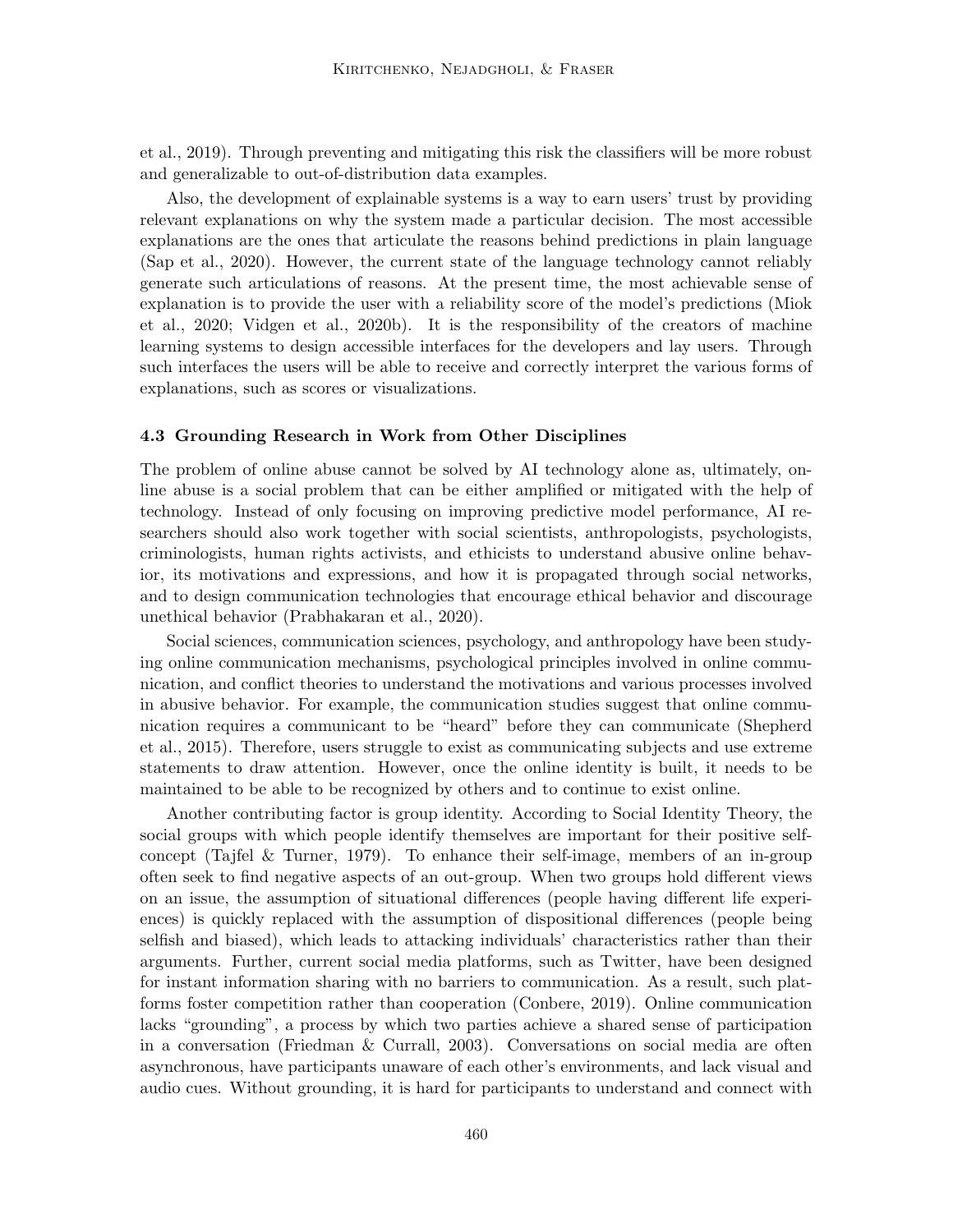et al., 2019). Through preventing and mitigating this risk the classifiers will be more robust and generalizable to out-of-distribution data examples.

Also, the development of explainable systems is a way to earn users' trust by providing relevant explanations on why the system made a particular decision. The most accessible explanations are the ones that articulate the reasons behind predictions in plain language (Sap et al., 2020). However, the current state of the language technology cannot reliably generate such articulations of reasons. At the present time, the most achievable sense of explanation is to provide the user with a reliability score of the model's predictions (Miok et al., 2020; Vidgen et al., 2020b). It is the responsibility of the creators of machine learning systems to design accessible interfaces for the developers and lay users. Through such interfaces the users will be able to receive and correctly interpret the various forms of explanations, such as scores or visualizations.

#### 4.3 Grounding Research in Work from Other Disciplines

The problem of online abuse cannot be solved by AI technology alone as, ultimately, online abuse is a social problem that can be either amplified or mitigated with the help of technology. Instead of only focusing on improving predictive model performance, AI researchers should also work together with social scientists, anthropologists, psychologists, criminologists, human rights activists, and ethicists to understand abusive online behavior, its motivations and expressions, and how it is propagated through social networks, and to design communication technologies that encourage ethical behavior and discourage unethical behavior (Prabhakaran et al., 2020).

Social sciences, communication sciences, psychology, and anthropology have been studying online communication mechanisms, psychological principles involved in online communication, and conflict theories to understand the motivations and various processes involved in abusive behavior. For example, the communication studies suggest that online communication requires a communicant to be "heard" before they can communicate (Shepherd et al., 2015). Therefore, users struggle to exist as communicating subjects and use extreme statements to draw attention. However, once the online identity is built, it needs to be maintained to be able to be recognized by others and to continue to exist online.

Another contributing factor is group identity. According to Social Identity Theory, the social groups with which people identify themselves are important for their positive selfconcept (Tajfel & Turner, 1979). To enhance their self-image, members of an in-group often seek to find negative aspects of an out-group. When two groups hold different views on an issue, the assumption of situational differences (people having different life experiences) is quickly replaced with the assumption of dispositional differences (people being selfish and biased), which leads to attacking individuals' characteristics rather than their arguments. Further, current social media platforms, such as Twitter, have been designed for instant information sharing with no barriers to communication. As a result, such platforms foster competition rather than cooperation (Conbere, 2019). Online communication lacks "grounding", a process by which two parties achieve a shared sense of participation in a conversation (Friedman & Currall, 2003). Conversations on social media are often asynchronous, have participants unaware of each other's environments, and lack visual and audio cues. Without grounding, it is hard for participants to understand and connect with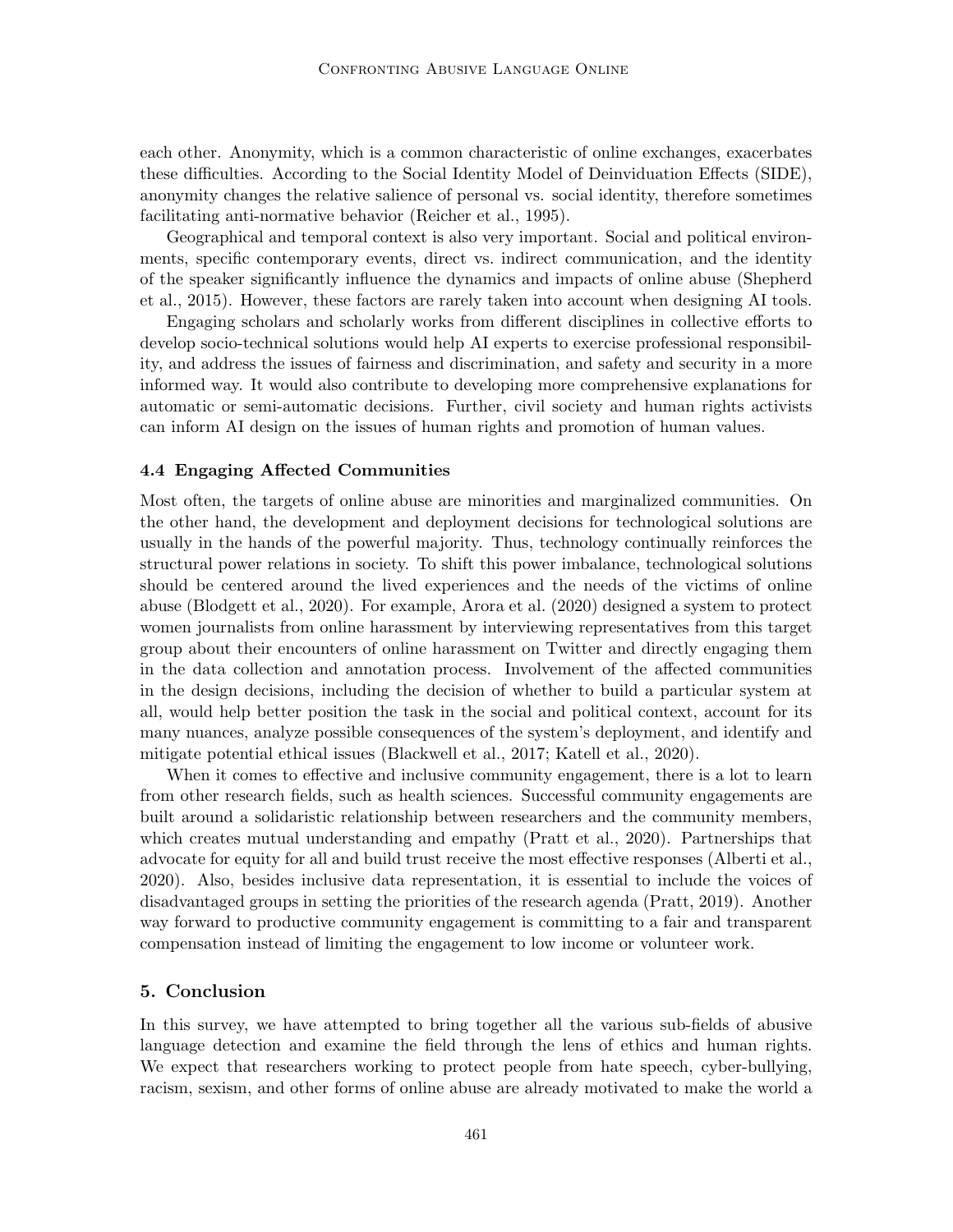each other. Anonymity, which is a common characteristic of online exchanges, exacerbates these difficulties. According to the Social Identity Model of Deinviduation Effects (SIDE), anonymity changes the relative salience of personal vs. social identity, therefore sometimes facilitating anti-normative behavior (Reicher et al., 1995).

Geographical and temporal context is also very important. Social and political environments, specific contemporary events, direct vs. indirect communication, and the identity of the speaker significantly influence the dynamics and impacts of online abuse (Shepherd et al., 2015). However, these factors are rarely taken into account when designing AI tools.

Engaging scholars and scholarly works from different disciplines in collective efforts to develop socio-technical solutions would help AI experts to exercise professional responsibility, and address the issues of fairness and discrimination, and safety and security in a more informed way. It would also contribute to developing more comprehensive explanations for automatic or semi-automatic decisions. Further, civil society and human rights activists can inform AI design on the issues of human rights and promotion of human values.

## 4.4 Engaging Affected Communities

Most often, the targets of online abuse are minorities and marginalized communities. On the other hand, the development and deployment decisions for technological solutions are usually in the hands of the powerful majority. Thus, technology continually reinforces the structural power relations in society. To shift this power imbalance, technological solutions should be centered around the lived experiences and the needs of the victims of online abuse (Blodgett et al., 2020). For example, Arora et al. (2020) designed a system to protect women journalists from online harassment by interviewing representatives from this target group about their encounters of online harassment on Twitter and directly engaging them in the data collection and annotation process. Involvement of the affected communities in the design decisions, including the decision of whether to build a particular system at all, would help better position the task in the social and political context, account for its many nuances, analyze possible consequences of the system's deployment, and identify and mitigate potential ethical issues (Blackwell et al., 2017; Katell et al., 2020).

When it comes to effective and inclusive community engagement, there is a lot to learn from other research fields, such as health sciences. Successful community engagements are built around a solidaristic relationship between researchers and the community members, which creates mutual understanding and empathy (Pratt et al., 2020). Partnerships that advocate for equity for all and build trust receive the most effective responses (Alberti et al., 2020). Also, besides inclusive data representation, it is essential to include the voices of disadvantaged groups in setting the priorities of the research agenda (Pratt, 2019). Another way forward to productive community engagement is committing to a fair and transparent compensation instead of limiting the engagement to low income or volunteer work.

## 5. Conclusion

In this survey, we have attempted to bring together all the various sub-fields of abusive language detection and examine the field through the lens of ethics and human rights. We expect that researchers working to protect people from hate speech, cyber-bullying, racism, sexism, and other forms of online abuse are already motivated to make the world a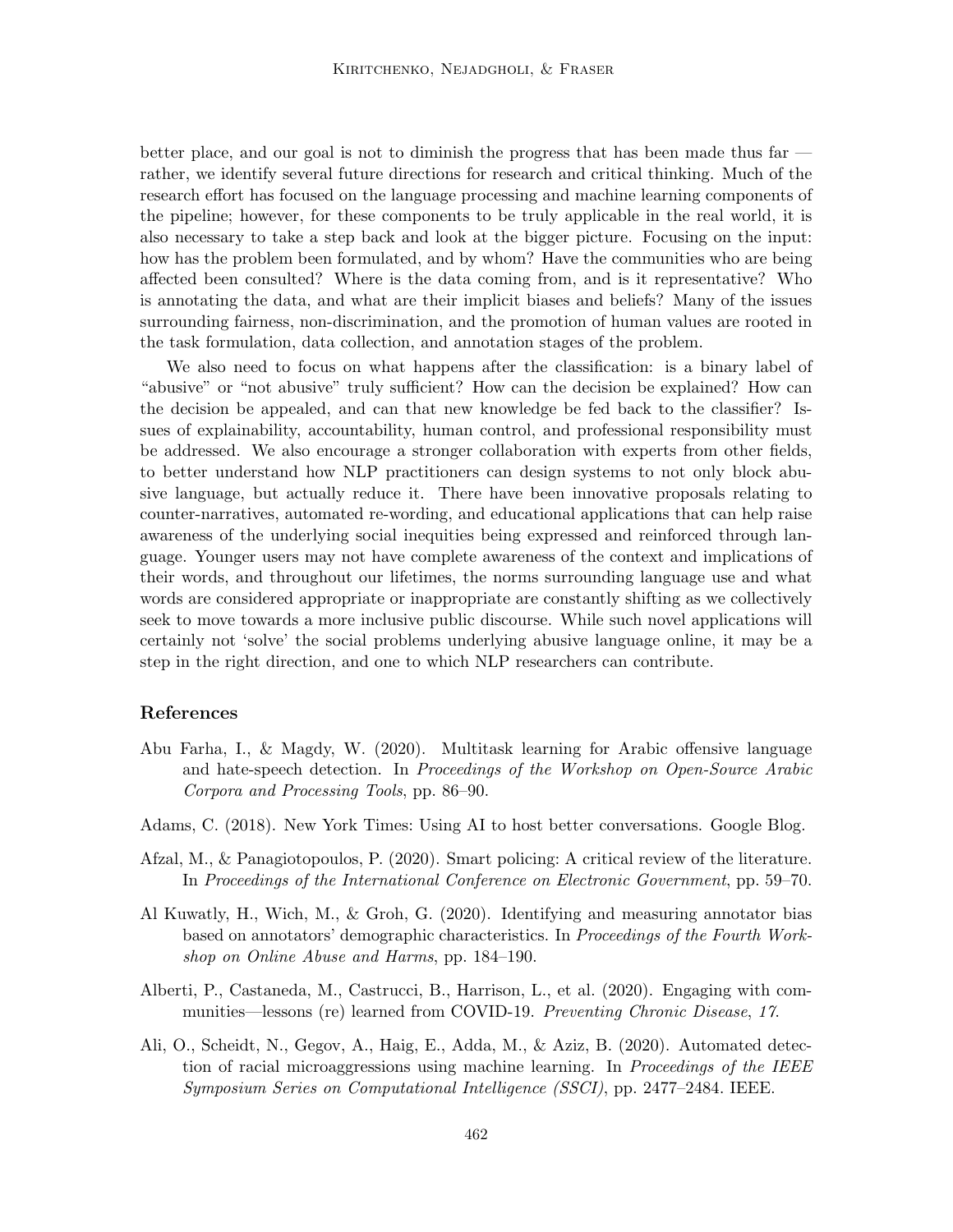better place, and our goal is not to diminish the progress that has been made thus far rather, we identify several future directions for research and critical thinking. Much of the research effort has focused on the language processing and machine learning components of the pipeline; however, for these components to be truly applicable in the real world, it is also necessary to take a step back and look at the bigger picture. Focusing on the input: how has the problem been formulated, and by whom? Have the communities who are being affected been consulted? Where is the data coming from, and is it representative? Who is annotating the data, and what are their implicit biases and beliefs? Many of the issues surrounding fairness, non-discrimination, and the promotion of human values are rooted in the task formulation, data collection, and annotation stages of the problem.

We also need to focus on what happens after the classification: is a binary label of "abusive" or "not abusive" truly sufficient? How can the decision be explained? How can the decision be appealed, and can that new knowledge be fed back to the classifier? Issues of explainability, accountability, human control, and professional responsibility must be addressed. We also encourage a stronger collaboration with experts from other fields, to better understand how NLP practitioners can design systems to not only block abusive language, but actually reduce it. There have been innovative proposals relating to counter-narratives, automated re-wording, and educational applications that can help raise awareness of the underlying social inequities being expressed and reinforced through language. Younger users may not have complete awareness of the context and implications of their words, and throughout our lifetimes, the norms surrounding language use and what words are considered appropriate or inappropriate are constantly shifting as we collectively seek to move towards a more inclusive public discourse. While such novel applications will certainly not 'solve' the social problems underlying abusive language online, it may be a step in the right direction, and one to which NLP researchers can contribute.

## References

- Abu Farha, I., & Magdy, W. (2020). Multitask learning for Arabic offensive language and hate-speech detection. In Proceedings of the Workshop on Open-Source Arabic Corpora and Processing Tools, pp. 86–90.
- Adams, C. (2018). New York Times: Using AI to host better conversations. Google Blog.
- Afzal, M., & Panagiotopoulos, P. (2020). Smart policing: A critical review of the literature. In Proceedings of the International Conference on Electronic Government, pp. 59–70.
- Al Kuwatly, H., Wich, M., & Groh, G. (2020). Identifying and measuring annotator bias based on annotators' demographic characteristics. In Proceedings of the Fourth Workshop on Online Abuse and Harms, pp. 184–190.
- Alberti, P., Castaneda, M., Castrucci, B., Harrison, L., et al. (2020). Engaging with communities—lessons (re) learned from COVID-19. Preventing Chronic Disease, 17.
- Ali, O., Scheidt, N., Gegov, A., Haig, E., Adda, M., & Aziz, B. (2020). Automated detection of racial microaggressions using machine learning. In *Proceedings of the IEEE* Symposium Series on Computational Intelligence (SSCI), pp. 2477–2484. IEEE.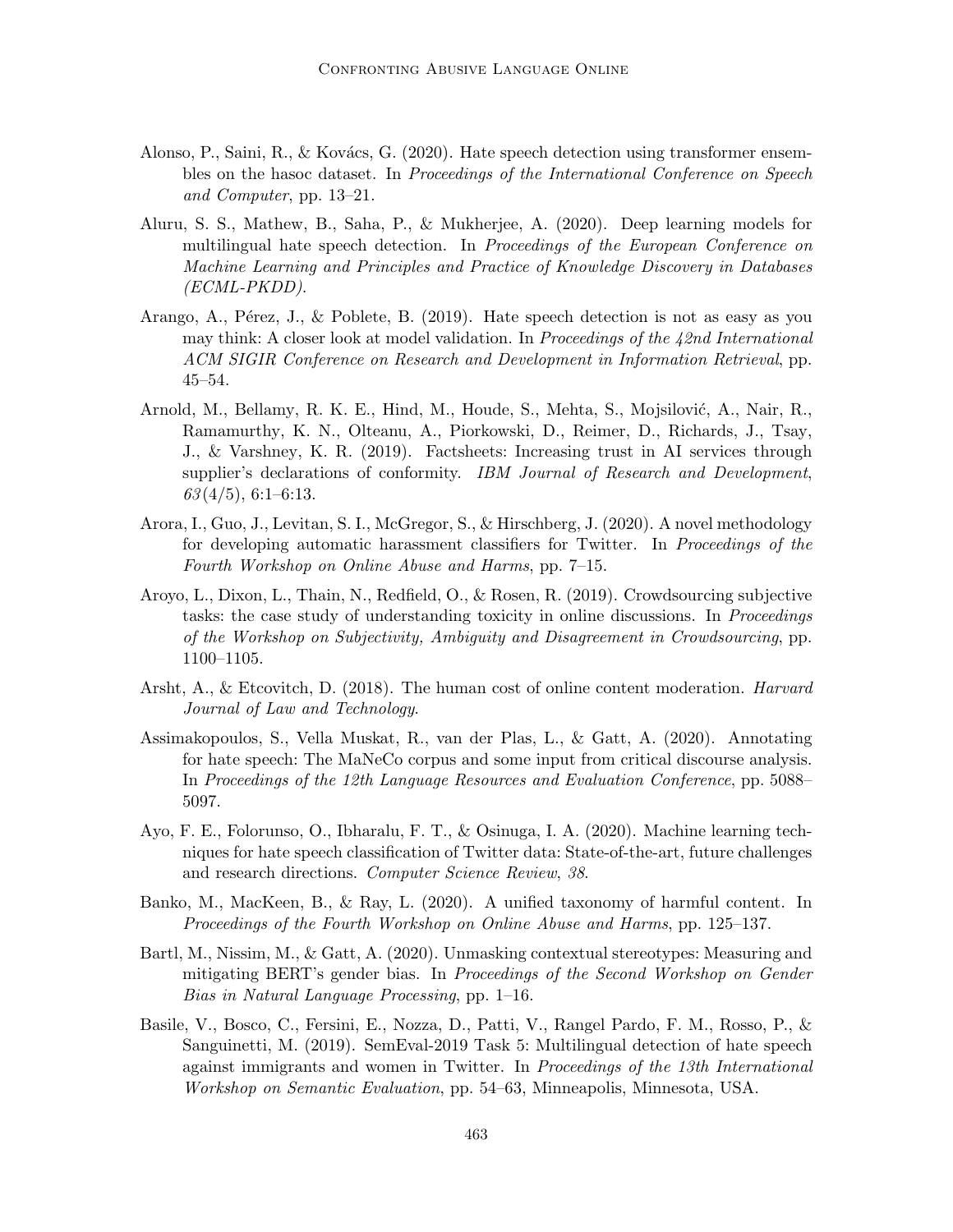- Alonso, P., Saini, R., & Kovács, G. (2020). Hate speech detection using transformer ensembles on the hasoc dataset. In Proceedings of the International Conference on Speech and Computer, pp. 13–21.
- Aluru, S. S., Mathew, B., Saha, P., & Mukherjee, A. (2020). Deep learning models for multilingual hate speech detection. In Proceedings of the European Conference on Machine Learning and Principles and Practice of Knowledge Discovery in Databases (ECML-PKDD).
- Arango, A., Pérez, J., & Poblete, B. (2019). Hate speech detection is not as easy as you may think: A closer look at model validation. In Proceedings of the  $42nd$  International ACM SIGIR Conference on Research and Development in Information Retrieval, pp. 45–54.
- Arnold, M., Bellamy, R. K. E., Hind, M., Houde, S., Mehta, S., Mojsilović, A., Nair, R., Ramamurthy, K. N., Olteanu, A., Piorkowski, D., Reimer, D., Richards, J., Tsay, J., & Varshney, K. R. (2019). Factsheets: Increasing trust in AI services through supplier's declarations of conformity. IBM Journal of Research and Development,  $63(4/5), 6:1-6:13.$
- Arora, I., Guo, J., Levitan, S. I., McGregor, S., & Hirschberg, J. (2020). A novel methodology for developing automatic harassment classifiers for Twitter. In Proceedings of the Fourth Workshop on Online Abuse and Harms, pp. 7–15.
- Aroyo, L., Dixon, L., Thain, N., Redfield, O., & Rosen, R. (2019). Crowdsourcing subjective tasks: the case study of understanding toxicity in online discussions. In *Proceedings* of the Workshop on Subjectivity, Ambiguity and Disagreement in Crowdsourcing, pp. 1100–1105.
- Arsht, A., & Etcovitch, D. (2018). The human cost of online content moderation. *Harvard* Journal of Law and Technology.
- Assimakopoulos, S., Vella Muskat, R., van der Plas, L., & Gatt, A. (2020). Annotating for hate speech: The MaNeCo corpus and some input from critical discourse analysis. In Proceedings of the 12th Language Resources and Evaluation Conference, pp. 5088– 5097.
- Ayo, F. E., Folorunso, O., Ibharalu, F. T., & Osinuga, I. A. (2020). Machine learning techniques for hate speech classification of Twitter data: State-of-the-art, future challenges and research directions. Computer Science Review, 38.
- Banko, M., MacKeen, B., & Ray, L. (2020). A unified taxonomy of harmful content. In Proceedings of the Fourth Workshop on Online Abuse and Harms, pp. 125–137.
- Bartl, M., Nissim, M., & Gatt, A. (2020). Unmasking contextual stereotypes: Measuring and mitigating BERT's gender bias. In Proceedings of the Second Workshop on Gender Bias in Natural Language Processing, pp. 1–16.
- Basile, V., Bosco, C., Fersini, E., Nozza, D., Patti, V., Rangel Pardo, F. M., Rosso, P., & Sanguinetti, M. (2019). SemEval-2019 Task 5: Multilingual detection of hate speech against immigrants and women in Twitter. In Proceedings of the 13th International Workshop on Semantic Evaluation, pp. 54–63, Minneapolis, Minnesota, USA.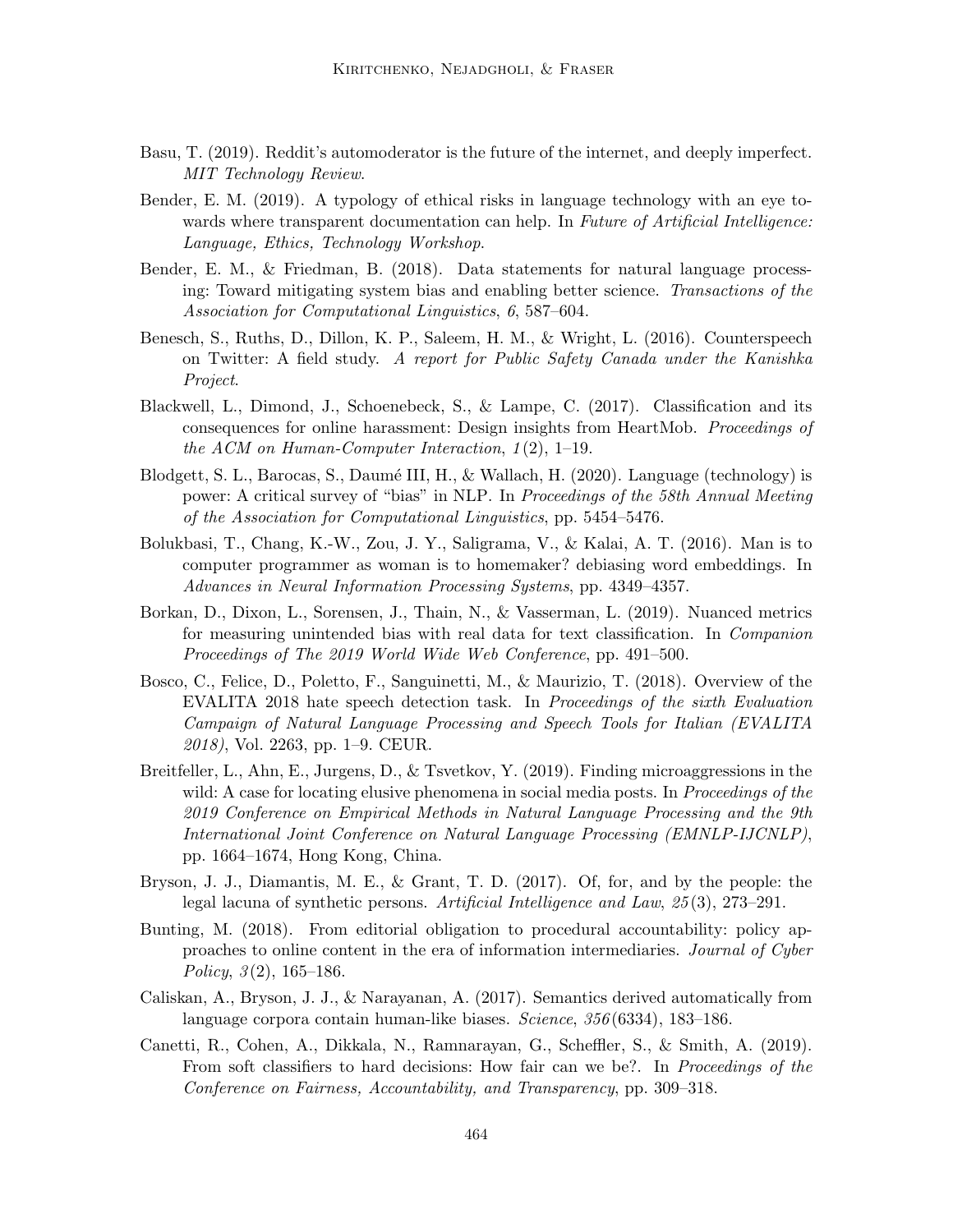- Basu, T. (2019). Reddit's automoderator is the future of the internet, and deeply imperfect. MIT Technology Review.
- Bender, E. M. (2019). A typology of ethical risks in language technology with an eye towards where transparent documentation can help. In Future of Artificial Intelligence: Language, Ethics, Technology Workshop.
- Bender, E. M., & Friedman, B. (2018). Data statements for natural language processing: Toward mitigating system bias and enabling better science. Transactions of the Association for Computational Linguistics, 6, 587–604.
- Benesch, S., Ruths, D., Dillon, K. P., Saleem, H. M., & Wright, L. (2016). Counterspeech on Twitter: A field study. A report for Public Safety Canada under the Kanishka Project.
- Blackwell, L., Dimond, J., Schoenebeck, S., & Lampe, C. (2017). Classification and its consequences for online harassment: Design insights from HeartMob. Proceedings of the ACM on Human-Computer Interaction,  $1(2)$ , 1–19.
- Blodgett, S. L., Barocas, S., Daumé III, H., & Wallach, H.  $(2020)$ . Language (technology) is power: A critical survey of "bias" in NLP. In Proceedings of the 58th Annual Meeting of the Association for Computational Linguistics, pp. 5454–5476.
- Bolukbasi, T., Chang, K.-W., Zou, J. Y., Saligrama, V., & Kalai, A. T. (2016). Man is to computer programmer as woman is to homemaker? debiasing word embeddings. In Advances in Neural Information Processing Systems, pp. 4349–4357.
- Borkan, D., Dixon, L., Sorensen, J., Thain, N., & Vasserman, L. (2019). Nuanced metrics for measuring unintended bias with real data for text classification. In Companion Proceedings of The 2019 World Wide Web Conference, pp. 491–500.
- Bosco, C., Felice, D., Poletto, F., Sanguinetti, M., & Maurizio, T. (2018). Overview of the EVALITA 2018 hate speech detection task. In Proceedings of the sixth Evaluation Campaign of Natural Language Processing and Speech Tools for Italian (EVALITA 2018), Vol. 2263, pp. 1–9. CEUR.
- Breitfeller, L., Ahn, E., Jurgens, D., & Tsvetkov, Y. (2019). Finding microaggressions in the wild: A case for locating elusive phenomena in social media posts. In *Proceedings of the* 2019 Conference on Empirical Methods in Natural Language Processing and the 9th International Joint Conference on Natural Language Processing (EMNLP-IJCNLP), pp. 1664–1674, Hong Kong, China.
- Bryson, J. J., Diamantis, M. E., & Grant, T. D. (2017). Of, for, and by the people: the legal lacuna of synthetic persons. Artificial Intelligence and Law, 25 (3), 273–291.
- Bunting, M. (2018). From editorial obligation to procedural accountability: policy approaches to online content in the era of information intermediaries. Journal of Cyber Policy,  $3(2)$ , 165–186.
- Caliskan, A., Bryson, J. J., & Narayanan, A. (2017). Semantics derived automatically from language corpora contain human-like biases. Science, 356 (6334), 183–186.
- Canetti, R., Cohen, A., Dikkala, N., Ramnarayan, G., Scheffler, S., & Smith, A. (2019). From soft classifiers to hard decisions: How fair can we be?. In *Proceedings of the* Conference on Fairness, Accountability, and Transparency, pp. 309–318.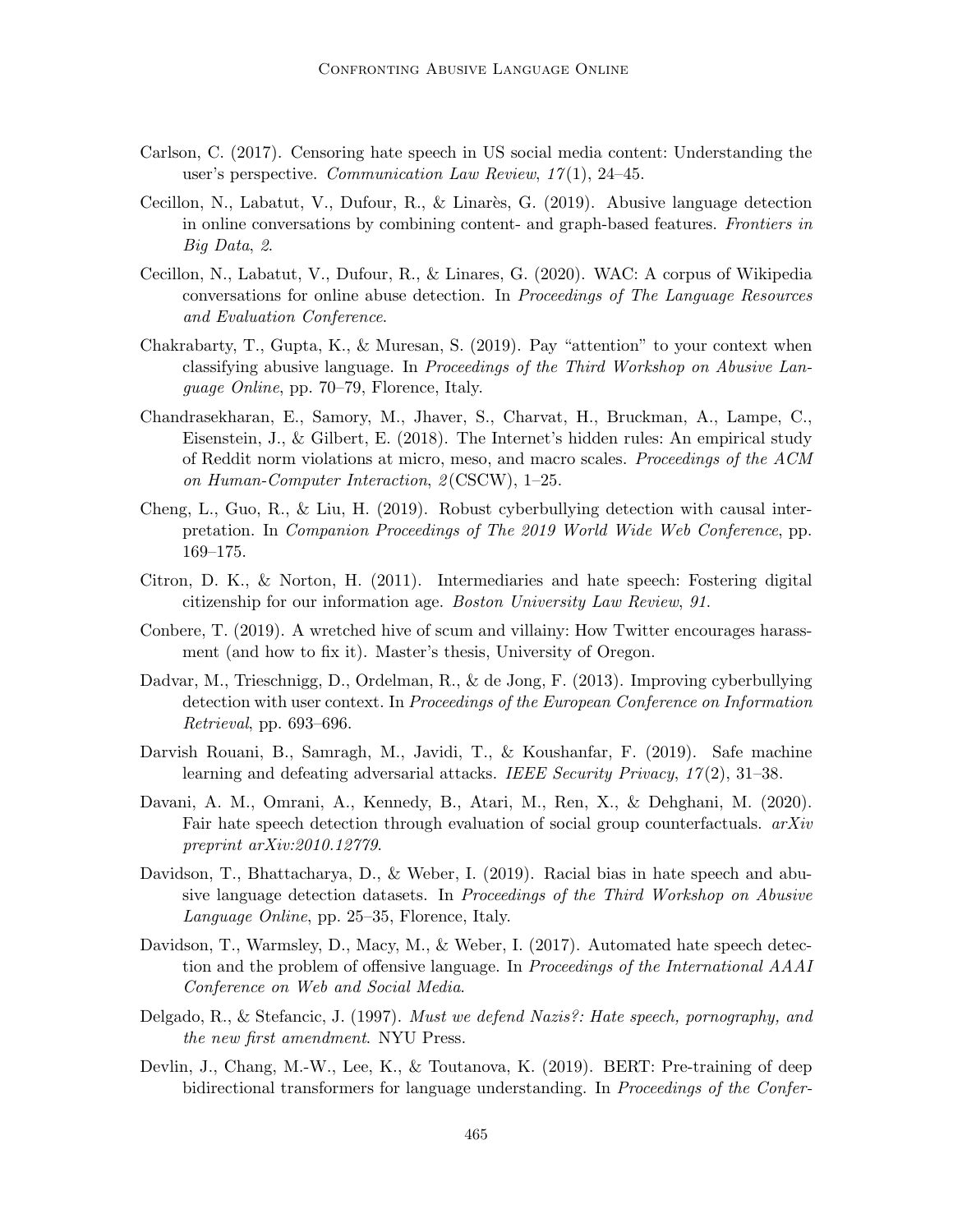- Carlson, C. (2017). Censoring hate speech in US social media content: Understanding the user's perspective. Communication Law Review,  $17(1)$ , 24-45.
- Cecillon, N., Labatut, V., Dufour, R., & Linarès, G. (2019). Abusive language detection in online conversations by combining content- and graph-based features. Frontiers in Big Data, 2.
- Cecillon, N., Labatut, V., Dufour, R., & Linares, G. (2020). WAC: A corpus of Wikipedia conversations for online abuse detection. In Proceedings of The Language Resources and Evaluation Conference.
- Chakrabarty, T., Gupta, K., & Muresan, S. (2019). Pay "attention" to your context when classifying abusive language. In Proceedings of the Third Workshop on Abusive Language Online, pp. 70–79, Florence, Italy.
- Chandrasekharan, E., Samory, M., Jhaver, S., Charvat, H., Bruckman, A., Lampe, C., Eisenstein, J., & Gilbert, E. (2018). The Internet's hidden rules: An empirical study of Reddit norm violations at micro, meso, and macro scales. Proceedings of the ACM on Human-Computer Interaction, 2 (CSCW), 1–25.
- Cheng, L., Guo, R., & Liu, H. (2019). Robust cyberbullying detection with causal interpretation. In Companion Proceedings of The 2019 World Wide Web Conference, pp. 169–175.
- Citron, D. K., & Norton, H. (2011). Intermediaries and hate speech: Fostering digital citizenship for our information age. Boston University Law Review, 91.
- Conbere, T. (2019). A wretched hive of scum and villainy: How Twitter encourages harassment (and how to fix it). Master's thesis, University of Oregon.
- Dadvar, M., Trieschnigg, D., Ordelman, R., & de Jong, F. (2013). Improving cyberbullying detection with user context. In Proceedings of the European Conference on Information Retrieval, pp. 693–696.
- Darvish Rouani, B., Samragh, M., Javidi, T., & Koushanfar, F. (2019). Safe machine learning and defeating adversarial attacks. IEEE Security Privacy, 17(2), 31–38.
- Davani, A. M., Omrani, A., Kennedy, B., Atari, M., Ren, X., & Dehghani, M. (2020). Fair hate speech detection through evaluation of social group counterfactuals.  $arXiv$ preprint arXiv:2010.12779.
- Davidson, T., Bhattacharya, D., & Weber, I. (2019). Racial bias in hate speech and abusive language detection datasets. In Proceedings of the Third Workshop on Abusive Language Online, pp. 25–35, Florence, Italy.
- Davidson, T., Warmsley, D., Macy, M., & Weber, I. (2017). Automated hate speech detection and the problem of offensive language. In Proceedings of the International AAAI Conference on Web and Social Media.
- Delgado, R., & Stefancic, J. (1997). Must we defend Nazis?: Hate speech, pornography, and the new first amendment. NYU Press.
- Devlin, J., Chang, M.-W., Lee, K., & Toutanova, K. (2019). BERT: Pre-training of deep bidirectional transformers for language understanding. In Proceedings of the Confer-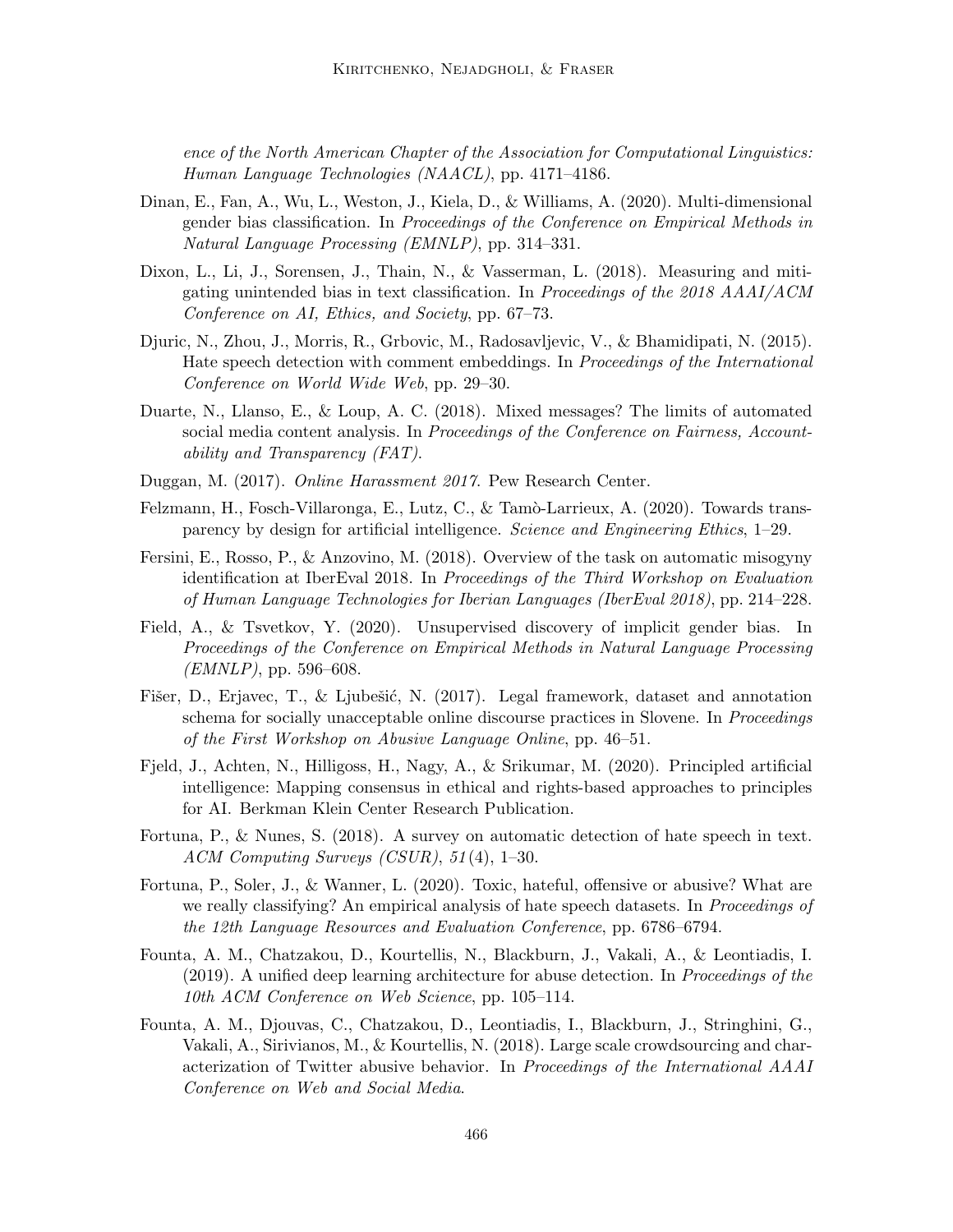ence of the North American Chapter of the Association for Computational Linguistics: Human Language Technologies (NAACL), pp. 4171–4186.

- Dinan, E., Fan, A., Wu, L., Weston, J., Kiela, D., & Williams, A. (2020). Multi-dimensional gender bias classification. In Proceedings of the Conference on Empirical Methods in Natural Language Processing (EMNLP), pp. 314–331.
- Dixon, L., Li, J., Sorensen, J., Thain, N., & Vasserman, L. (2018). Measuring and mitigating unintended bias in text classification. In Proceedings of the 2018 AAAI/ACM Conference on AI, Ethics, and Society, pp. 67–73.
- Djuric, N., Zhou, J., Morris, R., Grbovic, M., Radosavljevic, V., & Bhamidipati, N. (2015). Hate speech detection with comment embeddings. In Proceedings of the International Conference on World Wide Web, pp. 29–30.
- Duarte, N., Llanso, E., & Loup, A. C. (2018). Mixed messages? The limits of automated social media content analysis. In *Proceedings of the Conference on Fairness*, *Account*ability and Transparency (FAT).
- Duggan, M. (2017). Online Harassment 2017. Pew Research Center.
- Felzmann, H., Fosch-Villaronga, E., Lutz, C., & Tamò-Larrieux, A. (2020). Towards transparency by design for artificial intelligence. Science and Engineering Ethics, 1–29.
- Fersini, E., Rosso, P., & Anzovino, M. (2018). Overview of the task on automatic misogyny identification at IberEval 2018. In Proceedings of the Third Workshop on Evaluation of Human Language Technologies for Iberian Languages (IberEval 2018), pp. 214–228.
- Field, A., & Tsvetkov, Y. (2020). Unsupervised discovery of implicit gender bias. In Proceedings of the Conference on Empirical Methods in Natural Language Processing  $(EMNLP)$ , pp. 596–608.
- Fišer, D., Erjavec, T., & Ljubešić, N. (2017). Legal framework, dataset and annotation schema for socially unacceptable online discourse practices in Slovene. In *Proceedings* of the First Workshop on Abusive Language Online, pp. 46–51.
- Fjeld, J., Achten, N., Hilligoss, H., Nagy, A., & Srikumar, M. (2020). Principled artificial intelligence: Mapping consensus in ethical and rights-based approaches to principles for AI. Berkman Klein Center Research Publication.
- Fortuna, P., & Nunes, S. (2018). A survey on automatic detection of hate speech in text. ACM Computing Surveys (CSUR), 51 (4), 1–30.
- Fortuna, P., Soler, J., & Wanner, L. (2020). Toxic, hateful, offensive or abusive? What are we really classifying? An empirical analysis of hate speech datasets. In *Proceedings of* the 12th Language Resources and Evaluation Conference, pp. 6786–6794.
- Founta, A. M., Chatzakou, D., Kourtellis, N., Blackburn, J., Vakali, A., & Leontiadis, I. (2019). A unified deep learning architecture for abuse detection. In Proceedings of the 10th ACM Conference on Web Science, pp. 105–114.
- Founta, A. M., Djouvas, C., Chatzakou, D., Leontiadis, I., Blackburn, J., Stringhini, G., Vakali, A., Sirivianos, M., & Kourtellis, N. (2018). Large scale crowdsourcing and characterization of Twitter abusive behavior. In Proceedings of the International AAAI Conference on Web and Social Media.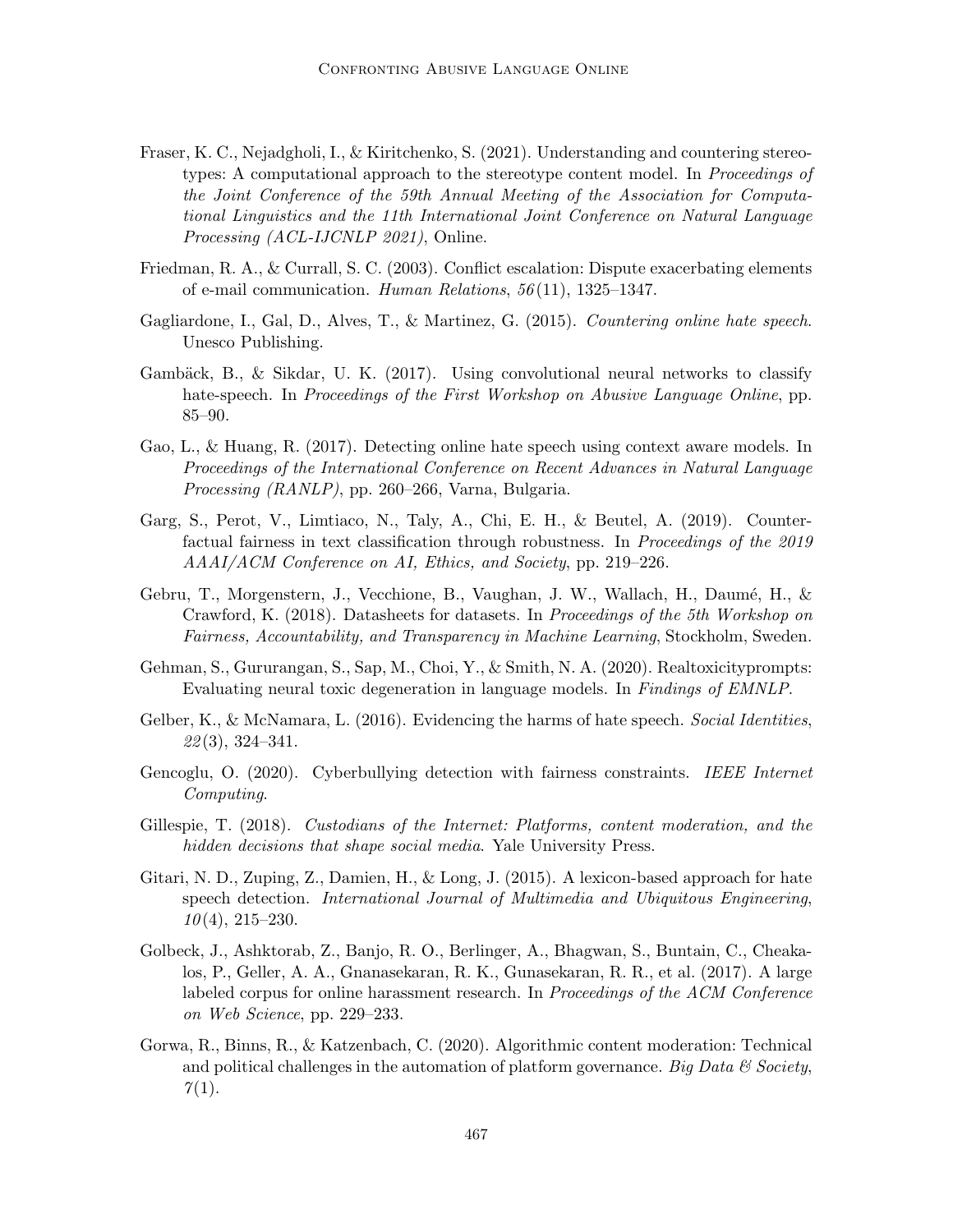- Fraser, K. C., Nejadgholi, I., & Kiritchenko, S. (2021). Understanding and countering stereotypes: A computational approach to the stereotype content model. In Proceedings of the Joint Conference of the 59th Annual Meeting of the Association for Computational Linguistics and the 11th International Joint Conference on Natural Language Processing (ACL-IJCNLP 2021), Online.
- Friedman, R. A., & Currall, S. C. (2003). Conflict escalation: Dispute exacerbating elements of e-mail communication. Human Relations, 56 (11), 1325–1347.
- Gagliardone, I., Gal, D., Alves, T., & Martinez, G. (2015). Countering online hate speech. Unesco Publishing.
- Gambäck, B., & Sikdar, U. K.  $(2017)$ . Using convolutional neural networks to classify hate-speech. In Proceedings of the First Workshop on Abusive Language Online, pp. 85–90.
- Gao, L., & Huang, R. (2017). Detecting online hate speech using context aware models. In Proceedings of the International Conference on Recent Advances in Natural Language Processing (RANLP), pp. 260–266, Varna, Bulgaria.
- Garg, S., Perot, V., Limtiaco, N., Taly, A., Chi, E. H., & Beutel, A. (2019). Counterfactual fairness in text classification through robustness. In Proceedings of the 2019 AAAI/ACM Conference on AI, Ethics, and Society, pp. 219–226.
- Gebru, T., Morgenstern, J., Vecchione, B., Vaughan, J. W., Wallach, H., Daumé, H., & Crawford, K. (2018). Datasheets for datasets. In Proceedings of the 5th Workshop on Fairness, Accountability, and Transparency in Machine Learning, Stockholm, Sweden.
- Gehman, S., Gururangan, S., Sap, M., Choi, Y., & Smith, N. A. (2020). Realtoxicityprompts: Evaluating neural toxic degeneration in language models. In Findings of EMNLP.
- Gelber, K., & McNamara, L. (2016). Evidencing the harms of hate speech. Social Identities,  $22(3), 324-341.$
- Gencoglu, O. (2020). Cyberbullying detection with fairness constraints. IEEE Internet Computing.
- Gillespie, T. (2018). Custodians of the Internet: Platforms, content moderation, and the hidden decisions that shape social media. Yale University Press.
- Gitari, N. D., Zuping, Z., Damien, H., & Long, J. (2015). A lexicon-based approach for hate speech detection. International Journal of Multimedia and Ubiquitous Engineering,  $10(4)$ ,  $215-230$ .
- Golbeck, J., Ashktorab, Z., Banjo, R. O., Berlinger, A., Bhagwan, S., Buntain, C., Cheakalos, P., Geller, A. A., Gnanasekaran, R. K., Gunasekaran, R. R., et al. (2017). A large labeled corpus for online harassment research. In Proceedings of the ACM Conference on Web Science, pp. 229–233.
- Gorwa, R., Binns, R., & Katzenbach, C. (2020). Algorithmic content moderation: Technical and political challenges in the automation of platform governance. Big Data  $\mathcal C$  Society,  $7(1)$ .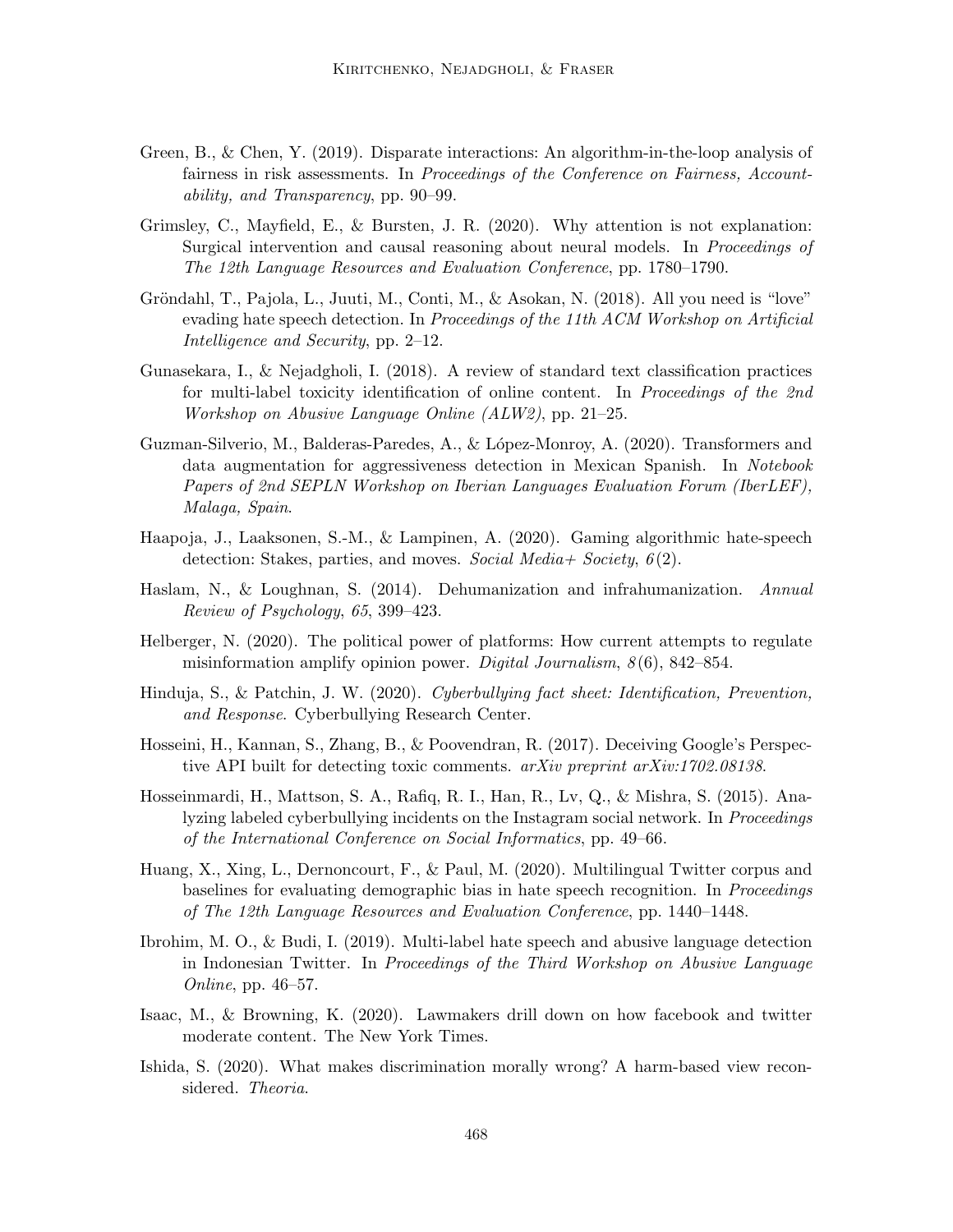- Green, B., & Chen, Y. (2019). Disparate interactions: An algorithm-in-the-loop analysis of fairness in risk assessments. In Proceedings of the Conference on Fairness, Accountability, and Transparency, pp. 90–99.
- Grimsley, C., Mayfield, E., & Bursten, J. R. (2020). Why attention is not explanation: Surgical intervention and causal reasoning about neural models. In *Proceedings of* The 12th Language Resources and Evaluation Conference, pp. 1780–1790.
- Gröndahl, T., Pajola, L., Juuti, M., Conti, M., & Asokan, N.  $(2018)$ . All you need is "love" evading hate speech detection. In *Proceedings of the 11th ACM Workshop on Artificial* Intelligence and Security, pp. 2–12.
- Gunasekara, I., & Nejadgholi, I. (2018). A review of standard text classification practices for multi-label toxicity identification of online content. In Proceedings of the 2nd Workshop on Abusive Language Online (ALW2), pp. 21–25.
- Guzman-Silverio, M., Balderas-Paredes, A., & L´opez-Monroy, A. (2020). Transformers and data augmentation for aggressiveness detection in Mexican Spanish. In Notebook Papers of 2nd SEPLN Workshop on Iberian Languages Evaluation Forum (IberLEF), Malaga, Spain.
- Haapoja, J., Laaksonen, S.-M., & Lampinen, A. (2020). Gaming algorithmic hate-speech detection: Stakes, parties, and moves. Social Media + Society,  $6(2)$ .
- Haslam, N., & Loughnan, S. (2014). Dehumanization and infrahumanization. Annual Review of Psychology, 65, 399–423.
- Helberger, N. (2020). The political power of platforms: How current attempts to regulate misinformation amplify opinion power. Digital Journalism,  $8(6)$ , 842–854.
- Hinduja, S., & Patchin, J. W. (2020). Cyberbullying fact sheet: Identification, Prevention, and Response. Cyberbullying Research Center.
- Hosseini, H., Kannan, S., Zhang, B., & Poovendran, R. (2017). Deceiving Google's Perspective API built for detecting toxic comments. arXiv preprint arXiv:1702.08138.
- Hosseinmardi, H., Mattson, S. A., Rafiq, R. I., Han, R., Lv, Q., & Mishra, S. (2015). Analyzing labeled cyberbullying incidents on the Instagram social network. In *Proceedings* of the International Conference on Social Informatics, pp. 49–66.
- Huang, X., Xing, L., Dernoncourt, F., & Paul, M. (2020). Multilingual Twitter corpus and baselines for evaluating demographic bias in hate speech recognition. In Proceedings of The 12th Language Resources and Evaluation Conference, pp. 1440–1448.
- Ibrohim, M. O., & Budi, I. (2019). Multi-label hate speech and abusive language detection in Indonesian Twitter. In Proceedings of the Third Workshop on Abusive Language Online, pp. 46–57.
- Isaac, M., & Browning, K. (2020). Lawmakers drill down on how facebook and twitter moderate content. The New York Times.
- Ishida, S. (2020). What makes discrimination morally wrong? A harm-based view reconsidered. Theoria.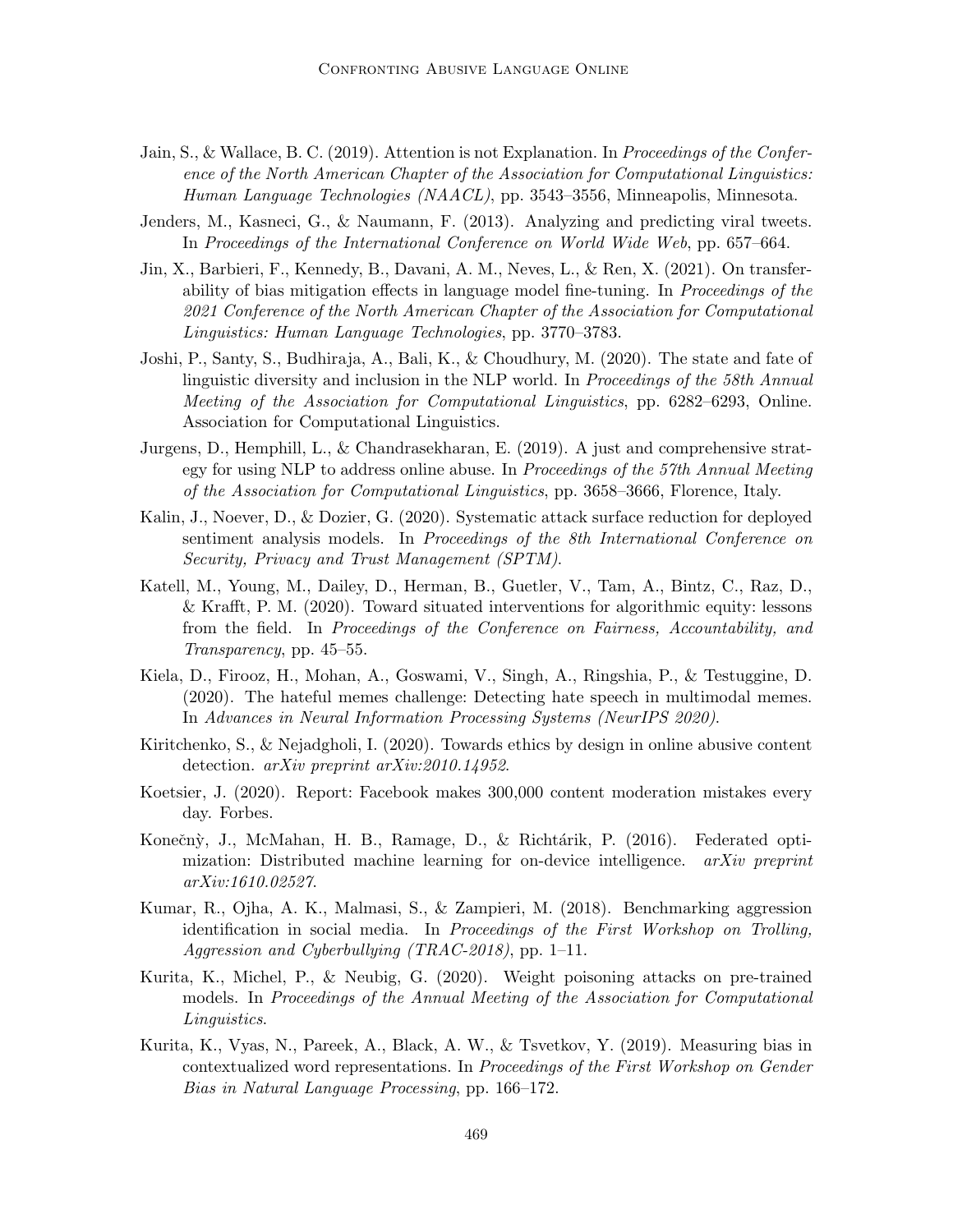- Jain, S., & Wallace, B. C. (2019). Attention is not Explanation. In Proceedings of the Conference of the North American Chapter of the Association for Computational Linguistics: Human Language Technologies (NAACL), pp. 3543–3556, Minneapolis, Minnesota.
- Jenders, M., Kasneci, G., & Naumann, F. (2013). Analyzing and predicting viral tweets. In Proceedings of the International Conference on World Wide Web, pp. 657–664.
- Jin, X., Barbieri, F., Kennedy, B., Davani, A. M., Neves, L., & Ren, X. (2021). On transferability of bias mitigation effects in language model fine-tuning. In Proceedings of the 2021 Conference of the North American Chapter of the Association for Computational Linguistics: Human Language Technologies, pp. 3770–3783.
- Joshi, P., Santy, S., Budhiraja, A., Bali, K., & Choudhury, M. (2020). The state and fate of linguistic diversity and inclusion in the NLP world. In Proceedings of the 58th Annual Meeting of the Association for Computational Linguistics, pp. 6282–6293, Online. Association for Computational Linguistics.
- Jurgens, D., Hemphill, L., & Chandrasekharan, E. (2019). A just and comprehensive strategy for using NLP to address online abuse. In Proceedings of the 57th Annual Meeting of the Association for Computational Linguistics, pp. 3658–3666, Florence, Italy.
- Kalin, J., Noever, D., & Dozier, G. (2020). Systematic attack surface reduction for deployed sentiment analysis models. In Proceedings of the 8th International Conference on Security, Privacy and Trust Management (SPTM).
- Katell, M., Young, M., Dailey, D., Herman, B., Guetler, V., Tam, A., Bintz, C., Raz, D., & Krafft, P. M. (2020). Toward situated interventions for algorithmic equity: lessons from the field. In Proceedings of the Conference on Fairness, Accountability, and Transparency, pp. 45–55.
- Kiela, D., Firooz, H., Mohan, A., Goswami, V., Singh, A., Ringshia, P., & Testuggine, D. (2020). The hateful memes challenge: Detecting hate speech in multimodal memes. In Advances in Neural Information Processing Systems (NeurIPS 2020).
- Kiritchenko, S., & Nejadgholi, I. (2020). Towards ethics by design in online abusive content detection. *arXiv preprint arXiv:2010.14952*.
- Koetsier, J. (2020). Report: Facebook makes 300,000 content moderation mistakes every day. Forbes.
- Konečný, J., McMahan, H. B., Ramage, D., & Richtárik, P. (2016). Federated optimization: Distributed machine learning for on-device intelligence.  $arXiv$  preprint arXiv:1610.02527.
- Kumar, R., Ojha, A. K., Malmasi, S., & Zampieri, M. (2018). Benchmarking aggression identification in social media. In Proceedings of the First Workshop on Trolling, Aggression and Cyberbullying (TRAC-2018), pp. 1–11.
- Kurita, K., Michel, P., & Neubig, G. (2020). Weight poisoning attacks on pre-trained models. In Proceedings of the Annual Meeting of the Association for Computational Linguistics.
- Kurita, K., Vyas, N., Pareek, A., Black, A. W., & Tsvetkov, Y. (2019). Measuring bias in contextualized word representations. In Proceedings of the First Workshop on Gender Bias in Natural Language Processing, pp. 166–172.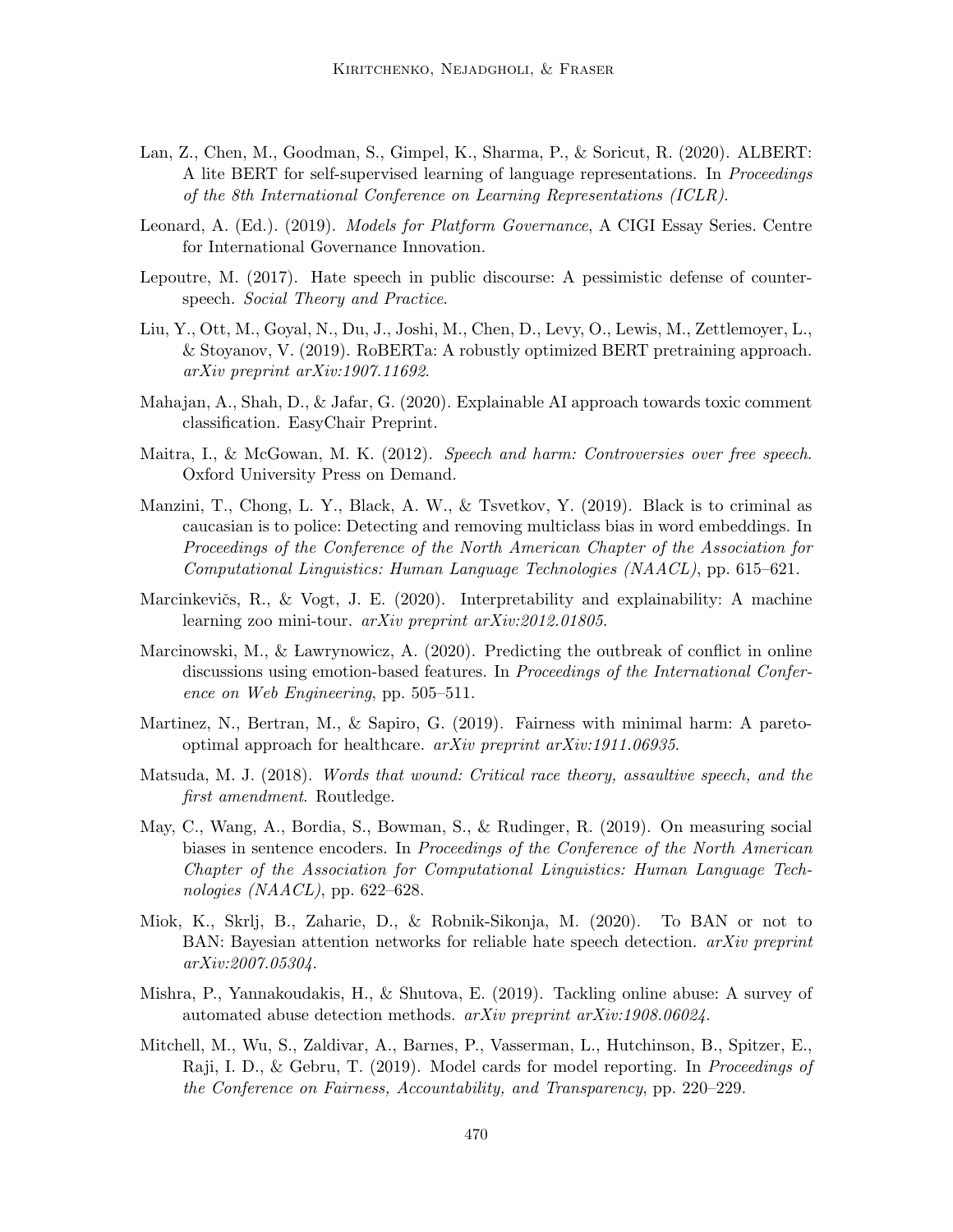- Lan, Z., Chen, M., Goodman, S., Gimpel, K., Sharma, P., & Soricut, R. (2020). ALBERT: A lite BERT for self-supervised learning of language representations. In Proceedings of the 8th International Conference on Learning Representations (ICLR).
- Leonard, A. (Ed.). (2019). *Models for Platform Governance*, A CIGI Essay Series. Centre for International Governance Innovation.
- Lepoutre, M. (2017). Hate speech in public discourse: A pessimistic defense of counterspeech. Social Theory and Practice.
- Liu, Y., Ott, M., Goyal, N., Du, J., Joshi, M., Chen, D., Levy, O., Lewis, M., Zettlemoyer, L., & Stoyanov, V. (2019). RoBERTa: A robustly optimized BERT pretraining approach. arXiv preprint arXiv:1907.11692.
- Mahajan, A., Shah, D., & Jafar, G. (2020). Explainable AI approach towards toxic comment classification. EasyChair Preprint.
- Maitra, I., & McGowan, M. K. (2012). Speech and harm: Controversies over free speech. Oxford University Press on Demand.
- Manzini, T., Chong, L. Y., Black, A. W., & Tsvetkov, Y. (2019). Black is to criminal as caucasian is to police: Detecting and removing multiclass bias in word embeddings. In Proceedings of the Conference of the North American Chapter of the Association for Computational Linguistics: Human Language Technologies (NAACL), pp. 615–621.
- Marcinkevičs, R., & Vogt, J. E.  $(2020)$ . Interpretability and explainability: A machine learning zoo mini-tour. arXiv preprint arXiv:2012.01805.
- Marcinowski, M., & Lawrynowicz, A. (2020). Predicting the outbreak of conflict in online discussions using emotion-based features. In Proceedings of the International Conference on Web Engineering, pp. 505–511.
- Martinez, N., Bertran, M., & Sapiro, G. (2019). Fairness with minimal harm: A paretooptimal approach for healthcare. arXiv preprint arXiv:1911.06935.
- Matsuda, M. J. (2018). Words that wound: Critical race theory, assaultive speech, and the first amendment. Routledge.
- May, C., Wang, A., Bordia, S., Bowman, S., & Rudinger, R. (2019). On measuring social biases in sentence encoders. In Proceedings of the Conference of the North American Chapter of the Association for Computational Linguistics: Human Language Technologies (NAACL), pp.  $622-628$ .
- Miok, K., Skrlj, B., Zaharie, D., & Robnik-Sikonja, M. (2020). To BAN or not to BAN: Bayesian attention networks for reliable hate speech detection.  $arXiv$  preprint arXiv:2007.05304.
- Mishra, P., Yannakoudakis, H., & Shutova, E. (2019). Tackling online abuse: A survey of automated abuse detection methods. arXiv preprint arXiv:1908.06024.
- Mitchell, M., Wu, S., Zaldivar, A., Barnes, P., Vasserman, L., Hutchinson, B., Spitzer, E., Raji, I. D., & Gebru, T. (2019). Model cards for model reporting. In Proceedings of the Conference on Fairness, Accountability, and Transparency, pp. 220–229.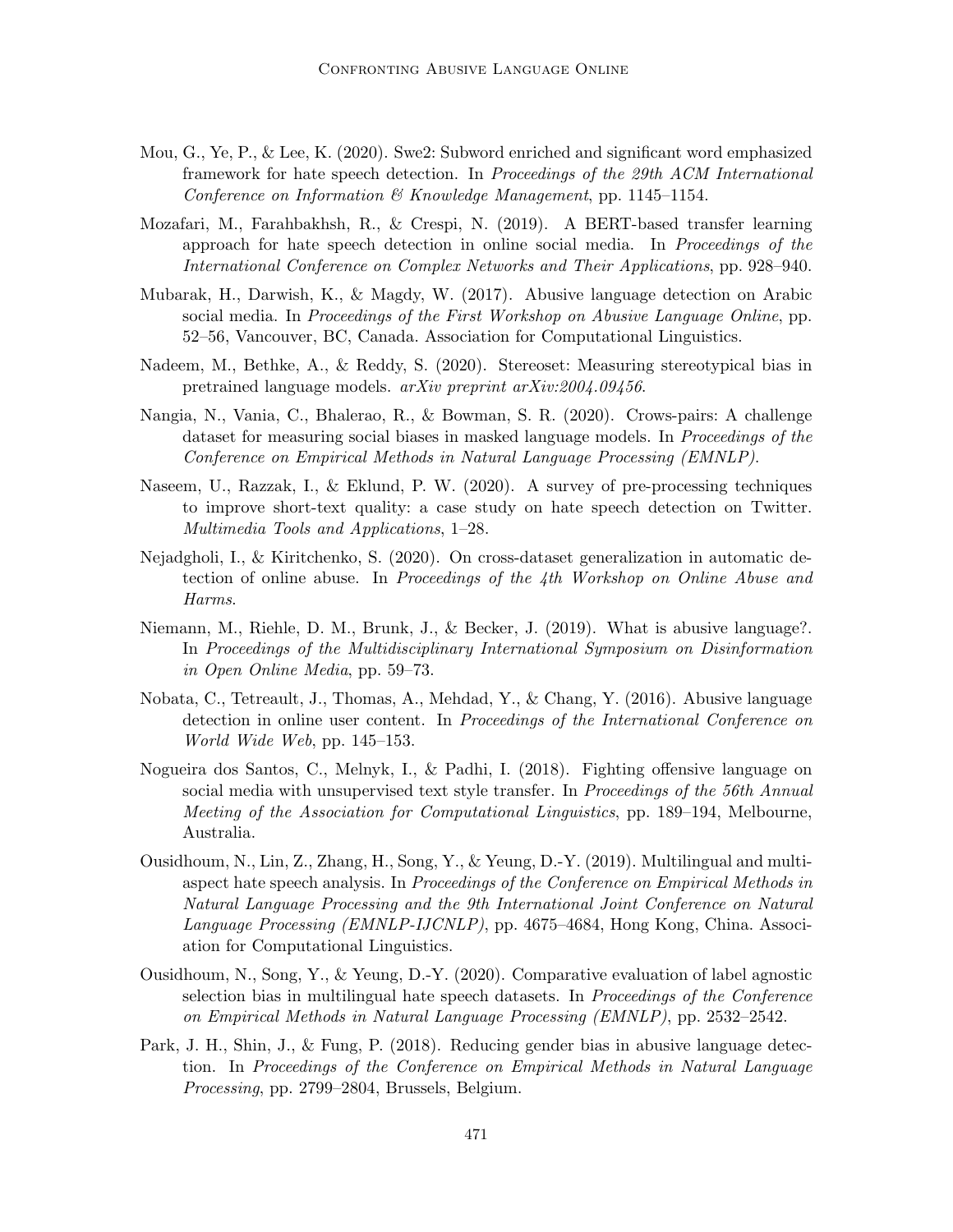- Mou, G., Ye, P., & Lee, K. (2020). Swe2: Subword enriched and significant word emphasized framework for hate speech detection. In Proceedings of the 29th ACM International Conference on Information & Knowledge Management, pp. 1145–1154.
- Mozafari, M., Farahbakhsh, R., & Crespi, N. (2019). A BERT-based transfer learning approach for hate speech detection in online social media. In Proceedings of the International Conference on Complex Networks and Their Applications, pp. 928–940.
- Mubarak, H., Darwish, K., & Magdy, W. (2017). Abusive language detection on Arabic social media. In Proceedings of the First Workshop on Abusive Language Online, pp. 52–56, Vancouver, BC, Canada. Association for Computational Linguistics.
- Nadeem, M., Bethke, A., & Reddy, S. (2020). Stereoset: Measuring stereotypical bias in pretrained language models. arXiv preprint arXiv:2004.09456.
- Nangia, N., Vania, C., Bhalerao, R., & Bowman, S. R. (2020). Crows-pairs: A challenge dataset for measuring social biases in masked language models. In Proceedings of the Conference on Empirical Methods in Natural Language Processing (EMNLP).
- Naseem, U., Razzak, I., & Eklund, P. W. (2020). A survey of pre-processing techniques to improve short-text quality: a case study on hate speech detection on Twitter. Multimedia Tools and Applications, 1–28.
- Nejadgholi, I., & Kiritchenko, S. (2020). On cross-dataset generalization in automatic detection of online abuse. In Proceedings of the 4th Workshop on Online Abuse and Harms.
- Niemann, M., Riehle, D. M., Brunk, J., & Becker, J. (2019). What is abusive language?. In Proceedings of the Multidisciplinary International Symposium on Disinformation in Open Online Media, pp. 59–73.
- Nobata, C., Tetreault, J., Thomas, A., Mehdad, Y., & Chang, Y. (2016). Abusive language detection in online user content. In Proceedings of the International Conference on World Wide Web, pp. 145–153.
- Nogueira dos Santos, C., Melnyk, I., & Padhi, I. (2018). Fighting offensive language on social media with unsupervised text style transfer. In *Proceedings of the 56th Annual* Meeting of the Association for Computational Linguistics, pp. 189–194, Melbourne, Australia.
- Ousidhoum, N., Lin, Z., Zhang, H., Song, Y., & Yeung, D.-Y. (2019). Multilingual and multiaspect hate speech analysis. In Proceedings of the Conference on Empirical Methods in Natural Language Processing and the 9th International Joint Conference on Natural Language Processing (EMNLP-IJCNLP), pp. 4675–4684, Hong Kong, China. Association for Computational Linguistics.
- Ousidhoum, N., Song, Y., & Yeung, D.-Y. (2020). Comparative evaluation of label agnostic selection bias in multilingual hate speech datasets. In *Proceedings of the Conference* on Empirical Methods in Natural Language Processing (EMNLP), pp. 2532–2542.
- Park, J. H., Shin, J., & Fung, P. (2018). Reducing gender bias in abusive language detection. In Proceedings of the Conference on Empirical Methods in Natural Language Processing, pp. 2799–2804, Brussels, Belgium.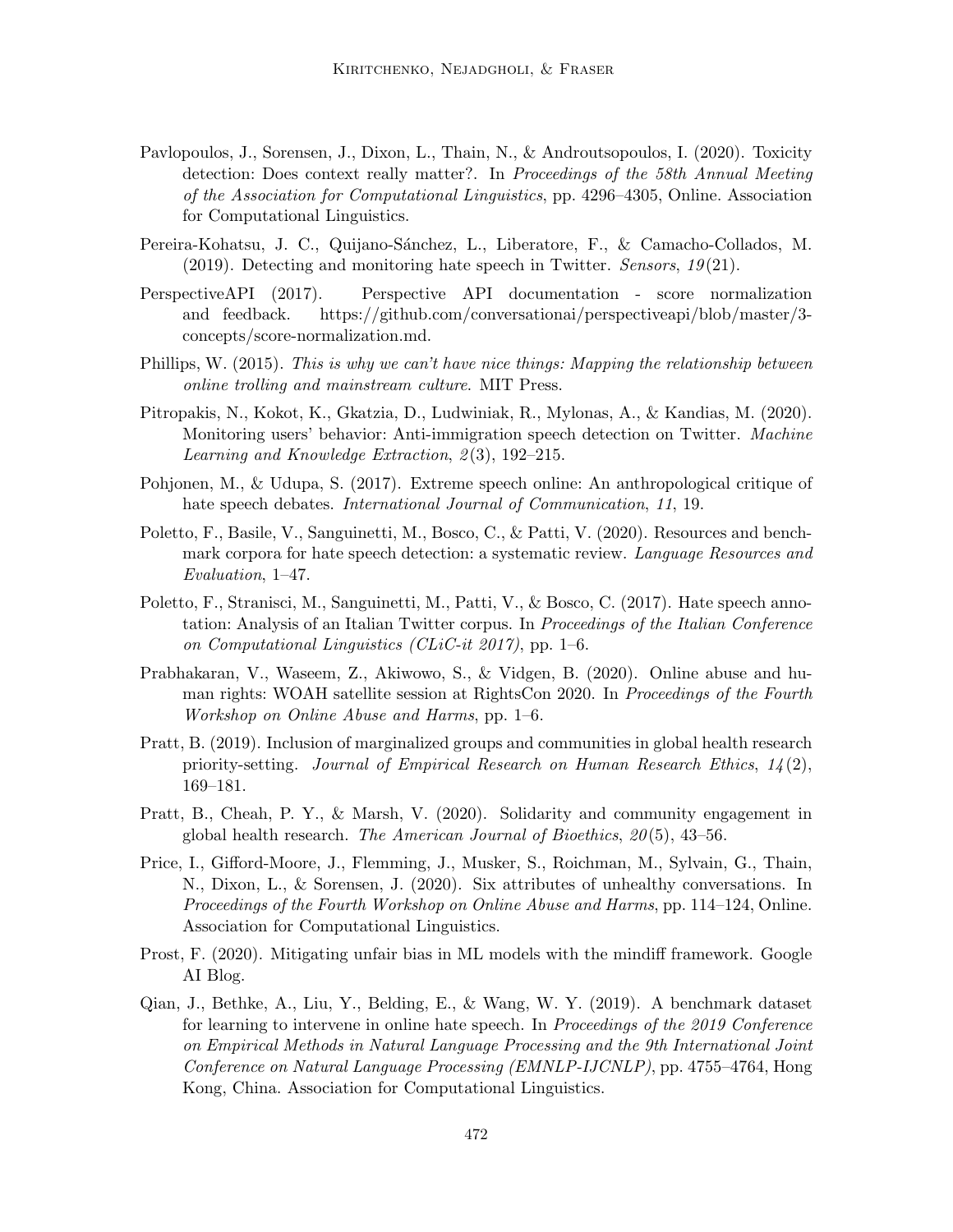- Pavlopoulos, J., Sorensen, J., Dixon, L., Thain, N., & Androutsopoulos, I. (2020). Toxicity detection: Does context really matter?. In Proceedings of the 58th Annual Meeting of the Association for Computational Linguistics, pp. 4296–4305, Online. Association for Computational Linguistics.
- Pereira-Kohatsu, J. C., Quijano-Sánchez, L., Liberatore, F., & Camacho-Collados, M. (2019). Detecting and monitoring hate speech in Twitter. Sensors,  $19(21)$ .
- PerspectiveAPI (2017). Perspective API documentation score normalization and feedback. https://github.com/conversationai/perspectiveapi/blob/master/3 concepts/score-normalization.md.
- Phillips, W. (2015). This is why we can't have nice things: Mapping the relationship between online trolling and mainstream culture. MIT Press.
- Pitropakis, N., Kokot, K., Gkatzia, D., Ludwiniak, R., Mylonas, A., & Kandias, M. (2020). Monitoring users' behavior: Anti-immigration speech detection on Twitter. Machine Learning and Knowledge Extraction,  $2(3)$ , 192–215.
- Pohjonen, M., & Udupa, S. (2017). Extreme speech online: An anthropological critique of hate speech debates. International Journal of Communication, 11, 19.
- Poletto, F., Basile, V., Sanguinetti, M., Bosco, C., & Patti, V. (2020). Resources and benchmark corpora for hate speech detection: a systematic review. Language Resources and Evaluation, 1–47.
- Poletto, F., Stranisci, M., Sanguinetti, M., Patti, V., & Bosco, C. (2017). Hate speech annotation: Analysis of an Italian Twitter corpus. In Proceedings of the Italian Conference on Computational Linguistics (CLiC-it 2017), pp. 1–6.
- Prabhakaran, V., Waseem, Z., Akiwowo, S., & Vidgen, B. (2020). Online abuse and human rights: WOAH satellite session at RightsCon 2020. In Proceedings of the Fourth Workshop on Online Abuse and Harms, pp. 1–6.
- Pratt, B. (2019). Inclusion of marginalized groups and communities in global health research priority-setting. Journal of Empirical Research on Human Research Ethics,  $14(2)$ , 169–181.
- Pratt, B., Cheah, P. Y., & Marsh, V. (2020). Solidarity and community engagement in global health research. The American Journal of Bioethics,  $20(5)$ , 43-56.
- Price, I., Gifford-Moore, J., Flemming, J., Musker, S., Roichman, M., Sylvain, G., Thain, N., Dixon, L., & Sorensen, J. (2020). Six attributes of unhealthy conversations. In Proceedings of the Fourth Workshop on Online Abuse and Harms, pp. 114–124, Online. Association for Computational Linguistics.
- Prost, F. (2020). Mitigating unfair bias in ML models with the mindiff framework. Google AI Blog.
- Qian, J., Bethke, A., Liu, Y., Belding, E., & Wang, W. Y. (2019). A benchmark dataset for learning to intervene in online hate speech. In Proceedings of the 2019 Conference on Empirical Methods in Natural Language Processing and the 9th International Joint Conference on Natural Language Processing (EMNLP-IJCNLP), pp. 4755–4764, Hong Kong, China. Association for Computational Linguistics.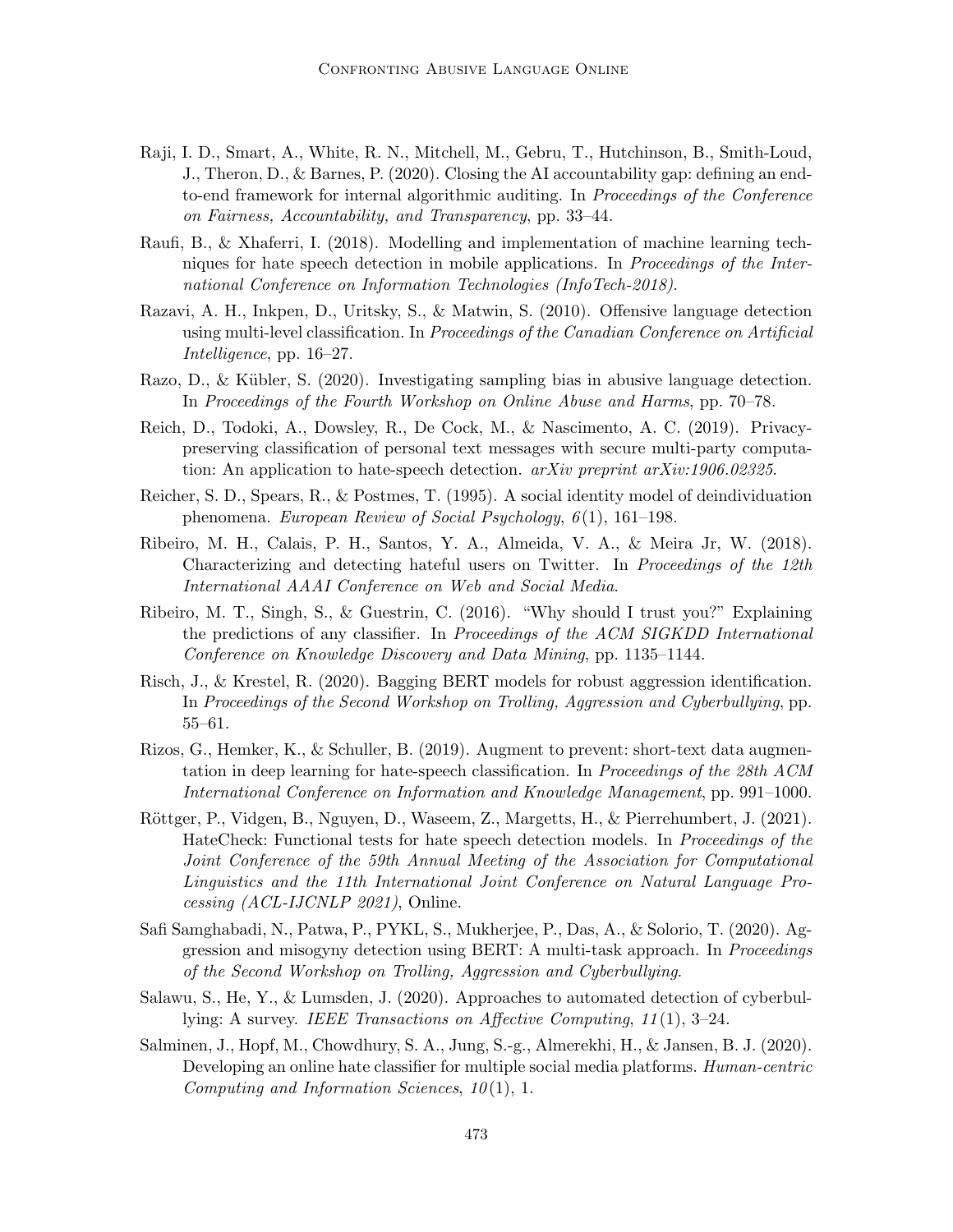- Raji, I. D., Smart, A., White, R. N., Mitchell, M., Gebru, T., Hutchinson, B., Smith-Loud, J., Theron, D., & Barnes, P. (2020). Closing the AI accountability gap: defining an endto-end framework for internal algorithmic auditing. In Proceedings of the Conference on Fairness, Accountability, and Transparency, pp. 33–44.
- Raufi, B., & Xhaferri, I. (2018). Modelling and implementation of machine learning techniques for hate speech detection in mobile applications. In Proceedings of the International Conference on Information Technologies (InfoTech-2018).
- Razavi, A. H., Inkpen, D., Uritsky, S., & Matwin, S. (2010). Offensive language detection using multi-level classification. In Proceedings of the Canadian Conference on Artificial Intelligence, pp. 16–27.
- Razo, D., & Kübler, S.  $(2020)$ . Investigating sampling bias in abusive language detection. In Proceedings of the Fourth Workshop on Online Abuse and Harms, pp. 70–78.
- Reich, D., Todoki, A., Dowsley, R., De Cock, M., & Nascimento, A. C. (2019). Privacypreserving classification of personal text messages with secure multi-party computation: An application to hate-speech detection. arXiv preprint arXiv:1906.02325.
- Reicher, S. D., Spears, R., & Postmes, T. (1995). A social identity model of deindividuation phenomena. European Review of Social Psychology, 6(1), 161–198.
- Ribeiro, M. H., Calais, P. H., Santos, Y. A., Almeida, V. A., & Meira Jr, W. (2018). Characterizing and detecting hateful users on Twitter. In Proceedings of the 12th International AAAI Conference on Web and Social Media.
- Ribeiro, M. T., Singh, S., & Guestrin, C. (2016). "Why should I trust you?" Explaining the predictions of any classifier. In Proceedings of the ACM SIGKDD International Conference on Knowledge Discovery and Data Mining, pp. 1135–1144.
- Risch, J., & Krestel, R. (2020). Bagging BERT models for robust aggression identification. In Proceedings of the Second Workshop on Trolling, Aggression and Cyberbullying, pp. 55–61.
- Rizos, G., Hemker, K., & Schuller, B. (2019). Augment to prevent: short-text data augmentation in deep learning for hate-speech classification. In Proceedings of the 28th ACM International Conference on Information and Knowledge Management, pp. 991–1000.
- Röttger, P., Vidgen, B., Nguyen, D., Waseem, Z., Margetts, H., & Pierrehumbert, J. (2021). HateCheck: Functional tests for hate speech detection models. In Proceedings of the Joint Conference of the 59th Annual Meeting of the Association for Computational Linguistics and the 11th International Joint Conference on Natural Language Processing (ACL-IJCNLP 2021), Online.
- Safi Samghabadi, N., Patwa, P., PYKL, S., Mukherjee, P., Das, A., & Solorio, T. (2020). Aggression and misogyny detection using BERT: A multi-task approach. In Proceedings of the Second Workshop on Trolling, Aggression and Cyberbullying.
- Salawu, S., He, Y., & Lumsden, J. (2020). Approaches to automated detection of cyberbullying: A survey. IEEE Transactions on Affective Computing, 11 (1), 3–24.
- Salminen, J., Hopf, M., Chowdhury, S. A., Jung, S.-g., Almerekhi, H., & Jansen, B. J. (2020). Developing an online hate classifier for multiple social media platforms. Human-centric Computing and Information Sciences,  $10(1)$ , 1.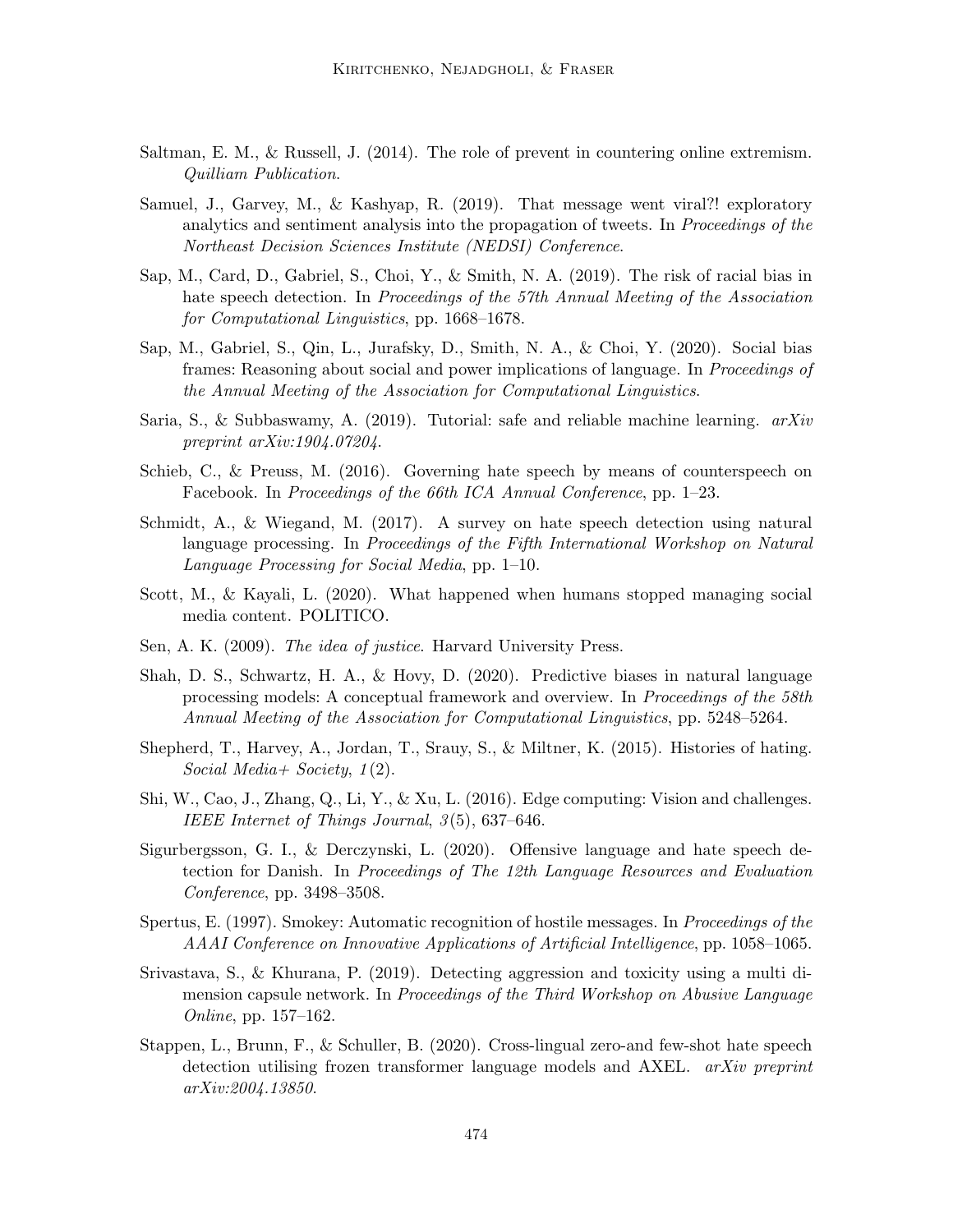- Saltman, E. M., & Russell, J. (2014). The role of prevent in countering online extremism. Quilliam Publication.
- Samuel, J., Garvey, M., & Kashyap, R. (2019). That message went viral?! exploratory analytics and sentiment analysis into the propagation of tweets. In Proceedings of the Northeast Decision Sciences Institute (NEDSI) Conference.
- Sap, M., Card, D., Gabriel, S., Choi, Y., & Smith, N. A. (2019). The risk of racial bias in hate speech detection. In Proceedings of the 57th Annual Meeting of the Association for Computational Linguistics, pp. 1668–1678.
- Sap, M., Gabriel, S., Qin, L., Jurafsky, D., Smith, N. A., & Choi, Y. (2020). Social bias frames: Reasoning about social and power implications of language. In Proceedings of the Annual Meeting of the Association for Computational Linguistics.
- Saria, S., & Subbaswamy, A. (2019). Tutorial: safe and reliable machine learning.  $arXiv$ preprint arXiv:1904.07204.
- Schieb, C., & Preuss, M. (2016). Governing hate speech by means of counterspeech on Facebook. In Proceedings of the 66th ICA Annual Conference, pp. 1–23.
- Schmidt, A., & Wiegand, M. (2017). A survey on hate speech detection using natural language processing. In Proceedings of the Fifth International Workshop on Natural Language Processing for Social Media, pp. 1–10.
- Scott, M., & Kayali, L. (2020). What happened when humans stopped managing social media content. POLITICO.
- Sen, A. K. (2009). The idea of justice. Harvard University Press.
- Shah, D. S., Schwartz, H. A., & Hovy, D. (2020). Predictive biases in natural language processing models: A conceptual framework and overview. In Proceedings of the 58th Annual Meeting of the Association for Computational Linguistics, pp. 5248–5264.
- Shepherd, T., Harvey, A., Jordan, T., Srauy, S., & Miltner, K. (2015). Histories of hating. Social Media + Society,  $1(2)$ .
- Shi, W., Cao, J., Zhang, Q., Li, Y., & Xu, L. (2016). Edge computing: Vision and challenges. IEEE Internet of Things Journal,  $3(5)$ , 637-646.
- Sigurbergsson, G. I., & Derczynski, L. (2020). Offensive language and hate speech detection for Danish. In Proceedings of The 12th Language Resources and Evaluation Conference, pp. 3498–3508.
- Spertus, E. (1997). Smokey: Automatic recognition of hostile messages. In Proceedings of the AAAI Conference on Innovative Applications of Artificial Intelligence, pp. 1058–1065.
- Srivastava, S., & Khurana, P. (2019). Detecting aggression and toxicity using a multi dimension capsule network. In Proceedings of the Third Workshop on Abusive Language Online, pp. 157–162.
- Stappen, L., Brunn, F., & Schuller, B. (2020). Cross-lingual zero-and few-shot hate speech detection utilising frozen transformer language models and AXEL. arXiv preprint arXiv:2004.13850.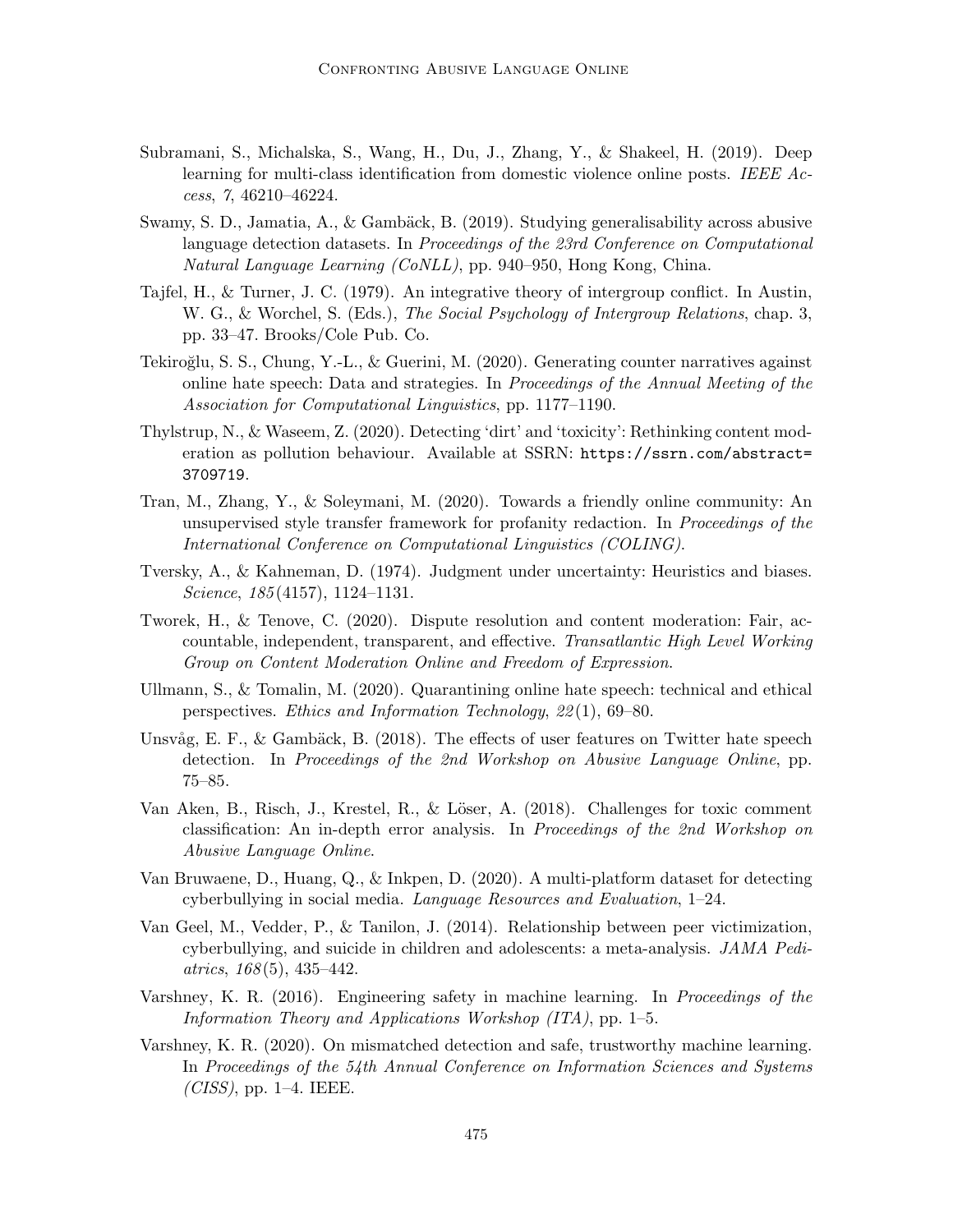- Subramani, S., Michalska, S., Wang, H., Du, J., Zhang, Y., & Shakeel, H. (2019). Deep learning for multi-class identification from domestic violence online posts. IEEE Access, 7, 46210–46224.
- Swamy, S. D., Jamatia, A., & Gambäck, B. (2019). Studying generalisability across abusive language detection datasets. In Proceedings of the 23rd Conference on Computational Natural Language Learning (CoNLL), pp. 940–950, Hong Kong, China.
- Tajfel, H., & Turner, J. C. (1979). An integrative theory of intergroup conflict. In Austin, W. G., & Worchel, S. (Eds.), The Social Psychology of Intergroup Relations, chap. 3, pp. 33–47. Brooks/Cole Pub. Co.
- Tekiroğlu, S. S., Chung, Y.-L., & Guerini, M. (2020). Generating counter narratives against online hate speech: Data and strategies. In Proceedings of the Annual Meeting of the Association for Computational Linguistics, pp. 1177–1190.
- Thylstrup, N., & Waseem, Z. (2020). Detecting 'dirt' and 'toxicity': Rethinking content moderation as pollution behaviour. Available at SSRN: https://ssrn.com/abstract= 3709719.
- Tran, M., Zhang, Y., & Soleymani, M. (2020). Towards a friendly online community: An unsupervised style transfer framework for profanity redaction. In Proceedings of the International Conference on Computational Linguistics (COLING).
- Tversky, A., & Kahneman, D. (1974). Judgment under uncertainty: Heuristics and biases. Science, 185 (4157), 1124–1131.
- Tworek, H., & Tenove, C. (2020). Dispute resolution and content moderation: Fair, accountable, independent, transparent, and effective. Transatlantic High Level Working Group on Content Moderation Online and Freedom of Expression.
- Ullmann, S., & Tomalin, M. (2020). Quarantining online hate speech: technical and ethical perspectives. Ethics and Information Technology, 22 (1), 69–80.
- Unsvåg, E. F., & Gambäck, B. (2018). The effects of user features on Twitter hate speech detection. In Proceedings of the 2nd Workshop on Abusive Language Online, pp. 75–85.
- Van Aken, B., Risch, J., Krestel, R., & Löser, A. (2018). Challenges for toxic comment classification: An in-depth error analysis. In Proceedings of the 2nd Workshop on Abusive Language Online.
- Van Bruwaene, D., Huang, Q., & Inkpen, D. (2020). A multi-platform dataset for detecting cyberbullying in social media. Language Resources and Evaluation, 1–24.
- Van Geel, M., Vedder, P., & Tanilon, J. (2014). Relationship between peer victimization, cyberbullying, and suicide in children and adolescents: a meta-analysis. JAMA Pedi $atrics, 168(5), 435-442.$
- Varshney, K. R. (2016). Engineering safety in machine learning. In *Proceedings of the* Information Theory and Applications Workshop (ITA), pp. 1–5.
- Varshney, K. R. (2020). On mismatched detection and safe, trustworthy machine learning. In Proceedings of the 54th Annual Conference on Information Sciences and Systems  $(CISS)$ , pp. 1–4. IEEE.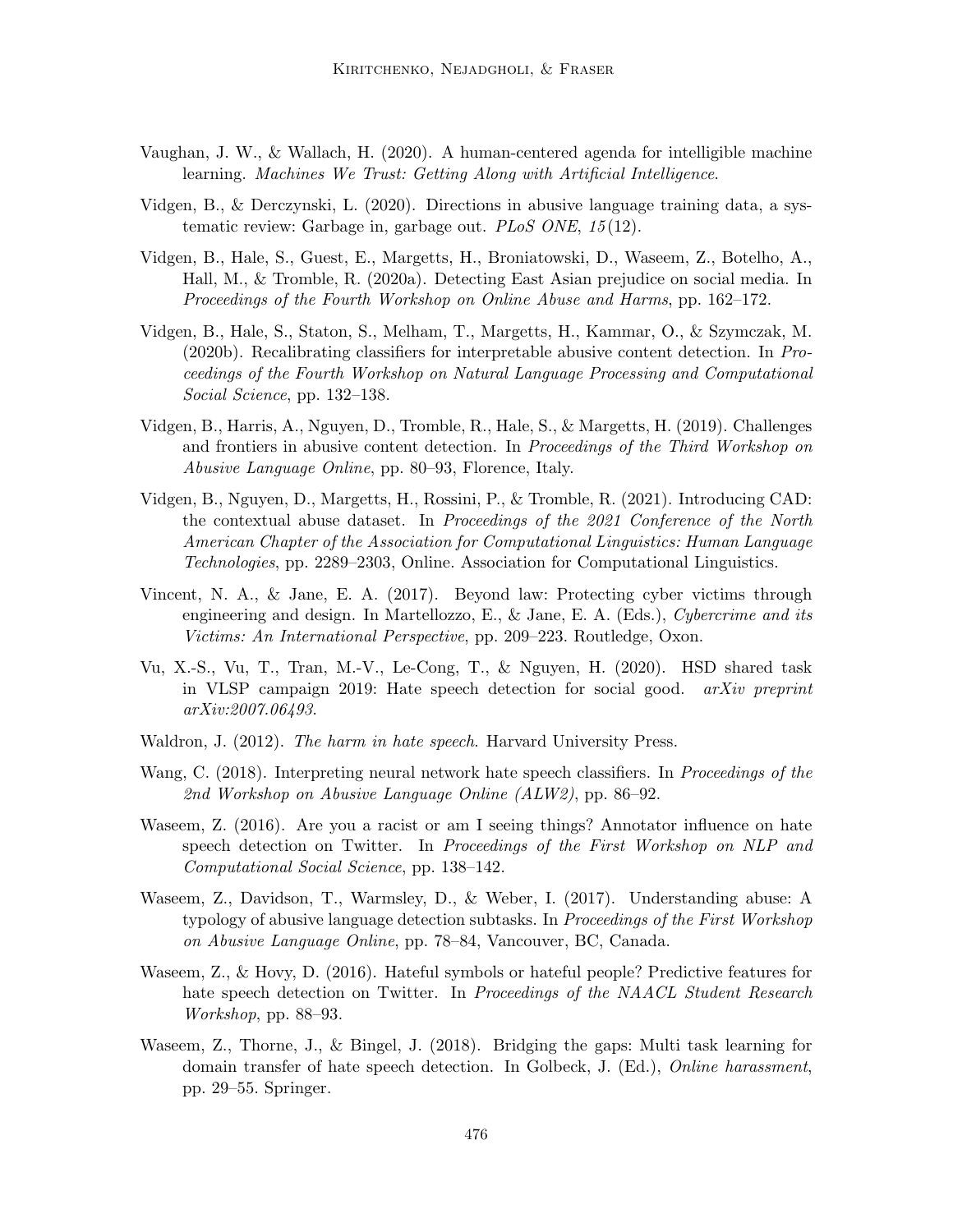- Vaughan, J. W., & Wallach, H. (2020). A human-centered agenda for intelligible machine learning. Machines We Trust: Getting Along with Artificial Intelligence.
- Vidgen, B., & Derczynski, L. (2020). Directions in abusive language training data, a systematic review: Garbage in, garbage out. *PLoS ONE*, 15(12).
- Vidgen, B., Hale, S., Guest, E., Margetts, H., Broniatowski, D., Waseem, Z., Botelho, A., Hall, M., & Tromble, R. (2020a). Detecting East Asian prejudice on social media. In Proceedings of the Fourth Workshop on Online Abuse and Harms, pp. 162–172.
- Vidgen, B., Hale, S., Staton, S., Melham, T., Margetts, H., Kammar, O., & Szymczak, M. (2020b). Recalibrating classifiers for interpretable abusive content detection. In Proceedings of the Fourth Workshop on Natural Language Processing and Computational Social Science, pp. 132–138.
- Vidgen, B., Harris, A., Nguyen, D., Tromble, R., Hale, S., & Margetts, H. (2019). Challenges and frontiers in abusive content detection. In Proceedings of the Third Workshop on Abusive Language Online, pp. 80–93, Florence, Italy.
- Vidgen, B., Nguyen, D., Margetts, H., Rossini, P., & Tromble, R. (2021). Introducing CAD: the contextual abuse dataset. In Proceedings of the 2021 Conference of the North American Chapter of the Association for Computational Linguistics: Human Language Technologies, pp. 2289–2303, Online. Association for Computational Linguistics.
- Vincent, N. A., & Jane, E. A. (2017). Beyond law: Protecting cyber victims through engineering and design. In Martellozzo, E., & Jane, E. A. (Eds.), Cybercrime and its Victims: An International Perspective, pp. 209–223. Routledge, Oxon.
- Vu, X.-S., Vu, T., Tran, M.-V., Le-Cong, T., & Nguyen, H. (2020). HSD shared task in VLSP campaign 2019: Hate speech detection for social good. arXiv preprint arXiv:2007.06493.
- Waldron, J. (2012). The harm in hate speech. Harvard University Press.
- Wang, C. (2018). Interpreting neural network hate speech classifiers. In *Proceedings of the* 2nd Workshop on Abusive Language Online (ALW2), pp. 86–92.
- Waseem, Z. (2016). Are you a racist or am I seeing things? Annotator influence on hate speech detection on Twitter. In Proceedings of the First Workshop on NLP and Computational Social Science, pp. 138–142.
- Waseem, Z., Davidson, T., Warmsley, D., & Weber, I. (2017). Understanding abuse: A typology of abusive language detection subtasks. In Proceedings of the First Workshop on Abusive Language Online, pp. 78–84, Vancouver, BC, Canada.
- Waseem, Z., & Hovy, D. (2016). Hateful symbols or hateful people? Predictive features for hate speech detection on Twitter. In Proceedings of the NAACL Student Research Workshop, pp. 88–93.
- Waseem, Z., Thorne, J., & Bingel, J. (2018). Bridging the gaps: Multi task learning for domain transfer of hate speech detection. In Golbeck, J. (Ed.), Online harassment, pp. 29–55. Springer.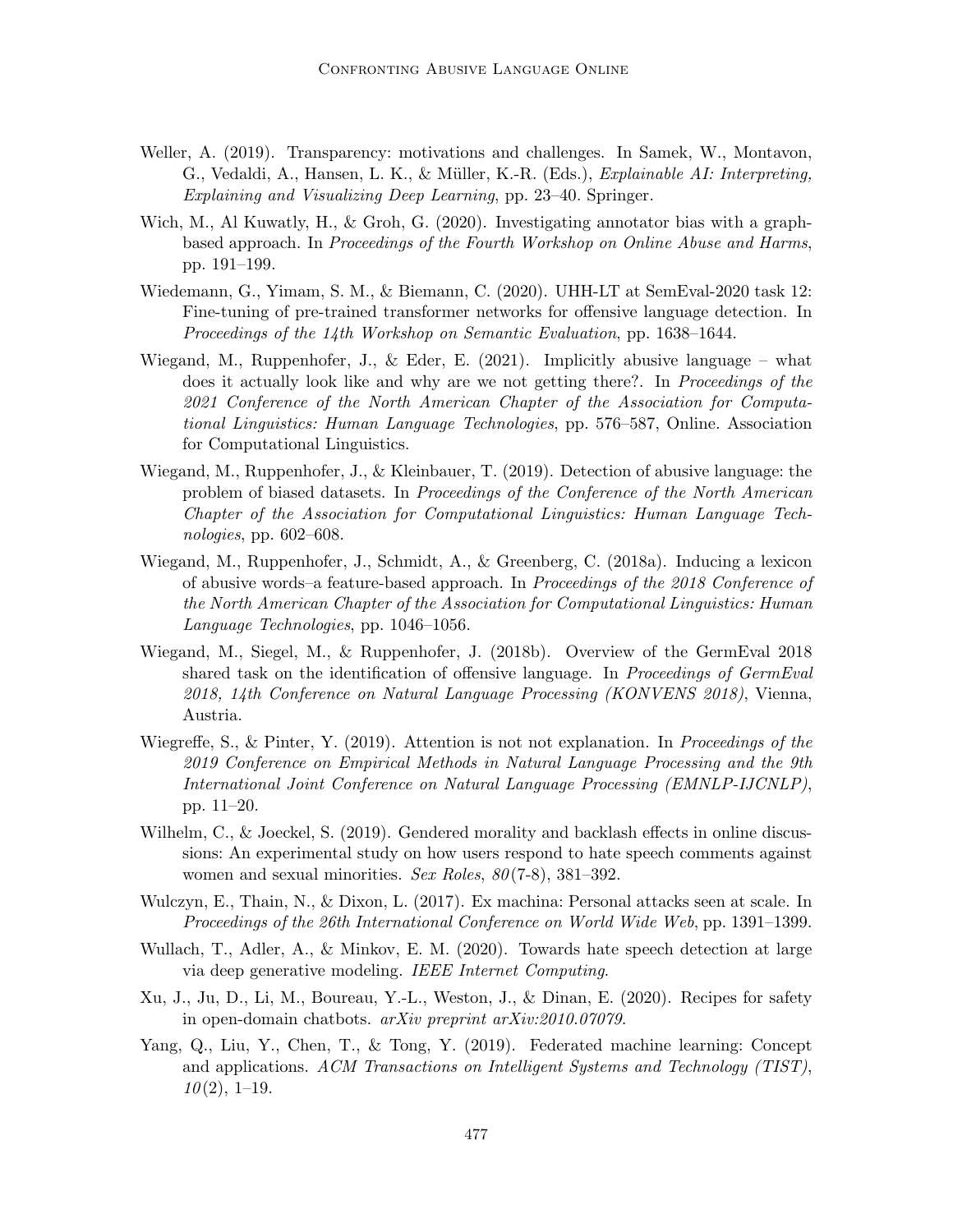- Weller, A. (2019). Transparency: motivations and challenges. In Samek, W., Montavon, G., Vedaldi, A., Hansen, L. K., & Müller, K.-R. (Eds.), *Explainable AI: Interpreting*, Explaining and Visualizing Deep Learning, pp. 23–40. Springer.
- Wich, M., Al Kuwatly, H., & Groh, G. (2020). Investigating annotator bias with a graphbased approach. In Proceedings of the Fourth Workshop on Online Abuse and Harms, pp. 191–199.
- Wiedemann, G., Yimam, S. M., & Biemann, C. (2020). UHH-LT at SemEval-2020 task 12: Fine-tuning of pre-trained transformer networks for offensive language detection. In Proceedings of the 14th Workshop on Semantic Evaluation, pp. 1638–1644.
- Wiegand, M., Ruppenhofer, J., & Eder, E. (2021). Implicitly abusive language what does it actually look like and why are we not getting there?. In *Proceedings of the* 2021 Conference of the North American Chapter of the Association for Computational Linguistics: Human Language Technologies, pp. 576–587, Online. Association for Computational Linguistics.
- Wiegand, M., Ruppenhofer, J., & Kleinbauer, T. (2019). Detection of abusive language: the problem of biased datasets. In Proceedings of the Conference of the North American Chapter of the Association for Computational Linguistics: Human Language Technologies, pp. 602–608.
- Wiegand, M., Ruppenhofer, J., Schmidt, A., & Greenberg, C. (2018a). Inducing a lexicon of abusive words–a feature-based approach. In Proceedings of the 2018 Conference of the North American Chapter of the Association for Computational Linguistics: Human Language Technologies, pp. 1046–1056.
- Wiegand, M., Siegel, M., & Ruppenhofer, J. (2018b). Overview of the GermEval 2018 shared task on the identification of offensive language. In *Proceedings of GermEval* 2018, 14th Conference on Natural Language Processing (KONVENS 2018), Vienna, Austria.
- Wiegreffe, S., & Pinter, Y. (2019). Attention is not not explanation. In Proceedings of the 2019 Conference on Empirical Methods in Natural Language Processing and the 9th International Joint Conference on Natural Language Processing (EMNLP-IJCNLP), pp. 11–20.
- Wilhelm, C., & Joeckel, S. (2019). Gendered morality and backlash effects in online discussions: An experimental study on how users respond to hate speech comments against women and sexual minorities. Sex Roles,  $80(7-8)$ , 381–392.
- Wulczyn, E., Thain, N., & Dixon, L. (2017). Ex machina: Personal attacks seen at scale. In Proceedings of the 26th International Conference on World Wide Web, pp. 1391–1399.
- Wullach, T., Adler, A., & Minkov, E. M. (2020). Towards hate speech detection at large via deep generative modeling. IEEE Internet Computing.
- Xu, J., Ju, D., Li, M., Boureau, Y.-L., Weston, J., & Dinan, E. (2020). Recipes for safety in open-domain chatbots. arXiv preprint arXiv:2010.07079.
- Yang, Q., Liu, Y., Chen, T., & Tong, Y. (2019). Federated machine learning: Concept and applications. ACM Transactions on Intelligent Systems and Technology (TIST),  $10(2), 1-19.$